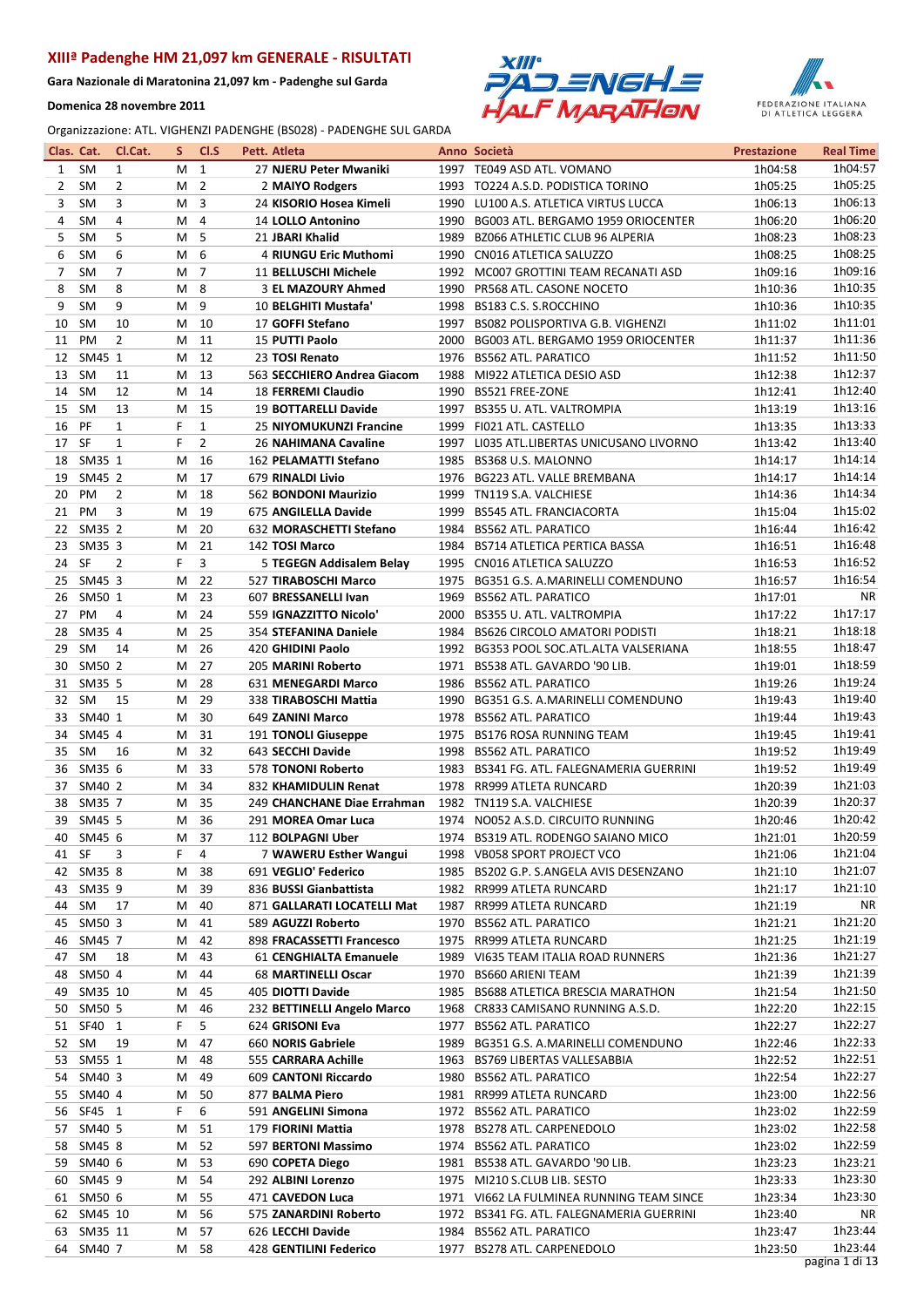Gara Nazionale di Maratonina 21,097 km - Padenghe sul Garda

Domenica 28 novembre 2011





| Clas. Cat. |            | Cl.Cat.        | S. | CI.S           |  | Pett. Atleta                |      | Anno Società                              | <b>Prestazione</b> | <b>Real Time</b> |
|------------|------------|----------------|----|----------------|--|-----------------------------|------|-------------------------------------------|--------------------|------------------|
| 1          | <b>SM</b>  | $\mathbf{1}$   | м  | $\mathbf{1}$   |  | 27 NJERU Peter Mwaniki      |      | 1997 TE049 ASD ATL. VOMANO                | 1h04:58            | 1h04:57          |
| 2          | <b>SM</b>  | 2              | М  | $\overline{2}$ |  | 2 MAIYO Rodgers             |      | 1993 TO224 A.S.D. PODISTICA TORINO        | 1h05:25            | 1h05:25          |
| 3          | <b>SM</b>  | 3              | м  | 3              |  | 24 KISORIO Hosea Kimeli     | 1990 | LU100 A.S. ATLETICA VIRTUS LUCCA          | 1h06:13            | 1h06:13          |
| 4          | <b>SM</b>  | 4              | м  | 4              |  | 14 LOLLO Antonino           | 1990 | BG003 ATL. BERGAMO 1959 ORIOCENTER        | 1h06:20            | 1h06:20          |
| 5          | <b>SM</b>  | 5              | м  | 5              |  | 21 JBARI Khalid             | 1989 | <b>BZ066 ATHLETIC CLUB 96 ALPERIA</b>     | 1h08:23            | 1h08:23          |
| 6          | <b>SM</b>  | 6              | м  | 6              |  | 4 RIUNGU Eric Muthomi       | 1990 | CN016 ATLETICA SALUZZO                    | 1h08:25            | 1h08:25          |
| 7          | <b>SM</b>  | 7              | М  | $\overline{7}$ |  | 11 BELLUSCHI Michele        |      | 1992 MC007 GROTTINI TEAM RECANATI ASD     | 1h09:16            | 1h09:16          |
| 8          | <b>SM</b>  | 8              | М  | 8              |  | 3 EL MAZOURY Ahmed          |      | 1990 PR568 ATL. CASONE NOCETO             | 1h10:36            | 1h10:35          |
| 9          | <b>SM</b>  | 9              | M  | 9              |  | 10 BELGHITI Mustafa'        | 1998 | BS183 C.S. S.ROCCHINO                     | 1h10:36            | 1h10:35          |
| 10         | <b>SM</b>  | 10             | M  | 10             |  | 17 GOFFI Stefano            | 1997 | BS082 POLISPORTIVA G.B. VIGHENZI          | 1h11:02            | 1h11:01          |
| 11         | PM         | 2              | M  | 11             |  | 15 PUTTI Paolo              | 2000 | BG003 ATL. BERGAMO 1959 ORIOCENTER        | 1h11:37            | 1h11:36          |
| 12         | SM45 1     |                | M  | 12             |  | 23 TOSI Renato              | 1976 | <b>BS562 ATL. PARATICO</b>                | 1h11:52            | 1h11:50          |
| 13         | <b>SM</b>  | 11             | M  | 13             |  | 563 SECCHIERO Andrea Giacom |      | 1988 MI922 ATLETICA DESIO ASD             | 1h12:38            | 1h12:37          |
| 14         | <b>SM</b>  | 12             | M  | 14             |  | <b>18 FERREMI Claudio</b>   |      | 1990 BS521 FREE-ZONE                      | 1h12:41            | 1h12:40          |
| 15         | <b>SM</b>  | 13             | М  | 15             |  | 19 BOTTARELLI Davide        | 1997 | BS355 U. ATL. VALTROMPIA                  | 1h13:19            | 1h13:16          |
| 16         | PF         | $\mathbf{1}$   | F  | 1              |  | 25 NIYOMUKUNZI Francine     | 1999 | FI021 ATL. CASTELLO                       | 1h13:35            | 1h13:33          |
| 17         | <b>SF</b>  | $\mathbf{1}$   | F  | $\overline{2}$ |  | 26 NAHIMANA Cavaline        | 1997 | LI035 ATL.LIBERTAS UNICUSANO LIVORNO      | 1h13:42            | 1h13:40          |
| 18         | SM35 1     |                | M  | 16             |  | 162 PELAMATTI Stefano       | 1985 | BS368 U.S. MALONNO                        | 1h14:17            | 1h14:14          |
| 19         | SM45 2     |                | M  | 17             |  | 679 RINALDI Livio           | 1976 | BG223 ATL. VALLE BREMBANA                 | 1h14:17            | 1h14:14          |
| 20         | PM         | $\overline{2}$ | M  | 18             |  | 562 BONDONI Maurizio        | 1999 | TN119 S.A. VALCHIESE                      | 1h14:36            | 1h14:34          |
| 21         | PM         | 3              | M  | 19             |  | 675 ANGILELLA Davide        | 1999 | <b>BS545 ATL. FRANCIACORTA</b>            | 1h15:04            | 1h15:02          |
| 22         | SM35 2     |                | М  | 20             |  | 632 MORASCHETTI Stefano     | 1984 | <b>BS562 ATL. PARATICO</b>                | 1h16:44            | 1h16:42          |
| 23         | SM35 3     |                | М  | 21             |  | 142 TOSI Marco              | 1984 | <b>BS714 ATLETICA PERTICA BASSA</b>       | 1h16:51            | 1h16:48          |
| 24         | SF         | 2              | F  | 3              |  | 5 TEGEGN Addisalem Belay    |      | 1995 CN016 ATLETICA SALUZZO               | 1h16:53            | 1h16:52          |
| 25         | SM45 3     |                | М  | 22             |  | 527 TIRABOSCHI Marco        | 1975 | BG351 G.S. A.MARINELLI COMENDUNO          | 1h16:57            | 1h16:54          |
| 26         | SM50 1     |                | M  | 23             |  | 607 BRESSANELLI Ivan        |      | 1969 BS562 ATL. PARATICO                  | 1h17:01            | ΝR               |
| 27         | PM         | 4              | M  | 24             |  | 559 IGNAZZITTO Nicolo'      |      | 2000 BS355 U. ATL. VALTROMPIA             | 1h17:22            | 1h17:17          |
| 28         | SM35 4     |                | М  | 25             |  | 354 STEFANINA Daniele       | 1984 | <b>BS626 CIRCOLO AMATORI PODISTI</b>      | 1h18:21            | 1h18:18          |
| 29         | SM         | 14             | М  | 26             |  | 420 GHIDINI Paolo           |      | 1992 BG353 POOL SOC.ATL.ALTA VALSERIANA   | 1h18:55            | 1h18:47          |
| 30         | SM50 2     |                | М  | 27             |  | 205 MARINI Roberto          |      | 1971 BS538 ATL. GAVARDO '90 LIB.          | 1h19:01            | 1h18:59          |
| 31         | SM35 5     |                | М  | 28             |  | 631 MENEGARDI Marco         | 1986 | <b>BS562 ATL. PARATICO</b>                | 1h19:26            | 1h19:24          |
| 32         | SM         | 15             | М  | 29             |  | 338 TIRABOSCHI Mattia       |      | 1990 BG351 G.S. A.MARINELLI COMENDUNO     | 1h19:43            | 1h19:40          |
| 33         | SM40 1     |                | М  | 30             |  | 649 ZANINI Marco            | 1978 | <b>BS562 ATL. PARATICO</b>                | 1h19:44            | 1h19:43          |
| 34         | SM45 4     |                | М  | 31             |  | 191 TONOLI Giuseppe         | 1975 | <b>BS176 ROSA RUNNING TEAM</b>            | 1h19:45            | 1h19:41          |
| 35         | SM         | 16             | М  | 32             |  | 643 SECCHI Davide           |      | 1998 BS562 ATL. PARATICO                  | 1h19:52            | 1h19:49          |
| 36         | SM35 6     |                | M  | 33             |  | 578 TONONI Roberto          | 1983 | BS341 FG. ATL. FALEGNAMERIA GUERRINI      | 1h19:52            | 1h19:49          |
| 37         | SM40 2     |                | M  | 34             |  | 832 KHAMIDULIN Renat        |      | 1978 RR999 ATLETA RUNCARD                 | 1h20:39            | 1h21:03          |
| 38         | SM35 7     |                | М  | 35             |  | 249 CHANCHANE Diae Errahman |      | 1982 TN119 S.A. VALCHIESE                 | 1h20:39            | 1h20:37          |
| 39         | SM45 5     |                | м  | 36             |  | 291 MOREA Omar Luca         |      | 1974 NO052 A.S.D. CIRCUITO RUNNING        | 1h20:46            | 1h20:42          |
|            | 40 SM45 6  |                |    | M 37           |  | 112 BOLPAGNI Uber           |      | 1974 BS319 ATL. RODENGO SAIANO MICO       | 1h21:01            | 1h20:59          |
| 41         | SF         | 3              | F. | 4              |  | 7 WAWERU Esther Wangui      |      | 1998 VB058 SPORT PROJECT VCO              | 1h21:06            | 1h21:04          |
|            | 42 SM35 8  |                | M  | 38             |  | 691 VEGLIO' Federico        |      | 1985 BS202 G.P. S.ANGELA AVIS DESENZANO   | 1h21:10            | 1h21:07          |
| 43         | SM35 9     |                | M  | 39             |  | 836 BUSSI Gianbattista      |      | 1982 RR999 ATLETA RUNCARD                 | 1h21:17            | 1h21:10          |
| 44         | SM         | 17             | м  | 40             |  | 871 GALLARATI LOCATELLI Mat |      | 1987 RR999 ATLETA RUNCARD                 | 1h21:19            | ΝR               |
| 45         | SM50 3     |                | M  | 41             |  | 589 AGUZZI Roberto          |      | 1970 BS562 ATL. PARATICO                  | 1h21:21            | 1h21:20          |
| 46         | SM45 7     |                | M  | 42             |  | 898 FRACASSETTI Francesco   |      | 1975 RR999 ATLETA RUNCARD                 | 1h21:25            | 1h21:19          |
| 47         | SM         | 18             | М  | 43             |  | 61 CENGHIALTA Emanuele      |      | 1989 VI635 TEAM ITALIA ROAD RUNNERS       | 1h21:36            | 1h21:27          |
| 48         | SM50 4     |                | М  | 44             |  | 68 MARTINELLI Oscar         |      | 1970 BS660 ARIENI TEAM                    | 1h21:39            | 1h21:39          |
| 49         | SM35 10    |                | м  | 45             |  | 405 DIOTTI Davide           |      | 1985 BS688 ATLETICA BRESCIA MARATHON      | 1h21:54            | 1h21:50          |
| 50         | SM50 5     |                | м  | 46             |  | 232 BETTINELLI Angelo Marco |      | 1968 CR833 CAMISANO RUNNING A.S.D.        | 1h22:20            | 1h22:15          |
| 51         | SF40 1     |                | F. | 5              |  | 624 GRISONI Eva             |      | 1977 BS562 ATL. PARATICO                  | 1h22:27            | 1h22:27          |
| 52         | SM         | 19             | M  | 47             |  | 660 NORIS Gabriele          |      | 1989 BG351 G.S. A.MARINELLI COMENDUNO     | 1h22:46            | 1h22:33          |
| 53         | SM55 1     |                | М  | 48             |  | 555 CARRARA Achille         |      | 1963 BS769 LIBERTAS VALLESABBIA           | 1h22:52            | 1h22:51          |
| 54         | SM40 3     |                | м  | 49             |  | 609 CANTONI Riccardo        |      | 1980 BS562 ATL. PARATICO                  | 1h22:54            | 1h22:27          |
| 55         | SM40 4     |                | м  | 50             |  | 877 BALMA Piero             |      | 1981 RR999 ATLETA RUNCARD                 | 1h23:00            | 1h22:56          |
|            | 56 SF45 1  |                | F  | 6              |  | 591 ANGELINI Simona         |      | 1972 BS562 ATL. PARATICO                  | 1h23:02            | 1h22:59          |
| 57         | SM40 5     |                | М  | 51             |  | 179 FIORINI Mattia          |      | 1978 BS278 ATL. CARPENEDOLO               | 1h23:02            | 1h22:58          |
| 58         | SM45 8     |                | м  | 52             |  | 597 BERTONI Massimo         |      | 1974 BS562 ATL. PARATICO                  | 1h23:02            | 1h22:59          |
| 59         | SM40 6     |                | м  | 53             |  | 690 COPETA Diego            |      | 1981 BS538 ATL. GAVARDO '90 LIB.          | 1h23:23            | 1h23:21          |
| 60         | SM45 9     |                | M  | 54             |  | 292 ALBINI Lorenzo          |      | 1975 MI210 S.CLUB LIB. SESTO              | 1h23:33            | 1h23:30          |
| 61         | SM50 6     |                | м  | 55             |  | 471 CAVEDON Luca            |      | 1971 VI662 LA FULMINEA RUNNING TEAM SINCE | 1h23:34            | 1h23:30          |
|            | 62 SM45 10 |                | м  | 56             |  | 575 ZANARDINI Roberto       |      | 1972 BS341 FG. ATL. FALEGNAMERIA GUERRINI | 1h23:40            | ΝR               |
| 63         | SM35 11    |                | M  | 57             |  | 626 LECCHI Davide           |      | 1984 BS562 ATL. PARATICO                  | 1h23:47            | 1h23:44          |
| 64         | SM40 7     |                | M  | 58             |  | 428 GENTILINI Federico      |      | 1977 BS278 ATL. CARPENEDOLO               | 1h23:50            | 1h23:44          |
|            |            |                |    |                |  |                             |      |                                           |                    | pagina 1 di 13   |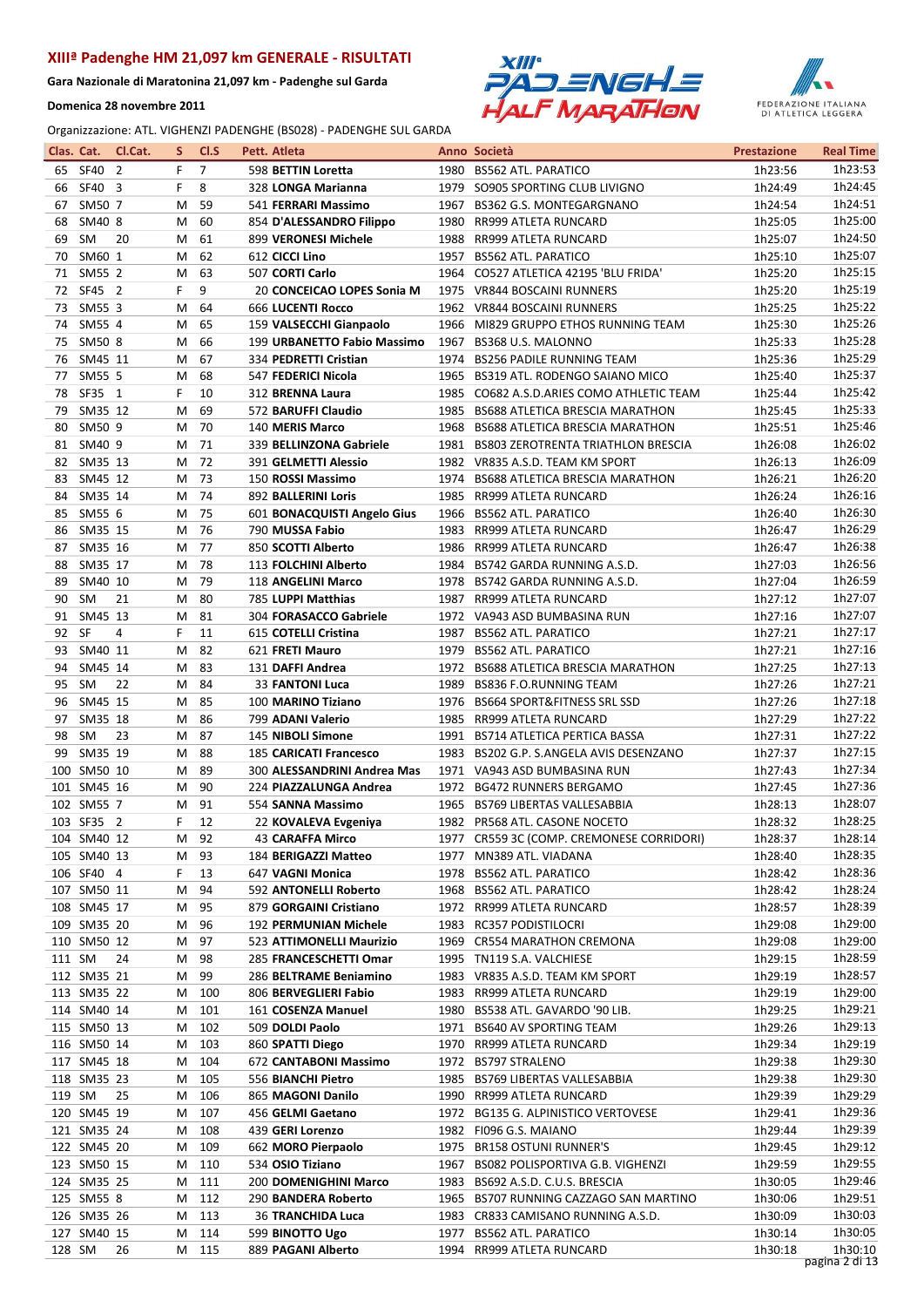Gara Nazionale di Maratonina 21,097 km - Padenghe sul Garda

Domenica 28 novembre 2011





| Clas. Cat. |                           | Cl.Cat. | S      | CI.S           | Pett. Atleta                              |      | Anno Società                                                  | <b>Prestazione</b> | <b>Real Time</b>   |
|------------|---------------------------|---------|--------|----------------|-------------------------------------------|------|---------------------------------------------------------------|--------------------|--------------------|
| 65         | SF40 2                    |         | F      | $\overline{7}$ | 598 BETTIN Loretta                        |      | 1980 BS562 ATL. PARATICO                                      | 1h23:56            | 1h23:53            |
| 66         | SF40 3                    |         | F      | 8              | 328 LONGA Marianna                        |      | 1979 SO905 SPORTING CLUB LIVIGNO                              | 1h24:49            | 1h24:45            |
| 67         | SM50 7                    |         | м      | 59             | 541 FERRARI Massimo                       |      | 1967 BS362 G.S. MONTEGARGNANO                                 | 1h24:54            | 1h24:51            |
| 68         | SM40 8                    |         | M      | 60             | 854 D'ALESSANDRO Filippo                  | 1980 | RR999 ATLETA RUNCARD                                          | 1h25:05            | 1h25:00            |
| 69         | <b>SM</b>                 | 20      | м      | 61             | 899 VERONESI Michele                      |      | 1988 RR999 ATLETA RUNCARD                                     | 1h25:07            | 1h24:50            |
| 70         | SM60 1                    |         | м      | 62             | 612 CICCI Lino                            |      | 1957 BS562 ATL, PARATICO                                      | 1h25:10            | 1h25:07            |
| 71         | SM55 2                    |         | м      | 63             | 507 CORTI Carlo                           | 1964 | CO527 ATLETICA 42195 'BLU FRIDA'                              | 1h25:20            | 1h25:15            |
| 72         | SF45 2                    |         | F      | 9              | 20 CONCEICAO LOPES Sonia M                | 1975 | <b>VR844 BOSCAINI RUNNERS</b>                                 | 1h25:20            | 1h25:19            |
| 73         | SM55 3                    |         | М      | 64             | <b>666 LUCENTI Rocco</b>                  | 1962 | <b>VR844 BOSCAINI RUNNERS</b>                                 | 1h25:25            | 1h25:22            |
| 74         | SM55 4                    |         | M      | 65             | 159 VALSECCHI Gianpaolo                   | 1966 | MI829 GRUPPO ETHOS RUNNING TEAM                               | 1h25:30            | 1h25:26            |
| 75         | SM50 8                    |         | м      | 66             | 199 URBANETTO Fabio Massimo               | 1967 | BS368 U.S. MALONNO                                            | 1h25:33            | 1h25:28            |
| 76         | SM45 11                   |         | м      | 67             | 334 PEDRETTI Cristian                     |      | 1974 BS256 PADILE RUNNING TEAM                                | 1h25:36            | 1h25:29            |
| 77         | SM55 5                    |         | м      | 68             | 547 FEDERICI Nicola                       | 1965 | BS319 ATL. RODENGO SAIANO MICO                                | 1h25:40            | 1h25:37            |
| 78         | SF35 1                    |         | F      | 10             | 312 BRENNA Laura                          |      | 1985 CO682 A.S.D.ARIES COMO ATHLETIC TEAM                     | 1h25:44            | 1h25:42            |
| 79         | SM35 12                   |         | М      | 69             | 572 BARUFFI Claudio                       | 1985 | <b>BS688 ATLETICA BRESCIA MARATHON</b>                        | 1h25:45            | 1h25:33            |
| 80         | SM50 9                    |         | м      | 70             | 140 MERIS Marco                           | 1968 | <b>BS688 ATLETICA BRESCIA MARATHON</b>                        | 1h25:51            | 1h25:46            |
| 81         | SM40 9                    |         | М      | 71             | 339 BELLINZONA Gabriele                   |      | 1981 BS803 ZEROTRENTA TRIATHLON BRESCIA                       | 1h26:08            | 1h26:02            |
| 82         | SM35 13                   |         | м      | 72             | 391 GELMETTI Alessio                      |      | 1982 VR835 A.S.D. TEAM KM SPORT                               | 1h26:13            | 1h26:09            |
| 83         | SM45 12                   |         | м      | 73             | 150 ROSSI Massimo                         | 1974 | <b>BS688 ATLETICA BRESCIA MARATHON</b>                        | 1h26:21            | 1h26:20            |
| 84         | SM35 14                   |         | М      | 74             | 892 BALLERINI Loris                       | 1985 | RR999 ATLETA RUNCARD                                          | 1h26:24            | 1h26:16            |
| 85         | SM55 6                    |         | м      | 75             | 601 BONACQUISTI Angelo Gius               | 1966 | BS562 ATL. PARATICO                                           | 1h26:40            | 1h26:30            |
| 86         | SM35 15                   |         | М      | 76             | 790 MUSSA Fabio                           | 1983 | RR999 ATLETA RUNCARD                                          | 1h26:47            | 1h26:29            |
| 87         | SM35 16                   |         | М      | 77             | 850 SCOTTI Alberto                        | 1986 | RR999 ATLETA RUNCARD                                          | 1h26:47            | 1h26:38            |
| 88         | SM35 17                   |         | м      | 78             | 113 FOLCHINI Alberto                      |      | 1984 BS742 GARDA RUNNING A.S.D.                               | 1h27:03            | 1h26:56            |
| 89         | SM40 10                   |         | м      | 79             | 118 ANGELINI Marco                        |      | 1978 BS742 GARDA RUNNING A.S.D.                               | 1h27:04            | 1h26:59            |
| 90         | <b>SM</b>                 | 21      | M      | 80             | 785 LUPPI Matthias                        |      | 1987 RR999 ATLETA RUNCARD                                     | 1h27:12            | 1h27:07            |
| 91         | SM45 13                   |         | м      | 81             | 304 FORASACCO Gabriele                    |      | 1972 VA943 ASD BUMBASINA RUN                                  | 1h27:16            | 1h27:07            |
| 92         | SF                        | 4       | F      | 11             | 615 COTELLI Cristina                      | 1987 | <b>BS562 ATL. PARATICO</b>                                    | 1h27:21            | 1h27:17            |
| 93         | SM40 11                   |         | м      | 82             | 621 FRETI Mauro                           | 1979 | <b>BS562 ATL. PARATICO</b>                                    | 1h27:21            | 1h27:16            |
| 94         | SM45 14                   |         | M      | 83             | 131 DAFFI Andrea                          |      | 1972 BS688 ATLETICA BRESCIA MARATHON                          | 1h27:25            | 1h27:13            |
| 95         | <b>SM</b>                 | 22      | м      | 84             | <b>33 FANTONI Luca</b>                    | 1989 | <b>BS836 F.O.RUNNING TEAM</b>                                 | 1h27:26            | 1h27:21            |
| 96         | SM45 15                   |         | M      | 85             | 100 MARINO Tiziano                        | 1976 | <b>BS664 SPORT&amp;FITNESS SRL SSD</b>                        | 1h27:26            | 1h27:18            |
| 97         | SM35 18                   |         | м      | 86             | 799 ADANI Valerio                         |      | 1985 RR999 ATLETA RUNCARD                                     | 1h27:29            | 1h27:22            |
| 98         | <b>SM</b>                 | 23      | М      | 87             | 145 NIBOLI Simone                         |      | 1991 BS714 ATLETICA PERTICA BASSA                             | 1h27:31            | 1h27:22            |
| 99         | SM35 19                   |         | M      | 88             | <b>185 CARICATI Francesco</b>             | 1983 | BS202 G.P. S.ANGELA AVIS DESENZANO                            | 1h27:37            | 1h27:15<br>1h27:34 |
|            | 100 SM50 10               |         | м      | 89             | 300 ALESSANDRINI Andrea Mas               |      | 1971 VA943 ASD BUMBASINA RUN                                  | 1h27:43            | 1h27:36            |
|            | 101 SM45 16<br>102 SM55 7 |         | м<br>м | 90<br>91       | 224 PIAZZALUNGA Andrea                    |      | 1972 BG472 RUNNERS BERGAMO<br>1965 BS769 LIBERTAS VALLESABBIA | 1h27:45            | 1h28:07            |
|            | 103 SF35 2                |         | F      | 12             | 554 SANNA Massimo<br>22 KOVALEVA Evgeniya |      | 1982 PR568 ATL. CASONE NOCETO                                 | 1h28:13<br>1h28:32 | 1h28:25            |
|            | 104 SM40 12               |         | M 92   |                | <b>43 CARAFFA Mirco</b>                   |      | 1977 CR559 3C (COMP. CREMONESE CORRIDORI)                     | 1h28:37            | 1h28:14            |
|            | 105 SM40 13               |         | M      | 93             | 184 BERIGAZZI Matteo                      |      | 1977 MN389 ATL. VIADANA                                       | 1h28:40            | 1h28:35            |
|            | 106 SF40 4                |         | F.     | 13             | 647 VAGNI Monica                          |      | 1978 BS562 ATL. PARATICO                                      | 1h28:42            | 1h28:36            |
|            | 107 SM50 11               |         | м      | 94             | 592 ANTONELLI Roberto                     |      | 1968 BS562 ATL. PARATICO                                      | 1h28:42            | 1h28:24            |
|            | 108 SM45 17               |         | м      | 95             | 879 GORGAINI Cristiano                    |      | 1972 RR999 ATLETA RUNCARD                                     | 1h28:57            | 1h28:39            |
|            | 109 SM35 20               |         | м      | 96             | 192 PERMUNIAN Michele                     |      | 1983 RC357 PODISTILOCRI                                       | 1h29:08            | 1h29:00            |
|            | 110 SM50 12               |         | м      | 97             | 523 ATTIMONELLI Maurizio                  |      | 1969 CR554 MARATHON CREMONA                                   | 1h29:08            | 1h29:00            |
| 111 SM     |                           | 24      | м      | 98             | 285 FRANCESCHETTI Omar                    |      | 1995 TN119 S.A. VALCHIESE                                     | 1h29:15            | 1h28:59            |
|            | 112 SM35 21               |         | м      | 99             | 286 BELTRAME Beniamino                    |      | 1983 VR835 A.S.D. TEAM KM SPORT                               | 1h29:19            | 1h28:57            |
|            | 113 SM35 22               |         | м      | 100            | 806 BERVEGLIERI Fabio                     |      | 1983 RR999 ATLETA RUNCARD                                     | 1h29:19            | 1h29:00            |
|            | 114 SM40 14               |         | м      | 101            | 161 COSENZA Manuel                        |      | 1980 BS538 ATL. GAVARDO '90 LIB.                              | 1h29:25            | 1h29:21            |
|            | 115 SM50 13               |         | м      | 102            | 509 DOLDI Paolo                           |      | 1971 BS640 AV SPORTING TEAM                                   | 1h29:26            | 1h29:13            |
|            | 116 SM50 14               |         | м      | 103            | 860 SPATTI Diego                          |      | 1970 RR999 ATLETA RUNCARD                                     | 1h29:34            | 1h29:19            |
|            | 117 SM45 18               |         | м      | 104            | 672 CANTABONI Massimo                     |      | 1972 BS797 STRALENO                                           | 1h29:38            | 1h29:30            |
|            | 118 SM35 23               |         | м      | 105            | 556 BIANCHI Pietro                        |      | 1985 BS769 LIBERTAS VALLESABBIA                               | 1h29:38            | 1h29:30            |
| 119 SM     |                           | 25      | м      | 106            | 865 MAGONI Danilo                         |      | 1990 RR999 ATLETA RUNCARD                                     | 1h29:39            | 1h29:29            |
|            | 120 SM45 19               |         | м      | 107            | 456 GELMI Gaetano                         |      | 1972 BG135 G. ALPINISTICO VERTOVESE                           | 1h29:41            | 1h29:36            |
|            | 121 SM35 24               |         | м      | 108            | 439 GERI Lorenzo                          |      | 1982 FI096 G.S. MAIANO                                        | 1h29:44            | 1h29:39            |
|            | 122 SM45 20               |         | м      | 109            | 662 MORO Pierpaolo                        |      | 1975 BR158 OSTUNI RUNNER'S                                    | 1h29:45            | 1h29:12            |
|            | 123 SM50 15               |         | м      | 110            | 534 OSIO Tiziano                          |      | 1967 BS082 POLISPORTIVA G.B. VIGHENZI                         | 1h29:59            | 1h29:55            |
|            | 124 SM35 25               |         | M      | 111            | 200 DOMENIGHINI Marco                     |      | 1983 BS692 A.S.D. C.U.S. BRESCIA                              | 1h30:05            | 1h29:46            |
|            | 125 SM55 8                |         | м      | 112            | 290 BANDERA Roberto                       |      | 1965 BS707 RUNNING CAZZAGO SAN MARTINO                        | 1h30:06            | 1h29:51            |
|            | 126 SM35 26               |         | м      | 113            | <b>36 TRANCHIDA Luca</b>                  |      | 1983 CR833 CAMISANO RUNNING A.S.D.                            | 1h30:09            | 1h30:03            |
|            | 127 SM40 15               |         | м      | 114            | 599 BINOTTO Ugo                           |      | 1977 BS562 ATL. PARATICO                                      | 1h30:14            | 1h30:05            |
| 128 SM     |                           | 26      | M      | 115            | 889 PAGANI Alberto                        |      | 1994 RR999 ATLETA RUNCARD                                     | 1h30:18            | 1h30:10            |
|            |                           |         |        |                |                                           |      |                                                               |                    | pagina 2 di 13     |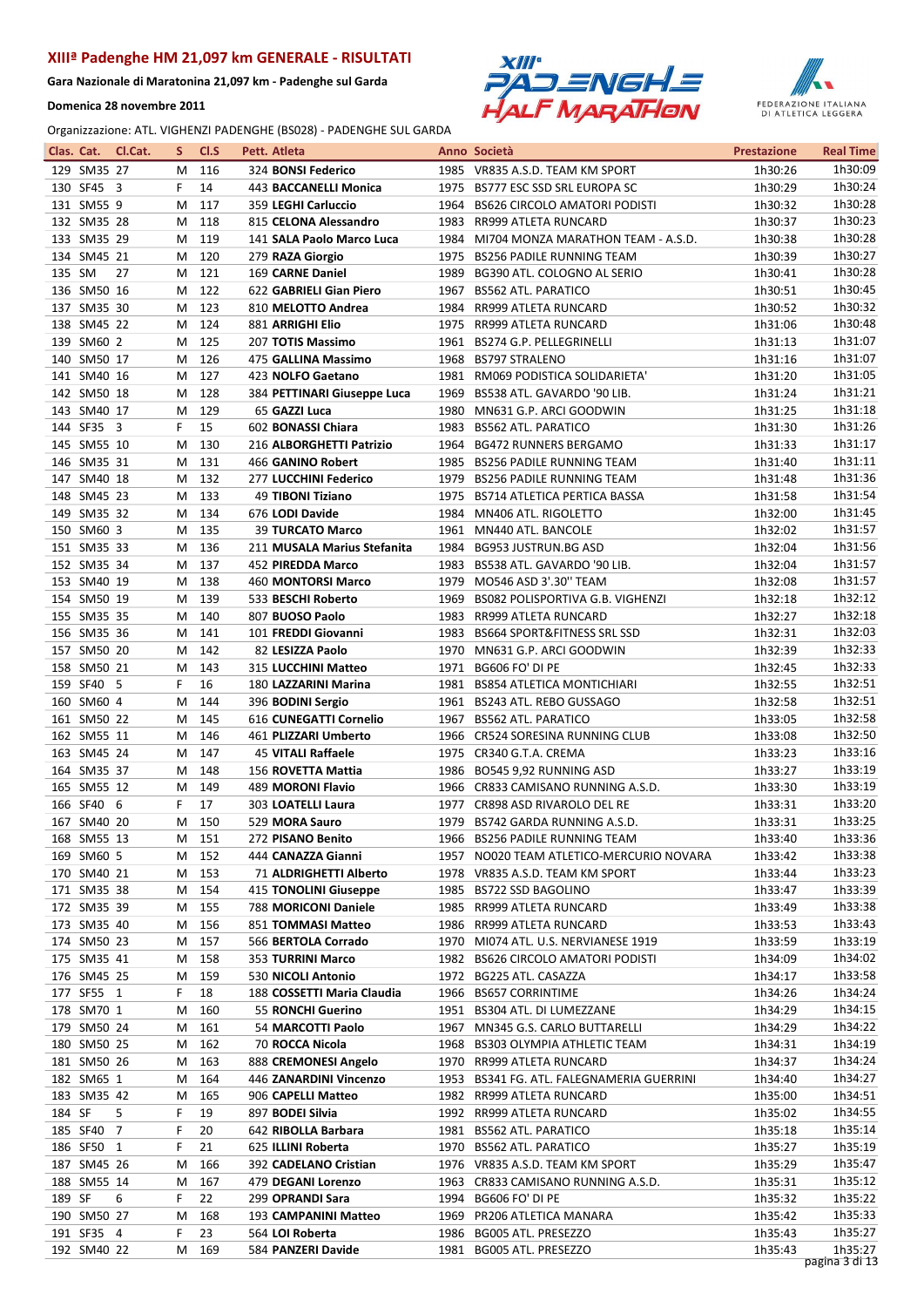Gara Nazionale di Maratonina 21,097 km - Padenghe sul Garda

Domenica 28 novembre 2011





|        | Clas. Cat.                 | Cl.Cat. | S.      | CI.S       | Pett. Atleta |                                          |      | Anno Società                                                | <b>Prestazione</b> | <b>Real Time</b>   |
|--------|----------------------------|---------|---------|------------|--------------|------------------------------------------|------|-------------------------------------------------------------|--------------------|--------------------|
|        | 129 SM35 27                |         | м       | 116        |              | 324 BONSI Federico                       |      | 1985 VR835 A.S.D. TEAM KM SPORT                             | 1h30:26            | 1h30:09            |
|        | 130 SF45 3                 |         | F       | 14         |              | 443 BACCANELLI Monica                    |      | 1975 BS777 ESC SSD SRL EUROPA SC                            | 1h30:29            | 1h30:24            |
|        | 131 SM55 9                 |         | М       | 117        |              | 359 LEGHI Carluccio                      |      | 1964 BS626 CIRCOLO AMATORI PODISTI                          | 1h30:32            | 1h30:28            |
|        | 132 SM35 28                |         | М       | 118        |              | 815 CELONA Alessandro                    |      | 1983 RR999 ATLETA RUNCARD                                   | 1h30:37            | 1h30:23            |
|        | 133 SM35 29                |         | м       | 119        |              | 141 SALA Paolo Marco Luca                |      | 1984 MI704 MONZA MARATHON TEAM - A.S.D.                     | 1h30:38            | 1h30:28            |
|        | 134 SM45 21                |         | М       | 120        |              | 279 RAZA Giorgio                         | 1975 | BS256 PADILE RUNNING TEAM                                   | 1h30:39            | 1h30:27            |
| 135 SM |                            | 27      | M       | 121        |              | 169 CARNE Daniel                         | 1989 | BG390 ATL. COLOGNO AL SERIO                                 | 1h30:41            | 1h30:28            |
|        | 136 SM50 16                |         | M       | 122        |              | 622 GABRIELI Gian Piero                  |      | 1967 BS562 ATL. PARATICO                                    | 1h30:51            | 1h30:45            |
|        | 137 SM35 30                |         | М       | 123        |              | 810 MELOTTO Andrea                       |      | 1984 RR999 ATLETA RUNCARD                                   | 1h30:52            | 1h30:32            |
|        | 138 SM45 22                |         | M       | 124        |              | 881 ARRIGHI Elio                         |      | 1975 RR999 ATLETA RUNCARD                                   | 1h31:06            | 1h30:48            |
|        | 139 SM60 2                 |         | м       | 125        |              | 207 TOTIS Massimo                        |      | 1961 BS274 G.P. PELLEGRINELLI                               | 1h31:13            | 1h31:07            |
|        | 140 SM50 17                |         | м       | 126        |              | 475 GALLINA Massimo                      |      | 1968 BS797 STRALENO                                         | 1h31:16            | 1h31:07            |
|        | 141 SM40 16                |         | M       | 127        |              | 423 NOLFO Gaetano                        |      | 1981 RM069 PODISTICA SOLIDARIETA'                           | 1h31:20            | 1h31:05            |
|        | 142 SM50 18                |         | M       | 128        |              | 384 PETTINARI Giuseppe Luca              |      | 1969 BS538 ATL. GAVARDO '90 LIB.                            | 1h31:24            | 1h31:21            |
|        | 143 SM40 17                |         | м       | 129        |              | 65 GAZZI Luca                            |      | 1980 MN631 G.P. ARCI GOODWIN                                | 1h31:25            | 1h31:18            |
|        | 144 SF35 3                 |         | F.      | 15         |              | 602 BONASSI Chiara                       | 1983 | <b>BS562 ATL. PARATICO</b>                                  | 1h31:30            | 1h31:26            |
|        | 145 SM55 10                |         | М       | 130        |              | 216 ALBORGHETTI Patrizio                 |      | 1964 BG472 RUNNERS BERGAMO                                  | 1h31:33            | 1h31:17            |
|        | 146 SM35 31                |         | м       | 131        |              | 466 GANINO Robert                        |      | 1985 BS256 PADILE RUNNING TEAM                              | 1h31:40            | 1h31:11            |
|        | 147 SM40 18                |         | м       | 132        |              | 277 LUCCHINI Federico                    |      | 1979 BS256 PADILE RUNNING TEAM                              | 1h31:48            | 1h31:36            |
|        | 148 SM45 23                |         | М       | 133        |              | 49 TIBONI Tiziano                        |      | 1975 BS714 ATLETICA PERTICA BASSA                           | 1h31:58            | 1h31:54            |
|        | 149 SM35 32                |         | м       | 134        |              | 676 LODI Davide                          |      | 1984 MN406 ATL. RIGOLETTO                                   | 1h32:00            | 1h31:45            |
|        | 150 SM60 3                 |         | М       | 135        |              | <b>39 TURCATO Marco</b>                  |      | 1961 MN440 ATL. BANCOLE                                     | 1h32:02            | 1h31:57            |
|        | 151 SM35 33                |         | М       | 136        |              | 211 MUSALA Marius Stefanita              | 1984 | <b>BG953 JUSTRUN.BG ASD</b>                                 | 1h32:04            | 1h31:56            |
|        | 152 SM35 34                |         | м       | 137        |              | 452 PIREDDA Marco                        |      | 1983 BS538 ATL. GAVARDO '90 LIB.                            | 1h32:04            | 1h31:57            |
|        | 153 SM40 19                |         | M       | 138        |              | <b>460 MONTORSI Marco</b>                |      | 1979 MO546 ASD 3'.30" TEAM                                  | 1h32:08            | 1h31:57            |
|        | 154 SM50 19                |         | M       | 139        |              | 533 BESCHI Roberto                       |      | 1969 BS082 POLISPORTIVA G.B. VIGHENZI                       | 1h32:18            | 1h32:12<br>1h32:18 |
|        | 155 SM35 35                |         | м       | 140        |              | 807 BUOSO Paolo                          |      | 1983 RR999 ATLETA RUNCARD                                   | 1h32:27            | 1h32:03            |
|        | 156 SM35 36<br>157 SM50 20 |         | М<br>М  | 141<br>142 |              | 101 FREDDI Giovanni<br>82 LESIZZA Paolo  | 1970 | 1983 BS664 SPORT&FITNESS SRL SSD<br>MN631 G.P. ARCI GOODWIN | 1h32:31<br>1h32:39 | 1h32:33            |
|        | 158 SM50 21                |         | м       | 143        |              | 315 LUCCHINI Matteo                      | 1971 | BG606 FO' DI PE                                             | 1h32:45            | 1h32:33            |
|        | 159 SF40 5                 |         | F.      | 16         |              | 180 LAZZARINI Marina                     |      | 1981 BS854 ATLETICA MONTICHIARI                             | 1h32:55            | 1h32:51            |
|        | 160 SM60 4                 |         | M       | 144        |              | 396 BODINI Sergio                        |      | 1961 BS243 ATL. REBO GUSSAGO                                | 1h32:58            | 1h32:51            |
|        | 161 SM50 22                |         | M       | 145        |              | 616 CUNEGATTI Cornelio                   |      | 1967 BS562 ATL. PARATICO                                    | 1h33:05            | 1h32:58            |
|        | 162 SM55 11                |         | М       | 146        |              | 461 PLIZZARI Umberto                     |      | 1966 CR524 SORESINA RUNNING CLUB                            | 1h33:08            | 1h32:50            |
|        | 163 SM45 24                |         | M       | 147        |              | 45 VITALI Raffaele                       |      | 1975 CR340 G.T.A. CREMA                                     | 1h33:23            | 1h33:16            |
|        | 164 SM35 37                |         | м       | 148        |              | 156 ROVETTA Mattia                       |      | 1986 BO545 9,92 RUNNING ASD                                 | 1h33:27            | 1h33:19            |
|        | 165 SM55 12                |         | м       | 149        |              | 489 MORONI Flavio                        |      | 1966 CR833 CAMISANO RUNNING A.S.D.                          | 1h33:30            | 1h33:19            |
|        | 166 SF40 6                 |         | F.      | 17         |              | 303 LOATELLI Laura                       | 1977 | CR898 ASD RIVAROLO DEL RE                                   | 1h33:31            | 1h33:20            |
|        | 167 SM40 20                |         |         | M 150      |              | 529 MORA Sauro                           |      | 1979 BS742 GARDA RUNNING A.S.D.                             | 1h33:31            | 1h33:25            |
|        | 168 SM55 13                |         |         | M 151      |              | 272 PISANO Benito                        |      | 1966 BS256 PADILE RUNNING TEAM                              | 1h33:40            | 1h33:36            |
|        | 169 SM60 5                 |         | M       | 152        |              | 444 CANAZZA Gianni                       |      | 1957 NO020 TEAM ATLETICO-MERCURIO NOVARA                    | 1h33:42            | 1h33:38            |
|        | 170 SM40 21                |         | M       | 153        |              | 71 ALDRIGHETTI Alberto                   |      | 1978 VR835 A.S.D. TEAM KM SPORT                             | 1h33:44            | 1h33:23            |
|        | 171 SM35 38                |         | м       | 154        |              | 415 TONOLINI Giuseppe                    |      | 1985 BS722 SSD BAGOLINO                                     | 1h33:47            | 1h33:39            |
|        | 172 SM35 39                |         | м       | 155        |              | 788 MORICONI Daniele                     |      | 1985 RR999 ATLETA RUNCARD                                   | 1h33:49            | 1h33:38            |
|        | 173 SM35 40                |         | м       | 156        |              | 851 TOMMASI Matteo                       |      | 1986 RR999 ATLETA RUNCARD                                   | 1h33:53            | 1h33:43            |
|        | 174 SM50 23                |         | м       | 157        |              | 566 BERTOLA Corrado                      |      | 1970 MI074 ATL. U.S. NERVIANESE 1919                        | 1h33:59            | 1h33:19            |
|        | 175 SM35 41                |         | м       | 158        |              | 353 TURRINI Marco                        |      | 1982 BS626 CIRCOLO AMATORI PODISTI                          | 1h34:09            | 1h34:02            |
|        | 176 SM45 25                |         | M       | 159        |              | 530 NICOLI Antonio                       |      | 1972 BG225 ATL. CASAZZA                                     | 1h34:17            | 1h33:58            |
|        | 177 SF55 1                 |         | F.      | 18         |              | 188 COSSETTI Maria Claudia               |      | 1966 BS657 CORRINTIME                                       | 1h34:26            | 1h34:24            |
|        | 178 SM70 1                 |         | м       | 160        |              | 55 RONCHI Guerino                        |      | 1951 BS304 ATL. DI LUMEZZANE                                | 1h34:29            | 1h34:15            |
|        | 179 SM50 24                |         | м       | 161        |              | 54 MARCOTTI Paolo                        |      | 1967 MN345 G.S. CARLO BUTTARELLI                            | 1h34:29            | 1h34:22            |
|        | 180 SM50 25                |         | м       | 162        |              | 70 ROCCA Nicola                          |      | 1968 BS303 OLYMPIA ATHLETIC TEAM                            | 1h34:31            | 1h34:19            |
|        | 181 SM50 26                |         | м       | 163        |              | 888 CREMONESI Angelo                     |      | 1970 RR999 ATLETA RUNCARD                                   | 1h34:37            | 1h34:24            |
|        | 182 SM65 1                 |         | м       | 164        |              | 446 ZANARDINI Vincenzo                   |      | 1953 BS341 FG. ATL. FALEGNAMERIA GUERRINI                   | 1h34:40            | 1h34:27            |
|        | 183 SM35 42                |         | м       | 165        |              | 906 CAPELLI Matteo                       |      | 1982 RR999 ATLETA RUNCARD                                   | 1h35:00            | 1h34:51            |
| 184 SF |                            | 5       | F       | 19         |              | 897 BODEI Silvia                         |      | 1992 RR999 ATLETA RUNCARD                                   | 1h35:02            | 1h34:55            |
|        | 185 SF40 7                 |         | F       | 20         |              | 642 RIBOLLA Barbara                      |      | 1981 BS562 ATL. PARATICO                                    | 1h35:18            | 1h35:14            |
|        | 186 SF50 1                 |         | F       | 21         |              | 625 ILLINI Roberta                       |      | 1970 BS562 ATL. PARATICO                                    | 1h35:27            | 1h35:19            |
|        | 187 SM45 26<br>188 SM55 14 |         | M       | 166        |              | 392 CADELANO Cristian                    |      | 1976 VR835 A.S.D. TEAM KM SPORT                             | 1h35:29            | 1h35:47<br>1h35:12 |
| 189 SF |                            | 6       | M<br>F. | 167        |              | 479 DEGANI Lorenzo                       |      | 1963 CR833 CAMISANO RUNNING A.S.D.                          | 1h35:31            | 1h35:22            |
|        | 190 SM50 27                |         | м       | 22<br>168  |              | 299 OPRANDI Sara<br>193 CAMPANINI Matteo |      | 1994 BG606 FO' DI PE<br>1969 PR206 ATLETICA MANARA          | 1h35:32<br>1h35:42 | 1h35:33            |
|        | 191 SF35 4                 |         | F       | 23         |              | 564 LOI Roberta                          |      | 1986 BG005 ATL. PRESEZZO                                    | 1h35:43            | 1h35:27            |
|        | 192 SM40 22                |         | Μ       | 169        |              | 584 PANZERI Davide                       |      | 1981 BG005 ATL. PRESEZZO                                    | 1h35:43            | 1h35:27            |
|        |                            |         |         |            |              |                                          |      |                                                             |                    | pagina 3 di 13     |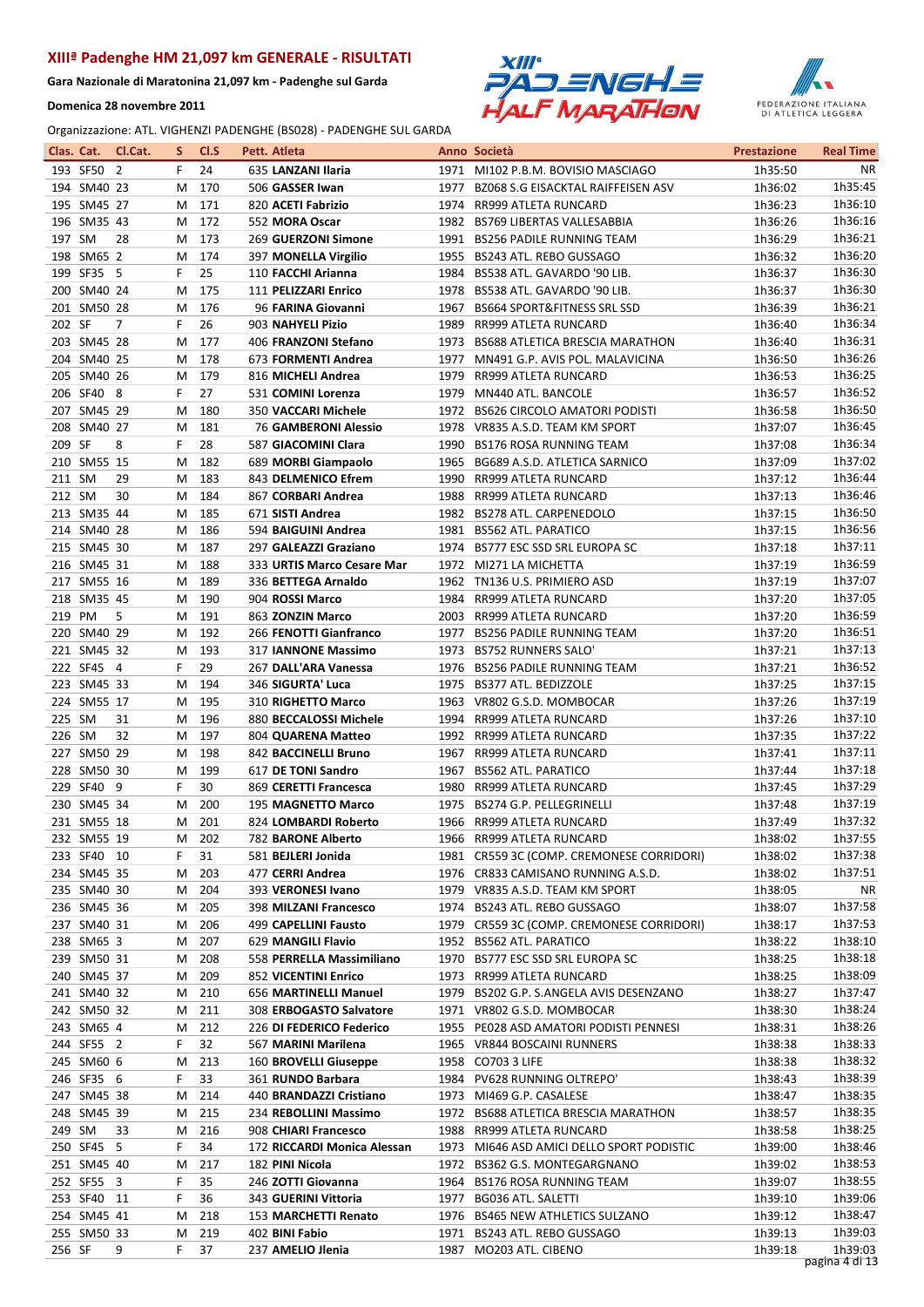Gara Nazionale di Maratonina 21,097 km - Padenghe sul Garda

Domenica 28 novembre 2011





| Clas. Cat. |             | Cl.Cat. | S | Cl.S | Pett. Atleta                |      | Anno Società                              | <b>Prestazione</b> | <b>Real Time</b> |
|------------|-------------|---------|---|------|-----------------------------|------|-------------------------------------------|--------------------|------------------|
|            | 193 SF50 2  |         | F | 24   | 635 LANZANI Ilaria          |      | 1971 MI102 P.B.M. BOVISIO MASCIAGO        | 1h35:50            | NR.              |
|            | 194 SM40 23 |         | М | 170  | 506 GASSER Iwan             |      | 1977 BZ068 S.G EISACKTAL RAIFFEISEN ASV   | 1h36:02            | 1h35:45          |
|            | 195 SM45 27 |         | M | 171  | 820 ACETI Fabrizio          | 1974 | RR999 ATLETA RUNCARD                      | 1h36:23            | 1h36:10          |
|            | 196 SM35 43 |         | M | 172  | 552 MORA Oscar              |      | 1982 BS769 LIBERTAS VALLESABBIA           | 1h36:26            | 1h36:16          |
| 197 SM     |             | 28      | M | 173  | 269 GUERZONI Simone         |      | 1991 BS256 PADILE RUNNING TEAM            | 1h36:29            | 1h36:21          |
|            | 198 SM65 2  |         | M | 174  | 397 MONELLA Virgilio        |      | 1955 BS243 ATL. REBO GUSSAGO              | 1h36:32            | 1h36:20          |
|            | 199 SF35 5  |         | F | 25   | 110 FACCHI Arianna          |      | 1984 BS538 ATL. GAVARDO '90 LIB.          | 1h36:37            | 1h36:30          |
|            | 200 SM40 24 |         | М | 175  | 111 PELIZZARI Enrico        | 1978 | BS538 ATL. GAVARDO '90 LIB.               | 1h36:37            | 1h36:30          |
|            | 201 SM50 28 |         | M | 176  | 96 FARINA Giovanni          | 1967 | BS664 SPORT&FITNESS SRL SSD               | 1h36:39            | 1h36:21          |
| 202 SF     |             | 7       | F | 26   | 903 NAHYELI Pizio           | 1989 | RR999 ATLETA RUNCARD                      | 1h36:40            | 1h36:34          |
|            | 203 SM45 28 |         | M | 177  | 406 FRANZONI Stefano        |      | 1973 BS688 ATLETICA BRESCIA MARATHON      | 1h36:40            | 1h36:31          |
|            | 204 SM40 25 |         | M | 178  | 673 FORMENTI Andrea         |      | 1977 MN491 G.P. AVIS POL. MALAVICINA      | 1h36:50            | 1h36:26          |
|            | 205 SM40 26 |         | M | 179  | 816 MICHELI Andrea          | 1979 | RR999 ATLETA RUNCARD                      | 1h36:53            | 1h36:25          |
|            | 206 SF40 8  |         | F | 27   | 531 COMINI Lorenza          | 1979 | MN440 ATL. BANCOLE                        | 1h36:57            | 1h36:52          |
|            |             |         |   |      |                             |      |                                           |                    | 1h36:50          |
|            | 207 SM45 29 |         | M | 180  | 350 VACCARI Michele         | 1972 | BS626 CIRCOLO AMATORI PODISTI             | 1h36:58            |                  |
| 208        | SM40 27     |         | М | 181  | <b>76 GAMBERONI Alessio</b> |      | 1978 VR835 A.S.D. TEAM KM SPORT           | 1h37:07            | 1h36:45          |
| 209 SF     |             | 8       | F | 28   | 587 GIACOMINI Clara         | 1990 | <b>BS176 ROSA RUNNING TEAM</b>            | 1h37:08            | 1h36:34          |
|            | 210 SM55 15 |         | M | 182  | 689 MORBI Giampaolo         | 1965 | BG689 A.S.D. ATLETICA SARNICO             | 1h37:09            | 1h37:02          |
| 211 SM     |             | 29      | M | 183  | 843 DELMENICO Efrem         |      | 1990 RR999 ATLETA RUNCARD                 | 1h37:12            | 1h36:44          |
| 212 SM     |             | 30      | М | 184  | 867 CORBARI Andrea          |      | 1988 RR999 ATLETA RUNCARD                 | 1h37:13            | 1h36:46          |
|            | 213 SM35 44 |         | М | 185  | 671 SISTI Andrea            |      | 1982 BS278 ATL, CARPENEDOLO               | 1h37:15            | 1h36:50          |
|            | 214 SM40 28 |         | M | 186  | 594 BAIGUINI Andrea         | 1981 | <b>BS562 ATL. PARATICO</b>                | 1h37:15            | 1h36:56          |
|            | 215 SM45 30 |         | M | 187  | 297 GALEAZZI Graziano       | 1974 | BS777 ESC SSD SRL EUROPA SC               | 1h37:18            | 1h37:11          |
|            | 216 SM45 31 |         | M | 188  | 333 URTIS Marco Cesare Mar  | 1972 | MI271 LA MICHETTA                         | 1h37:19            | 1h36:59          |
|            | 217 SM55 16 |         | M | 189  | 336 BETTEGA Arnaldo         |      | 1962 TN136 U.S. PRIMIERO ASD              | 1h37:19            | 1h37:07          |
|            | 218 SM35 45 |         | M | 190  | 904 ROSSI Marco             | 1984 | RR999 ATLETA RUNCARD                      | 1h37:20            | 1h37:05          |
| 219 PM     |             | 5       | М | 191  | 863 ZONZIN Marco            |      | 2003 RR999 ATLETA RUNCARD                 | 1h37:20            | 1h36:59          |
|            | 220 SM40 29 |         | M | 192  | 266 FENOTTI Gianfranco      | 1977 | <b>BS256 PADILE RUNNING TEAM</b>          | 1h37:20            | 1h36:51          |
|            | 221 SM45 32 |         | М | 193  | 317 IANNONE Massimo         | 1973 | <b>BS752 RUNNERS SALO</b>                 | 1h37:21            | 1h37:13          |
|            | 222 SF45 4  |         | F | 29   | 267 DALL'ARA Vanessa        | 1976 | BS256 PADILE RUNNING TEAM                 | 1h37:21            | 1h36:52          |
|            | 223 SM45 33 |         | M | 194  | 346 SIGURTA' Luca           | 1975 | BS377 ATL. BEDIZZOLE                      | 1h37:25            | 1h37:15          |
|            | 224 SM55 17 |         | M | 195  | 310 RIGHETTO Marco          |      | 1963 VR802 G.S.D. MOMBOCAR                | 1h37:26            | 1h37:19          |
| 225 SM     |             | 31      | М | 196  | 880 BECCALOSSI Michele      | 1994 | RR999 ATLETA RUNCARD                      | 1h37:26            | 1h37:10          |
| 226 SM     |             | 32      | M | 197  | 804 QUARENA Matteo          |      | 1992 RR999 ATLETA RUNCARD                 | 1h37:35            | 1h37:22          |
|            | 227 SM50 29 |         | M | 198  | 842 BACCINELLI Bruno        |      | 1967 RR999 ATLETA RUNCARD                 | 1h37:41            | 1h37:11          |
|            | 228 SM50 30 |         | M | 199  | 617 DE TONI Sandro          |      | 1967 BS562 ATL. PARATICO                  | 1h37:44            | 1h37:18          |
|            | 229 SF40 9  |         | F | 30   | 869 CERETTI Francesca       |      | 1980 RR999 ATLETA RUNCARD                 | 1h37:45            | 1h37:29          |
|            | 230 SM45 34 |         | M | 200  | 195 MAGNETTO Marco          |      | 1975 BS274 G.P. PELLEGRINELLI             | 1h37:48            | 1h37:19          |
|            | 231 SM55 18 |         | м | 201  | 824 LOMBARDI Roberto        |      | 1966 RR999 ATLETA RUNCARD                 | 1h37:49            | 1h37:32          |
|            | 232 SM55 19 |         |   | 202  | 782 BARONE Alberto          |      | 1966 RR999 ATLETA RUNCARD                 | 1h38:02            | 1h37:55          |
|            |             |         | M |      |                             |      |                                           |                    | 1h37:38          |
|            | 233 SF40 10 |         | F | 31   | 581 BEJLERI Jonida          |      | 1981 CR559 3C (COMP. CREMONESE CORRIDORI) | 1h38:02            |                  |
|            | 234 SM45 35 |         | M | 203  | 477 CERRI Andrea            |      | 1976 CR833 CAMISANO RUNNING A.S.D.        | 1h38:02            | 1h37:51          |
|            | 235 SM40 30 |         | M | 204  | 393 VERONESI Ivano          |      | 1979 VR835 A.S.D. TEAM KM SPORT           | 1h38:05            | NR.              |
|            | 236 SM45 36 |         | M | 205  | 398 MILZANI Francesco       |      | 1974 BS243 ATL. REBO GUSSAGO              | 1h38:07            | 1h37:58          |
|            | 237 SM40 31 |         | M | 206  | 499 CAPELLINI Fausto        |      | 1979 CR559 3C (COMP. CREMONESE CORRIDORI) | 1h38:17            | 1h37:53          |
|            | 238 SM65 3  |         | M | 207  | 629 MANGILI Flavio          |      | 1952 BS562 ATL. PARATICO                  | 1h38:22            | 1h38:10          |
|            | 239 SM50 31 |         | M | 208  | 558 PERRELLA Massimiliano   |      | 1970 BS777 ESC SSD SRL EUROPA SC          | 1h38:25            | 1h38:18          |
|            | 240 SM45 37 |         | M | 209  | 852 VICENTINI Enrico        |      | 1973 RR999 ATLETA RUNCARD                 | 1h38:25            | 1h38:09          |
|            | 241 SM40 32 |         | M | 210  | 656 MARTINELLI Manuel       |      | 1979 BS202 G.P. S.ANGELA AVIS DESENZANO   | 1h38:27            | 1h37:47          |
|            | 242 SM50 32 |         | M | 211  | 308 ERBOGASTO Salvatore     |      | 1971 VR802 G.S.D. MOMBOCAR                | 1h38:30            | 1h38:24          |
|            | 243 SM65 4  |         | M | 212  | 226 DI FEDERICO Federico    |      | 1955 PE028 ASD AMATORI PODISTI PENNESI    | 1h38:31            | 1h38:26          |
|            | 244 SF55 2  |         | F | 32   | 567 MARINI Marilena         |      | 1965 VR844 BOSCAINI RUNNERS               | 1h38:38            | 1h38:33          |
|            | 245 SM60 6  |         | M | 213  | 160 BROVELLI Giuseppe       |      | 1958 CO703 3 LIFE                         | 1h38:38            | 1h38:32          |
|            | 246 SF35 6  |         | F | 33   | 361 RUNDO Barbara           |      | 1984 PV628 RUNNING OLTREPO'               | 1h38:43            | 1h38:39          |
|            | 247 SM45 38 |         | м | 214  | 440 BRANDAZZI Cristiano     |      | 1973 MI469 G.P. CASALESE                  | 1h38:47            | 1h38:35          |
|            | 248 SM45 39 |         | M | 215  | 234 REBOLLINI Massimo       |      | 1972 BS688 ATLETICA BRESCIA MARATHON      | 1h38:57            | 1h38:35          |
| 249 SM     |             | 33      | M | 216  | 908 CHIARI Francesco        |      | 1988 RR999 ATLETA RUNCARD                 | 1h38:58            | 1h38:25          |
|            | 250 SF45 5  |         | F | 34   | 172 RICCARDI Monica Alessan |      | 1973 MI646 ASD AMICI DELLO SPORT PODISTIC | 1h39:00            | 1h38:46          |
|            | 251 SM45 40 |         | M | 217  | 182 PINI Nicola             |      | 1972 BS362 G.S. MONTEGARGNANO             | 1h39:02            | 1h38:53          |
|            | 252 SF55 3  |         | F | 35   | 246 ZOTTI Giovanna          |      | 1964 BS176 ROSA RUNNING TEAM              | 1h39:07            | 1h38:55          |
|            | 253 SF40 11 |         | F | 36   | 343 GUERINI Vittoria        |      | 1977 BG036 ATL. SALETTI                   | 1h39:10            | 1h39:06          |
|            | 254 SM45 41 |         | M | 218  | 153 MARCHETTI Renato        |      | 1976 BS465 NEW ATHLETICS SULZANO          | 1h39:12            | 1h38:47          |
|            | 255 SM50 33 |         | м | 219  | 402 BINI Fabio              |      | 1971 BS243 ATL. REBO GUSSAGO              | 1h39:13            | 1h39:03          |
| 256 SF     |             | 9       | F | 37   | 237 AMELIO Jlenia           |      | 1987 MO203 ATL. CIBENO                    | 1h39:18            | 1h39:03          |
|            |             |         |   |      |                             |      |                                           |                    | pagina 4 di 13   |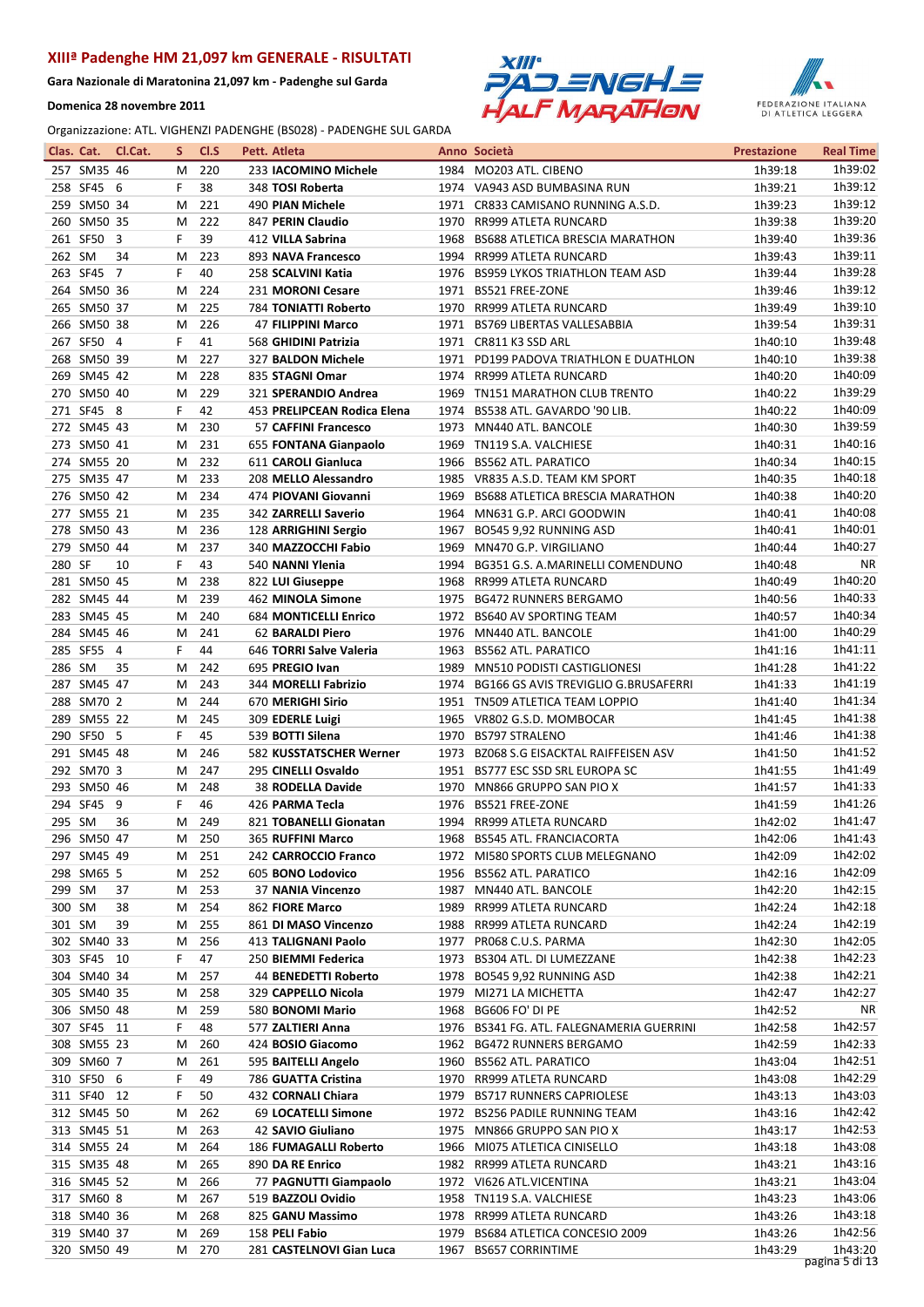Gara Nazionale di Maratonina 21,097 km - Padenghe sul Garda

Domenica 28 novembre 2011





| Clas. Cat. |                            | Cl.Cat.        | S.     | CI.S       | Pett. Atleta                                 |      | Anno Società                                                            | <b>Prestazione</b> | <b>Real Time</b>   |
|------------|----------------------------|----------------|--------|------------|----------------------------------------------|------|-------------------------------------------------------------------------|--------------------|--------------------|
|            | 257 SM35 46                |                | м      | 220        | 233 IACOMINO Michele                         |      | 1984 MO203 ATL, CIBENO                                                  | 1h39:18            | 1h39:02            |
|            | 258 SF45 6                 |                | F      | 38         | 348 TOSI Roberta                             |      | 1974 VA943 ASD BUMBASINA RUN                                            | 1h39:21            | 1h39:12            |
|            | 259 SM50 34                |                | м      | 221        | 490 PIAN Michele                             |      | 1971 CR833 CAMISANO RUNNING A.S.D.                                      | 1h39:23            | 1h39:12            |
|            | 260 SM50 35                |                | м      | 222        | 847 PERIN Claudio                            | 1970 | RR999 ATLETA RUNCARD                                                    | 1h39:38            | 1h39:20            |
|            | 261 SF50 3                 |                | F      | 39         | 412 VILLA Sabrina                            |      | 1968 BS688 ATLETICA BRESCIA MARATHON                                    | 1h39:40            | 1h39:36            |
| 262 SM     |                            | 34             | м      | 223        | 893 NAVA Francesco                           |      | 1994 RR999 ATLETA RUNCARD                                               | 1h39:43            | 1h39:11            |
|            | 263 SF45                   | $\overline{7}$ | F      | 40         | 258 SCALVINI Katia                           |      | 1976 BS959 LYKOS TRIATHLON TEAM ASD                                     | 1h39:44            | 1h39:28            |
|            | 264 SM50 36                |                | м      | 224        | 231 MORONI Cesare                            |      | 1971 BS521 FREE-ZONE                                                    | 1h39:46            | 1h39:12            |
|            | 265 SM50 37                |                | м      | 225        | <b>784 TONIATTI Roberto</b>                  | 1970 | RR999 ATLETA RUNCARD                                                    | 1h39:49            | 1h39:10            |
|            | 266 SM50 38                |                | м      | 226        | 47 FILIPPINI Marco                           |      | 1971 BS769 LIBERTAS VALLESABBIA                                         | 1h39:54            | 1h39:31            |
|            | 267 SF50 4                 |                | F      | 41         | 568 GHIDINI Patrizia                         | 1971 | CR811 K3 SSD ARL                                                        | 1h40:10            | 1h39:48            |
|            | 268 SM50 39                |                | м      | 227        | 327 BALDON Michele                           |      | 1971 PD199 PADOVA TRIATHLON E DUATHLON                                  | 1h40:10            | 1h39:38            |
|            | 269 SM45 42                |                | М      | 228        | 835 STAGNI Omar                              |      | 1974 RR999 ATLETA RUNCARD                                               | 1h40:20            | 1h40:09            |
|            | 270 SM50 40                |                | M      | 229        | 321 SPERANDIO Andrea                         | 1969 | TN151 MARATHON CLUB TRENTO                                              | 1h40:22            | 1h39:29            |
|            | 271 SF45 8                 |                | F      | 42         | 453 PRELIPCEAN Rodica Elena                  |      | 1974 BS538 ATL. GAVARDO '90 LIB.                                        | 1h40:22            | 1h40:09            |
|            | 272 SM45 43                |                | м      | 230        | 57 CAFFINI Francesco                         |      | 1973 MN440 ATL. BANCOLE                                                 | 1h40:30            | 1h39:59<br>1h40:16 |
|            | 273 SM50 41<br>274 SM55 20 |                | м      | 231        | 655 FONTANA Gianpaolo                        | 1969 | TN119 S.A. VALCHIESE                                                    | 1h40:31            | 1h40:15            |
|            | 275 SM35 47                |                | м      | 232<br>233 | 611 CAROLI Gianluca                          |      | 1966 BS562 ATL. PARATICO                                                | 1h40:34            | 1h40:18            |
|            | 276 SM50 42                |                | м<br>М | 234        | 208 MELLO Alessandro<br>474 PIOVANI Giovanni | 1969 | 1985 VR835 A.S.D. TEAM KM SPORT<br>BS688 ATLETICA BRESCIA MARATHON      | 1h40:35<br>1h40:38 | 1h40:20            |
|            | 277 SM55 21                |                | М      | 235        | 342 ZARRELLI Saverio                         |      | 1964 MN631 G.P. ARCI GOODWIN                                            | 1h40:41            | 1h40:08            |
|            | 278 SM50 43                |                | М      | 236        | 128 ARRIGHINI Sergio                         |      | 1967 BO545 9,92 RUNNING ASD                                             | 1h40:41            | 1h40:01            |
|            | 279 SM50 44                |                | м      | 237        | 340 MAZZOCCHI Fabio                          | 1969 | MN470 G.P. VIRGILIANO                                                   | 1h40:44            | 1h40:27            |
| 280 SF     |                            | 10             | F      | 43         | 540 NANNI Ylenia                             |      | 1994 BG351 G.S. A.MARINELLI COMENDUNO                                   | 1h40:48            | <b>NR</b>          |
|            | 281 SM50 45                |                | м      | 238        | 822 LUI Giuseppe                             |      | 1968 RR999 ATLETA RUNCARD                                               | 1h40:49            | 1h40:20            |
|            | 282 SM45 44                |                | м      | 239        | 462 MINOLA Simone                            |      | 1975 BG472 RUNNERS BERGAMO                                              | 1h40:56            | 1h40:33            |
|            | 283 SM45 45                |                | М      | 240        | 684 MONTICELLI Enrico                        |      | 1972 BS640 AV SPORTING TEAM                                             | 1h40:57            | 1h40:34            |
|            | 284 SM45 46                |                | M      | 241        | 62 BARALDI Piero                             | 1976 | MN440 ATL. BANCOLE                                                      | 1h41:00            | 1h40:29            |
|            | 285 SF55                   | $\overline{4}$ | F      | 44         | 646 TORRI Salve Valeria                      | 1963 | <b>BS562 ATL. PARATICO</b>                                              | 1h41:16            | 1h41:11            |
| 286 SM     |                            | 35             | М      | 242        | 695 PREGIO Ivan                              | 1989 | MN510 PODISTI CASTIGLIONESI                                             | 1h41:28            | 1h41:22            |
|            | 287 SM45 47                |                | м      | 243        | 344 MORELLI Fabrizio                         | 1974 | <b>BG166 GS AVIS TREVIGLIO G.BRUSAFERRI</b>                             | 1h41:33            | 1h41:19            |
|            | 288 SM70 2                 |                | м      | 244        | 670 MERIGHI Sirio                            |      | 1951 TN509 ATLETICA TEAM LOPPIO                                         | 1h41:40            | 1h41:34            |
|            | 289 SM55 22                |                | M      | 245        | 309 EDERLE Luigi                             |      | 1965 VR802 G.S.D. MOMBOCAR                                              | 1h41:45            | 1h41:38            |
|            | 290 SF50 5                 |                | F      | 45         | 539 BOTTI Silena                             |      | 1970 BS797 STRALENO                                                     | 1h41:46            | 1h41:38            |
|            | 291 SM45 48                |                | М      | 246        | 582 KUSSTATSCHER Werner                      |      | 1973 BZ068 S.G EISACKTAL RAIFFEISEN ASV                                 | 1h41:50            | 1h41:52            |
|            | 292 SM70 3                 |                | М      | 247        | 295 CINELLI Osvaldo                          | 1951 | BS777 ESC SSD SRL EUROPA SC                                             | 1h41:55            | 1h41:49            |
|            | 293 SM50 46                |                | м      | 248        | 38 RODELLA Davide                            |      | 1970 MN866 GRUPPO SAN PIO X                                             | 1h41:57            | 1h41:33            |
|            | 294 SF45 9                 |                | F      | 46         | 426 PARMA Tecla                              |      | 1976 BS521 FREE-ZONE                                                    | 1h41:59            | 1h41:26            |
| 295 SM     |                            | 36             | м      | 249        | 821 TOBANELLI Gionatan                       |      | 1994 RR999 ATLETA RUNCARD                                               | 1h42:02            | 1h41:47            |
|            | 296 SM50 47                |                |        | M 250      | 365 RUFFINI Marco                            |      | 1968 BS545 ATL. FRANCIACORTA                                            | 1h42:06            | 1h41:43            |
|            | 297 SM45 49                |                | м      | 251        | 242 CARROCCIO Franco                         |      | 1972 MI580 SPORTS CLUB MELEGNANO                                        | 1h42:09            | 1h42:02            |
|            | 298 SM65 5                 |                | м      | 252        | 605 BONO Lodovico                            |      | 1956 BS562 ATL. PARATICO                                                | 1h42:16            | 1h42:09            |
| 299 SM     |                            | 37             | м      | 253        | 37 NANIA Vincenzo                            |      | 1987 MN440 ATL. BANCOLE                                                 | 1h42:20            | 1h42:15            |
| 300 SM     |                            | 38             | м      | 254        | 862 FIORE Marco                              |      | 1989 RR999 ATLETA RUNCARD                                               | 1h42:24            | 1h42:18            |
| 301 SM     |                            | 39             | м      | 255        | 861 DI MASO Vincenzo                         |      | 1988 RR999 ATLETA RUNCARD                                               | 1h42:24            | 1h42:19            |
|            | 302 SM40 33                |                | м      | 256        | 413 TALIGNANI Paolo                          |      | 1977 PR068 C.U.S. PARMA                                                 | 1h42:30            | 1h42:05            |
|            | 303 SF45 10                |                | F      | 47         | 250 BIEMMI Federica                          |      | 1973 BS304 ATL. DI LUMEZZANE                                            | 1h42:38            | 1h42:23            |
|            | 304 SM40 34                |                | м      | 257        | 44 BENEDETTI Roberto                         |      | 1978 BO545 9,92 RUNNING ASD                                             | 1h42:38            | 1h42:21            |
|            | 305 SM40 35                |                | M      | 258        | 329 CAPPELLO Nicola                          |      | 1979 MI271 LA MICHETTA                                                  | 1h42:47            | 1h42:27<br>ΝR      |
|            | 306 SM50 48<br>307 SF45 11 |                | м      | 259        | 580 BONOMI Mario                             |      | 1968 BG606 FO' DI PE                                                    | 1h42:52            | 1h42:57            |
|            | 308 SM55 23                |                | F      | 48<br>260  | 577 ZALTIERI Anna<br>424 BOSIO Giacomo       |      | 1976 BS341 FG. ATL. FALEGNAMERIA GUERRINI<br>1962 BG472 RUNNERS BERGAMO | 1h42:58<br>1h42:59 | 1h42:33            |
|            | 309 SM60 7                 |                | М<br>м | 261        | 595 BAITELLI Angelo                          |      | 1960 BS562 ATL. PARATICO                                                | 1h43:04            | 1h42:51            |
|            | 310 SF50 6                 |                | F      | 49         | 786 GUATTA Cristina                          |      | 1970 RR999 ATLETA RUNCARD                                               | 1h43:08            | 1h42:29            |
|            | 311 SF40 12                |                | F      | 50         | 432 CORNALI Chiara                           |      | 1979 BS717 RUNNERS CAPRIOLESE                                           | 1h43:13            | 1h43:03            |
|            | 312 SM45 50                |                | м      | 262        | 69 LOCATELLI Simone                          |      | 1972 BS256 PADILE RUNNING TEAM                                          | 1h43:16            | 1h42:42            |
|            | 313 SM45 51                |                | м      | 263        | 42 SAVIO Giuliano                            |      | 1975 MN866 GRUPPO SAN PIO X                                             | 1h43:17            | 1h42:53            |
|            | 314 SM55 24                |                | м      | 264        | 186 FUMAGALLI Roberto                        |      | 1966 MI075 ATLETICA CINISELLO                                           | 1h43:18            | 1h43:08            |
|            | 315 SM35 48                |                | м      | 265        | 890 DA RE Enrico                             |      | 1982 RR999 ATLETA RUNCARD                                               | 1h43:21            | 1h43:16            |
|            | 316 SM45 52                |                | м      | 266        | 77 PAGNUTTI Giampaolo                        |      | 1972 VI626 ATL.VICENTINA                                                | 1h43:21            | 1h43:04            |
|            | 317 SM60 8                 |                | M      | 267        | 519 BAZZOLI Ovidio                           |      | 1958 TN119 S.A. VALCHIESE                                               | 1h43:23            | 1h43:06            |
|            | 318 SM40 36                |                | м      | 268        | 825 GANU Massimo                             |      | 1978 RR999 ATLETA RUNCARD                                               | 1h43:26            | 1h43:18            |
|            | 319 SM40 37                |                | м      | 269        | 158 PELI Fabio                               | 1979 | BS684 ATLETICA CONCESIO 2009                                            | 1h43:26            | 1h42:56            |
|            | 320 SM50 49                |                | м      | 270        | 281 CASTELNOVI Gian Luca                     | 1967 | <b>BS657 CORRINTIME</b>                                                 | 1h43:29            | 1h43:20            |
|            |                            |                |        |            |                                              |      |                                                                         |                    | pagina 5 di 13     |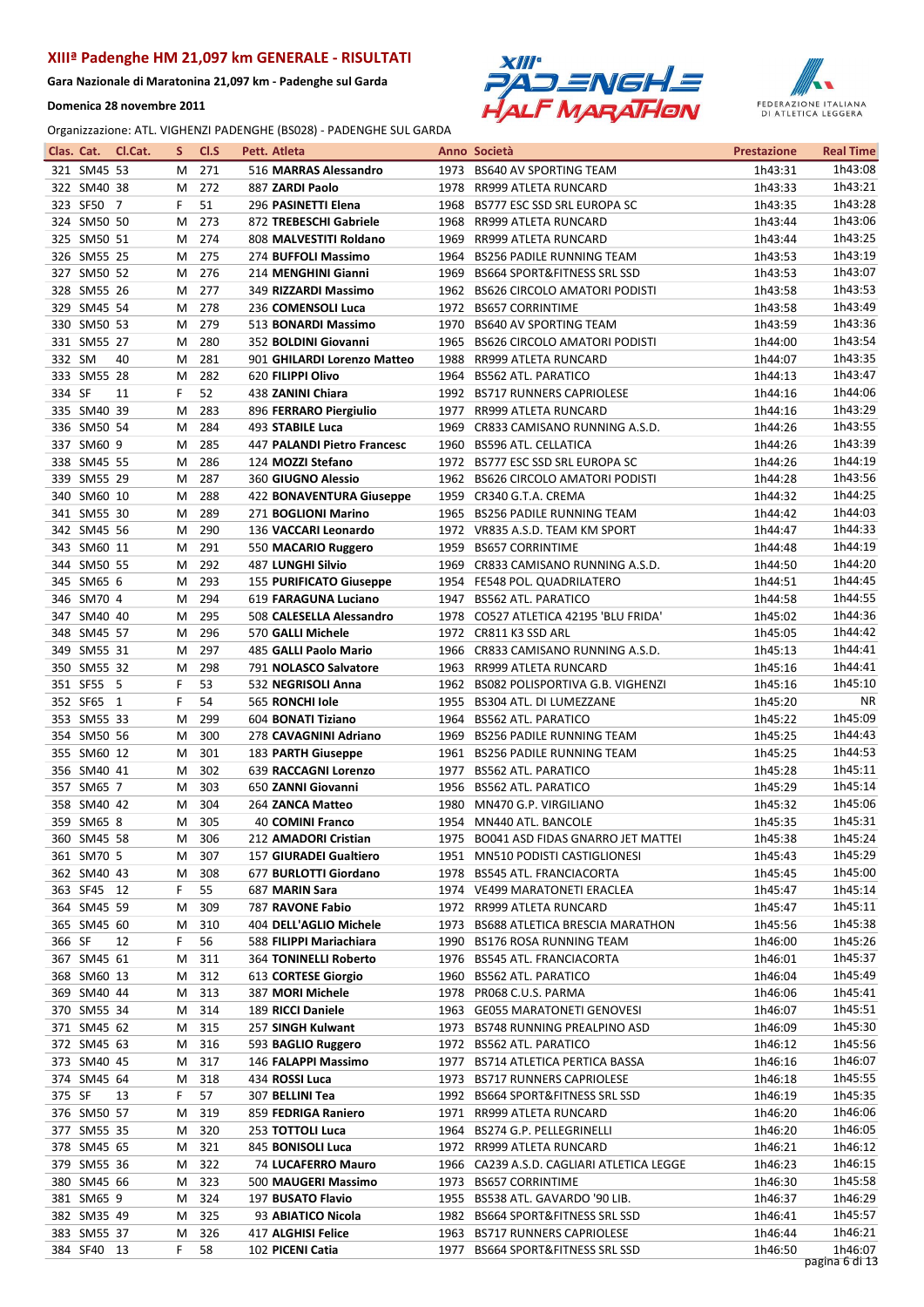Gara Nazionale di Maratonina 21,097 km - Padenghe sul Garda

Domenica 28 novembre 2011





|        |                            | Clas. Cat. Cl.Cat. | s      | Cl.S       | Pett. Atleta                                     |      | Anno Società                                                         | <b>Prestazione</b> | <b>Real Time</b>   |
|--------|----------------------------|--------------------|--------|------------|--------------------------------------------------|------|----------------------------------------------------------------------|--------------------|--------------------|
|        | 321 SM45 53                |                    | м      | 271        | 516 MARRAS Alessandro                            |      | 1973 BS640 AV SPORTING TEAM                                          | 1h43:31            | 1h43:08            |
|        | 322 SM40 38                |                    | м      | 272        | 887 ZARDI Paolo                                  |      | 1978 RR999 ATLETA RUNCARD                                            | 1h43:33            | 1h43:21            |
|        | 323 SF50 7                 |                    | F      | 51         | 296 PASINETTI Elena                              | 1968 | BS777 ESC SSD SRL EUROPA SC                                          | 1h43:35            | 1h43:28            |
|        | 324 SM50 50                |                    | м      | 273        | 872 TREBESCHI Gabriele                           | 1968 | RR999 ATLETA RUNCARD                                                 | 1h43:44            | 1h43:06            |
|        | 325 SM50 51                |                    | м      | 274        | 808 MALVESTITI Roldano                           | 1969 | <b>RR999 ATLETA RUNCARD</b>                                          | 1h43:44            | 1h43:25            |
|        | 326 SM55 25                |                    | м      | 275        | 274 BUFFOLI Massimo                              | 1964 | <b>BS256 PADILE RUNNING TEAM</b>                                     | 1h43:53            | 1h43:19            |
|        | 327 SM50 52                |                    | М      | 276        | 214 MENGHINI Gianni                              | 1969 | <b>BS664 SPORT&amp;FITNESS SRL SSD</b>                               | 1h43:53            | 1h43:07            |
|        | 328 SM55 26                |                    | м      | 277        | 349 RIZZARDI Massimo                             |      | 1962 BS626 CIRCOLO AMATORI PODISTI                                   | 1h43:58            | 1h43:53            |
|        | 329 SM45 54                |                    | м      | 278        | 236 COMENSOLI Luca                               | 1972 | <b>BS657 CORRINTIME</b>                                              | 1h43:58            | 1h43:49            |
|        | 330 SM50 53                |                    | м      | 279        | 513 BONARDI Massimo                              | 1970 | <b>BS640 AV SPORTING TEAM</b>                                        | 1h43:59            | 1h43:36            |
|        | 331 SM55 27                |                    | м      | 280        | 352 BOLDINI Giovanni                             | 1965 | <b>BS626 CIRCOLO AMATORI PODISTI</b>                                 | 1h44:00            | 1h43:54            |
| 332 SM |                            | 40                 | м      | 281        | 901 GHILARDI Lorenzo Matteo                      | 1988 | RR999 ATLETA RUNCARD                                                 | 1h44:07            | 1h43:35            |
|        | 333 SM55 28                |                    | M      | 282        | 620 FILIPPI Olivo                                | 1964 | <b>BS562 ATL. PARATICO</b>                                           | 1h44:13            | 1h43:47            |
| 334 SF |                            | 11                 | F.     | 52         | 438 ZANINI Chiara                                |      | 1992 BS717 RUNNERS CAPRIOLESE                                        | 1h44:16            | 1h44:06            |
|        | 335 SM40 39                |                    | М      | 283        | 896 FERRARO Piergiulio                           |      | 1977 RR999 ATLETA RUNCARD                                            | 1h44:16            | 1h43:29            |
|        | 336 SM50 54                |                    | м      | 284        | 493 STABILE Luca                                 | 1969 | CR833 CAMISANO RUNNING A.S.D.                                        | 1h44:26            | 1h43:55            |
|        | 337 SM60 9                 |                    | м      | 285        | 447 PALANDI Pietro Francesc                      | 1960 | <b>BS596 ATL. CELLATICA</b>                                          | 1h44:26            | 1h43:39            |
|        | 338 SM45 55                |                    | М      | 286        | 124 MOZZI Stefano                                |      | 1972 BS777 ESC SSD SRL EUROPA SC                                     | 1h44:26            | 1h44:19            |
|        | 339 SM55 29                |                    | м      | 287        | <b>360 GIUGNO Alessio</b>                        | 1962 | <b>BS626 CIRCOLO AMATORI PODISTI</b>                                 | 1h44:28            | 1h43:56            |
|        | 340 SM60 10                |                    | м      | 288        | 422 BONAVENTURA Giuseppe                         |      | 1959 CR340 G.T.A. CREMA                                              | 1h44:32            | 1h44:25            |
|        | 341 SM55 30                |                    | м      | 289        | 271 BOGLIONI Marino                              |      | 1965 BS256 PADILE RUNNING TEAM                                       | 1h44:42            | 1h44:03            |
|        | 342 SM45 56                |                    | м      | 290        | 136 VACCARI Leonardo                             |      | 1972 VR835 A.S.D. TEAM KM SPORT                                      | 1h44:47            | 1h44:33            |
|        | 343 SM60 11                |                    | м      | 291        | 550 MACARIO Ruggero                              | 1959 | <b>BS657 CORRINTIME</b>                                              | 1h44:48            | 1h44:19            |
|        | 344 SM50 55                |                    | м      | 292        | <b>487 LUNGHI Silvio</b>                         |      | 1969 CR833 CAMISANO RUNNING A.S.D.                                   | 1h44:50            | 1h44:20            |
|        | 345 SM65 6                 |                    | м      | 293        | <b>155 PURIFICATO Giuseppe</b>                   |      | 1954 FE548 POL. QUADRILATERO                                         | 1h44:51            | 1h44:45<br>1h44:55 |
|        | 346 SM70 4<br>347 SM40 40  |                    | M<br>м | 294<br>295 | 619 FARAGUNA Luciano<br>508 CALESELLA Alessandro | 1947 | <b>BS562 ATL. PARATICO</b><br>1978 CO527 ATLETICA 42195 'BLU FRIDA'  | 1h44:58<br>1h45:02 | 1h44:36            |
|        | 348 SM45 57                |                    | м      | 296        | 570 GALLI Michele                                |      | 1972 CR811 K3 SSD ARL                                                | 1h45:05            | 1h44:42            |
|        | 349 SM55 31                |                    | м      | 297        | 485 GALLI Paolo Mario                            | 1966 | CR833 CAMISANO RUNNING A.S.D.                                        | 1h45:13            | 1h44:41            |
|        | 350 SM55 32                |                    | м      | 298        | 791 NOLASCO Salvatore                            |      | 1963 RR999 ATLETA RUNCARD                                            | 1h45:16            | 1h44:41            |
|        | 351 SF55 5                 |                    | F      | 53         | 532 NEGRISOLI Anna                               |      | 1962 BS082 POLISPORTIVA G.B. VIGHENZI                                | 1h45:16            | 1h45:10            |
|        | 352 SF65 1                 |                    | F      | 54         | 565 RONCHI Iole                                  | 1955 | BS304 ATL. DI LUMEZZANE                                              | 1h45:20            | <b>NR</b>          |
|        | 353 SM55 33                |                    | м      | 299        | 604 BONATI Tiziano                               |      | 1964 BS562 ATL. PARATICO                                             | 1h45:22            | 1h45:09            |
|        | 354 SM50 56                |                    | м      | 300        | 278 CAVAGNINI Adriano                            | 1969 | <b>BS256 PADILE RUNNING TEAM</b>                                     | 1h45:25            | 1h44:43            |
|        | 355 SM60 12                |                    | м      | 301        | 183 PARTH Giuseppe                               | 1961 | <b>BS256 PADILE RUNNING TEAM</b>                                     | 1h45:25            | 1h44:53            |
|        | 356 SM40 41                |                    | м      | 302        | 639 RACCAGNI Lorenzo                             |      | 1977 BS562 ATL. PARATICO                                             | 1h45:28            | 1h45:11            |
|        | 357 SM65 7                 |                    | м      | 303        | 650 ZANNI Giovanni                               |      | 1956 BS562 ATL. PARATICO                                             | 1h45:29            | 1h45:14            |
|        | 358 SM40 42                |                    | м      | 304        | 264 ZANCA Matteo                                 | 1980 | MN470 G.P. VIRGILIANO                                                | 1h45:32            | 1h45:06            |
|        | 359 SM65 8                 |                    | м      | 305        | 40 COMINI Franco                                 |      | 1954 MN440 ATL. BANCOLE                                              | 1h45:35            | 1h45:31            |
|        | 360 SM45 58                |                    |        | M 306      | 212 AMADORI Cristian                             |      | 1975 BO041 ASD FIDAS GNARRO JET MATTEI                               | 1h45:38            | 1h45:24            |
|        | 361 SM70 5                 |                    | м      | 307        | <b>157 GIURADEI Gualtiero</b>                    |      | 1951 MN510 PODISTI CASTIGLIONESI                                     | 1h45:43            | 1h45:29            |
|        | 362 SM40 43                |                    | M      | 308        | 677 BURLOTTI Giordano                            |      | 1978 BS545 ATL. FRANCIACORTA                                         | 1h45:45            | 1h45:00            |
|        | 363 SF45 12                |                    | F      | 55         | 687 MARIN Sara                                   |      | 1974 VE499 MARATONETI ERACLEA                                        | 1h45:47            | 1h45:14            |
|        | 364 SM45 59                |                    | м      | 309        | 787 RAVONE Fabio                                 |      | 1972 RR999 ATLETA RUNCARD                                            | 1h45:47            | 1h45:11            |
|        | 365 SM45 60                |                    | M      | 310        | 404 DELL'AGLIO Michele                           |      | 1973 BS688 ATLETICA BRESCIA MARATHON                                 | 1h45:56            | 1h45:38            |
| 366 SF |                            | 12                 | F.     | 56         | 588 FILIPPI Mariachiara                          |      | 1990 BS176 ROSA RUNNING TEAM                                         | 1h46:00            | 1h45:26            |
|        | 367 SM45 61                |                    | M      | 311        | 364 TONINELLI Roberto                            |      | 1976 BS545 ATL. FRANCIACORTA                                         | 1h46:01            | 1h45:37            |
|        | 368 SM60 13                |                    | M      | 312        | 613 CORTESE Giorgio                              |      | 1960 BS562 ATL. PARATICO                                             | 1h46:04            | 1h45:49            |
|        | 369 SM40 44                |                    | м      | 313        | 387 MORI Michele                                 |      | 1978 PR068 C.U.S. PARMA                                              | 1h46:06            | 1h45:41            |
|        | 370 SM55 34                |                    | м      | 314        | 189 RICCI Daniele                                |      | 1963 GE055 MARATONETI GENOVESI                                       | 1h46:07            | 1h45:51            |
|        | 371 SM45 62                |                    | M      | 315        | 257 SINGH Kulwant                                |      | 1973 BS748 RUNNING PREALPINO ASD                                     | 1h46:09            | 1h45:30            |
|        | 372 SM45 63                |                    | M      | 316        | 593 BAGLIO Ruggero                               |      | 1972 BS562 ATL. PARATICO                                             | 1h46:12            | 1h45:56            |
|        | 373 SM40 45                |                    | M      | 317        | 146 FALAPPI Massimo                              |      | 1977 BS714 ATLETICA PERTICA BASSA                                    | 1h46:16            | 1h46:07            |
|        | 374 SM45 64                |                    | м      | 318        | 434 ROSSI Luca                                   | 1973 | <b>BS717 RUNNERS CAPRIOLESE</b>                                      | 1h46:18            | 1h45:55            |
| 375 SF |                            | 13                 | F      | 57         | 307 BELLINI Tea                                  |      | 1992 BS664 SPORT&FITNESS SRL SSD                                     | 1h46:19            | 1h45:35            |
|        | 376 SM50 57                |                    | M      | 319        | 859 FEDRIGA Raniero                              |      | 1971 RR999 ATLETA RUNCARD                                            | 1h46:20            | 1h46:06            |
|        | 377 SM55 35                |                    | M      | 320        | 253 TOTTOLI Luca                                 |      | 1964 BS274 G.P. PELLEGRINELLI                                        | 1h46:20            | 1h46:05            |
|        | 378 SM45 65                |                    | M      | 321<br>322 | 845 BONISOLI Luca                                |      | 1972 RR999 ATLETA RUNCARD                                            | 1h46:21            | 1h46:12<br>1h46:15 |
|        | 379 SM55 36<br>380 SM45 66 |                    | M      | 323        | 74 LUCAFERRO Mauro<br>500 MAUGERI Massimo        | 1973 | 1966 CA239 A.S.D. CAGLIARI ATLETICA LEGGE<br><b>BS657 CORRINTIME</b> | 1h46:23<br>1h46:30 | 1h45:58            |
|        | 381 SM65 9                 |                    | M<br>Μ | 324        | 197 BUSATO Flavio                                |      | 1955 BS538 ATL. GAVARDO '90 LIB.                                     | 1h46:37            | 1h46:29            |
|        | 382 SM35 49                |                    | м      | 325        | 93 ABIATICO Nicola                               |      | 1982 BS664 SPORT&FITNESS SRL SSD                                     | 1h46:41            | 1h45:57            |
|        | 383 SM55 37                |                    | м      | 326        | 417 ALGHISI Felice                               |      | 1963 BS717 RUNNERS CAPRIOLESE                                        | 1h46:44            | 1h46:21            |
|        | 384 SF40 13                |                    | F.     | 58         | 102 PICENI Catia                                 | 1977 | BS664 SPORT&FITNESS SRL SSD                                          | 1h46:50            | 1h46:07            |
|        |                            |                    |        |            |                                                  |      |                                                                      |                    | pagina 6 di 13     |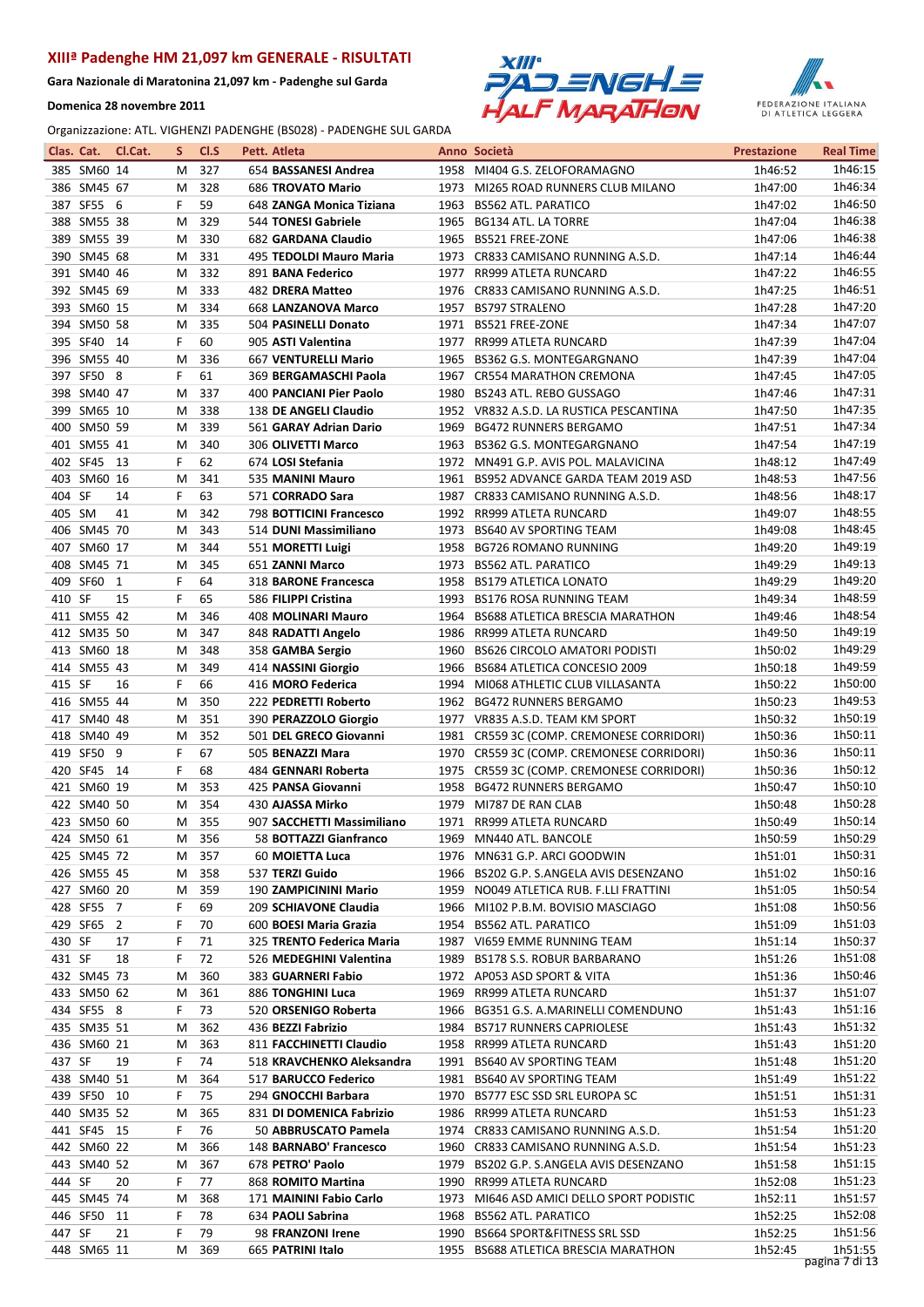Gara Nazionale di Maratonina 21,097 km - Padenghe sul Garda

Domenica 28 novembre 2011





| Clas. Cat. |             | Cl.Cat. | s      | CI.S | Pett. Atleta               |      | Anno Società                              | <b>Prestazione</b> | <b>Real Time</b>   |
|------------|-------------|---------|--------|------|----------------------------|------|-------------------------------------------|--------------------|--------------------|
|            | 385 SM60 14 |         | м      | 327  | 654 BASSANESI Andrea       |      | 1958 MI404 G.S. ZELOFORAMAGNO             | 1h46:52            | 1h46:15            |
|            | 386 SM45 67 |         | М      | 328  | <b>686 TROVATO Mario</b>   |      | 1973 MI265 ROAD RUNNERS CLUB MILANO       | 1h47:00            | 1h46:34            |
|            | 387 SF55 6  |         | F      | 59   | 648 ZANGA Monica Tiziana   | 1963 | <b>BS562 ATL. PARATICO</b>                | 1h47:02            | 1h46:50            |
|            | 388 SM55 38 |         | м      | 329  | 544 TONESI Gabriele        | 1965 | BG134 ATL. LA TORRE                       | 1h47:04            | 1h46:38            |
|            | 389 SM55 39 |         | М      | 330  | 682 GARDANA Claudio        | 1965 | <b>BS521 FREE-ZONE</b>                    | 1h47:06            | 1h46:38            |
|            | 390 SM45 68 |         | М      | 331  | 495 TEDOLDI Mauro Maria    | 1973 | CR833 CAMISANO RUNNING A.S.D.             | 1h47:14            | 1h46:44            |
|            | 391 SM40 46 |         | м      | 332  | 891 BANA Federico          | 1977 | RR999 ATLETA RUNCARD                      | 1h47:22            | 1h46:55            |
|            | 392 SM45 69 |         | М      | 333  | <b>482 DRERA Matteo</b>    | 1976 | CR833 CAMISANO RUNNING A.S.D.             | 1h47:25            | 1h46:51            |
|            | 393 SM60 15 |         | M      | 334  | 668 LANZANOVA Marco        | 1957 | <b>BS797 STRALENO</b>                     | 1h47:28            | 1h47:20            |
|            | 394 SM50 58 |         | M      | 335  | 504 PASINELLI Donato       |      | 1971 BS521 FREE-ZONE                      | 1h47:34            | 1h47:07            |
|            | 395 SF40 14 |         | F      | 60   | 905 ASTI Valentina         |      | 1977 RR999 ATLETA RUNCARD                 | 1h47:39            | 1h47:04            |
|            | 396 SM55 40 |         | м      | 336  | 667 VENTURELLI Mario       | 1965 | BS362 G.S. MONTEGARGNANO                  | 1h47:39            | 1h47:04            |
|            | 397 SF50 8  |         | F      | 61   | 369 BERGAMASCHI Paola      |      | 1967 CR554 MARATHON CREMONA               | 1h47:45            | 1h47:05            |
|            | 398 SM40 47 |         | M      | 337  | 400 PANCIANI Pier Paolo    | 1980 | BS243 ATL. REBO GUSSAGO                   | 1h47:46            | 1h47:31            |
|            |             |         |        |      |                            |      |                                           |                    | 1h47:35            |
|            | 399 SM65 10 |         | М      | 338  | 138 DE ANGELI Claudio      |      | 1952 VR832 A.S.D. LA RUSTICA PESCANTINA   | 1h47:50            | 1h47:34            |
|            | 400 SM50 59 |         | М      | 339  | 561 GARAY Adrian Dario     | 1969 | <b>BG472 RUNNERS BERGAMO</b>              | 1h47:51            |                    |
|            | 401 SM55 41 |         | м      | 340  | 306 OLIVETTI Marco         | 1963 | BS362 G.S. MONTEGARGNANO                  | 1h47:54            | 1h47:19            |
|            | 402 SF45 13 |         | F      | 62   | 674 LOSI Stefania          | 1972 | MN491 G.P. AVIS POL. MALAVICINA           | 1h48:12            | 1h47:49            |
|            | 403 SM60 16 |         | м      | 341  | 535 MANINI Mauro           | 1961 | BS952 ADVANCE GARDA TEAM 2019 ASD         | 1h48:53            | 1h47:56            |
| 404 SF     |             | 14      | F      | 63   | 571 CORRADO Sara           |      | 1987 CR833 CAMISANO RUNNING A.S.D.        | 1h48:56            | 1h48:17            |
| 405 SM     |             | 41      | М      | 342  | 798 BOTTICINI Francesco    | 1992 | RR999 ATLETA RUNCARD                      | 1h49:07            | 1h48:55            |
|            | 406 SM45 70 |         | М      | 343  | 514 DUNI Massimiliano      | 1973 | <b>BS640 AV SPORTING TEAM</b>             | 1h49:08            | 1h48:45            |
|            | 407 SM60 17 |         | м      | 344  | 551 MORETTI Luigi          | 1958 | <b>BG726 ROMANO RUNNING</b>               | 1h49:20            | 1h49:19            |
|            | 408 SM45 71 |         | M      | 345  | 651 ZANNI Marco            | 1973 | <b>BS562 ATL. PARATICO</b>                | 1h49:29            | 1h49:13            |
|            | 409 SF60    | 1       | F      | 64   | 318 BARONE Francesca       | 1958 | <b>BS179 ATLETICA LONATO</b>              | 1h49:29            | 1h49:20            |
| 410 SF     |             | 15      | F      | 65   | 586 FILIPPI Cristina       |      | 1993 BS176 ROSA RUNNING TEAM              | 1h49:34            | 1h48:59            |
|            | 411 SM55 42 |         | М      | 346  | 408 MOLINARI Mauro         | 1964 | BS688 ATLETICA BRESCIA MARATHON           | 1h49:46            | 1h48:54            |
|            | 412 SM35 50 |         | M      | 347  | 848 RADATTI Angelo         | 1986 | RR999 ATLETA RUNCARD                      | 1h49:50            | 1h49:19            |
|            | 413 SM60 18 |         | М      | 348  | 358 GAMBA Sergio           | 1960 | <b>BS626 CIRCOLO AMATORI PODISTI</b>      | 1h50:02            | 1h49:29            |
|            | 414 SM55 43 |         | M      | 349  | 414 NASSINI Giorgio        | 1966 | BS684 ATLETICA CONCESIO 2009              | 1h50:18            | 1h49:59            |
| 415 SF     |             | 16      | F      | 66   | 416 MORO Federica          | 1994 | MI068 ATHLETIC CLUB VILLASANTA            | 1h50:22            | 1h50:00            |
|            | 416 SM55 44 |         | м      | 350  | 222 PEDRETTI Roberto       |      | 1962 BG472 RUNNERS BERGAMO                | 1h50:23            | 1h49:53            |
|            | 417 SM40 48 |         | М      | 351  | 390 PERAZZOLO Giorgio      |      | 1977 VR835 A.S.D. TEAM KM SPORT           | 1h50:32            | 1h50:19            |
|            | 418 SM40 49 |         | M      | 352  | 501 DEL GRECO Giovanni     |      | 1981 CR559 3C (COMP. CREMONESE CORRIDORI) | 1h50:36            | 1h50:11            |
|            | 419 SF50 9  |         | F      | 67   | 505 BENAZZI Mara           |      | 1970 CR559 3C (COMP. CREMONESE CORRIDORI) | 1h50:36            | 1h50:11            |
|            | 420 SF45 14 |         | F      | 68   | 484 GENNARI Roberta        |      | 1975 CR559 3C (COMP. CREMONESE CORRIDORI) | 1h50:36            | 1h50:12            |
|            | 421 SM60 19 |         | м      | 353  | 425 PANSA Giovanni         | 1958 | <b>BG472 RUNNERS BERGAMO</b>              | 1h50:47            | 1h50:10            |
|            | 422 SM40 50 |         | М      | 354  | 430 AJASSA Mirko           | 1979 | MI787 DE RAN CLAB                         | 1h50:48            | 1h50:28            |
|            | 423 SM50 60 |         | м      | 355  | 907 SACCHETTI Massimiliano |      | 1971 RR999 ATLETA RUNCARD                 | 1h50:49            | 1h50:14            |
|            | 424 SM50 61 |         | М      | 356  | 58 BOTTAZZI Gianfranco     |      | 1969 MN440 ATL. BANCOLE                   | 1h50:59            | 1h50:29            |
|            | 425 SM45 72 |         | M      | 357  | 60 MOIETTA Luca            |      | 1976 MN631 G.P. ARCI GOODWIN              | 1h51:01            | 1h50:31            |
|            | 426 SM55 45 |         | M      | 358  | 537 TERZI Guido            |      | 1966 BS202 G.P. S.ANGELA AVIS DESENZANO   | 1h51:02            | 1h50:16            |
|            | 427 SM60 20 |         | M      | 359  | 190 ZAMPICININI Mario      |      | 1959 NO049 ATLETICA RUB. F.LLI FRATTINI   | 1h51:05            | 1h50:54            |
|            |             |         |        |      |                            |      |                                           |                    |                    |
|            | 428 SF55 7  |         | F<br>F | 69   | 209 SCHIAVONE Claudia      |      | 1966 MI102 P.B.M. BOVISIO MASCIAGO        | 1h51:08            | 1h50:56<br>1h51:03 |
|            | 429 SF65 2  |         |        | 70   | 600 BOESI Maria Grazia     |      | 1954 BS562 ATL. PARATICO                  | 1h51:09            |                    |
| 430 SF     |             | 17      | F      | 71   | 325 TRENTO Federica Maria  |      | 1987 VI659 EMME RUNNING TEAM              | 1h51:14            | 1h50:37<br>1h51:08 |
| 431 SF     |             | 18      | F      | 72   | 526 MEDEGHINI Valentina    |      | 1989 BS178 S.S. ROBUR BARBARANO           | 1h51:26            |                    |
|            | 432 SM45 73 |         | M      | 360  | 383 GUARNERI Fabio         |      | 1972 AP053 ASD SPORT & VITA               | 1h51:36            | 1h50:46            |
|            | 433 SM50 62 |         | M      | 361  | 886 TONGHINI Luca          |      | 1969 RR999 ATLETA RUNCARD                 | 1h51:37            | 1h51:07            |
|            | 434 SF55 8  |         | F.     | 73   | 520 ORSENIGO Roberta       |      | 1966 BG351 G.S. A.MARINELLI COMENDUNO     | 1h51:43            | 1h51:16            |
|            | 435 SM35 51 |         | M      | 362  | 436 BEZZI Fabrizio         |      | 1984 BS717 RUNNERS CAPRIOLESE             | 1h51:43            | 1h51:32            |
|            | 436 SM60 21 |         | M      | 363  | 811 FACCHINETTI Claudio    |      | 1958 RR999 ATLETA RUNCARD                 | 1h51:43            | 1h51:20            |
| 437 SF     |             | 19      | F      | 74   | 518 KRAVCHENKO Aleksandra  |      | 1991 BS640 AV SPORTING TEAM               | 1h51:48            | 1h51:20            |
|            | 438 SM40 51 |         | M      | 364  | 517 BARUCCO Federico       |      | 1981 BS640 AV SPORTING TEAM               | 1h51:49            | 1h51:22            |
|            | 439 SF50 10 |         | F      | 75   | 294 GNOCCHI Barbara        |      | 1970 BS777 ESC SSD SRL EUROPA SC          | 1h51:51            | 1h51:31            |
|            | 440 SM35 52 |         | м      | 365  | 831 DI DOMENICA Fabrizio   |      | 1986 RR999 ATLETA RUNCARD                 | 1h51:53            | 1h51:23            |
|            | 441 SF45 15 |         | F      | 76   | 50 ABBRUSCATO Pamela       |      | 1974 CR833 CAMISANO RUNNING A.S.D.        | 1h51:54            | 1h51:20            |
|            | 442 SM60 22 |         | м      | 366  | 148 BARNABO' Francesco     |      | 1960 CR833 CAMISANO RUNNING A.S.D.        | 1h51:54            | 1h51:23            |
|            | 443 SM40 52 |         | м      | 367  | 678 PETRO' Paolo           | 1979 | BS202 G.P. S.ANGELA AVIS DESENZANO        | 1h51:58            | 1h51:15            |
| 444 SF     |             | 20      | F      | 77   | 868 ROMITO Martina         |      | 1990 RR999 ATLETA RUNCARD                 | 1h52:08            | 1h51:23            |
|            | 445 SM45 74 |         | м      | 368  | 171 MAININI Fabio Carlo    |      | 1973 MI646 ASD AMICI DELLO SPORT PODISTIC | 1h52:11            | 1h51:57            |
|            | 446 SF50 11 |         | F      | 78   | 634 PAOLI Sabrina          |      | 1968 BS562 ATL. PARATICO                  | 1h52:25            | 1h52:08            |
| 447 SF     |             | 21      | F      | 79   | 98 FRANZONI Irene          |      | 1990 BS664 SPORT&FITNESS SRL SSD          | 1h52:25            | 1h51:56            |
|            | 448 SM65 11 |         | М      | 369  | 665 PATRINI Italo          |      | 1955 BS688 ATLETICA BRESCIA MARATHON      | 1h52:45            | 1h51:55            |
|            |             |         |        |      |                            |      |                                           |                    | pagina 7 di 13     |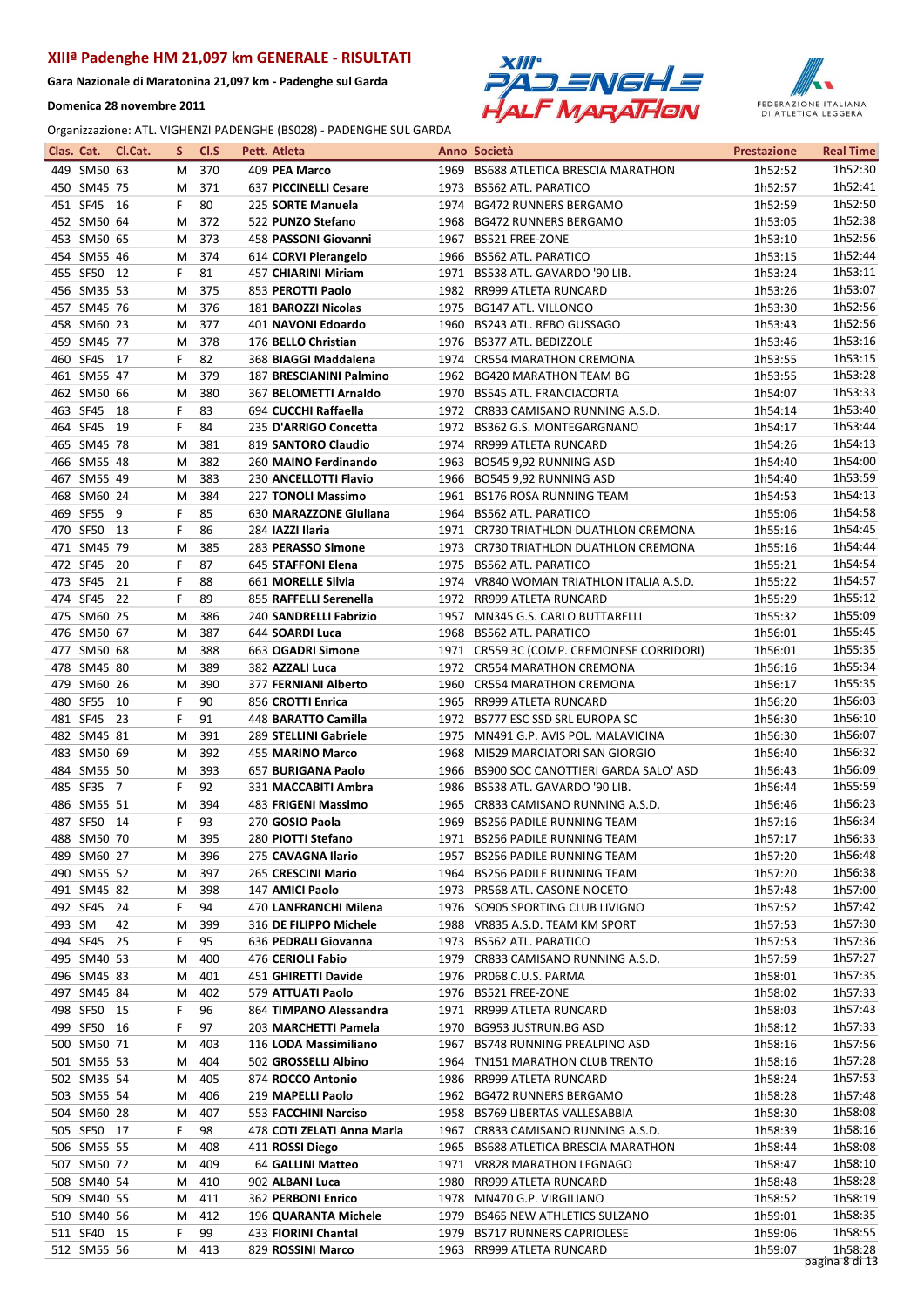Gara Nazionale di Maratonina 21,097 km - Padenghe sul Garda

Domenica 28 novembre 2011





| Clas. Cat. |             | Cl.Cat. | s | Cl.S | Pett. Atleta               |      | Anno Società                              | <b>Prestazione</b> | <b>Real Time</b> |
|------------|-------------|---------|---|------|----------------------------|------|-------------------------------------------|--------------------|------------------|
|            | 449 SM50 63 |         | м | 370  | 409 PEA Marco              |      | 1969 BS688 ATLETICA BRESCIA MARATHON      | 1h52:52            | 1h52:30          |
|            | 450 SM45 75 |         | M | 371  | 637 PICCINELLI Cesare      |      | 1973 BS562 ATL. PARATICO                  | 1h52:57            | 1h52:41          |
|            | 451 SF45 16 |         | F | 80   | 225 SORTE Manuela          | 1974 | <b>BG472 RUNNERS BERGAMO</b>              | 1h52:59            | 1h52:50          |
|            | 452 SM50 64 |         | м | 372  | 522 PUNZO Stefano          | 1968 | <b>BG472 RUNNERS BERGAMO</b>              | 1h53:05            | 1h52:38          |
|            | 453 SM50 65 |         | М | 373  | 458 PASSONI Giovanni       | 1967 | <b>BS521 FREE-ZONE</b>                    | 1h53:10            | 1h52:56          |
|            | 454 SM55 46 |         | M | 374  | 614 CORVI Pierangelo       | 1966 | <b>BS562 ATL. PARATICO</b>                | 1h53:15            | 1h52:44          |
|            | 455 SF50 12 |         | F | 81   | 457 CHIARINI Miriam        |      | 1971 BS538 ATL. GAVARDO '90 LIB.          | 1h53:24            | 1h53:11          |
|            | 456 SM35 53 |         | М | 375  | 853 PEROTTI Paolo          |      | 1982 RR999 ATLETA RUNCARD                 | 1h53:26            | 1h53:07          |
|            | 457 SM45 76 |         | M | 376  | 181 BAROZZI Nicolas        | 1975 | <b>BG147 ATL. VILLONGO</b>                | 1h53:30            | 1h52:56          |
|            | 458 SM60 23 |         | M | 377  | 401 NAVONI Edoardo         | 1960 | BS243 ATL. REBO GUSSAGO                   | 1h53:43            | 1h52:56          |
|            | 459 SM45 77 |         | M | 378  | 176 BELLO Christian        | 1976 | BS377 ATL. BEDIZZOLE                      | 1h53:46            | 1h53:16          |
|            | 460 SF45 17 |         | F | 82   | 368 BIAGGI Maddalena       |      | 1974 CR554 MARATHON CREMONA               | 1h53:55            | 1h53:15          |
|            | 461 SM55 47 |         | М | 379  | 187 BRESCIANINI Palmino    |      | 1962 BG420 MARATHON TEAM BG               | 1h53:55            | 1h53:28          |
|            | 462 SM50 66 |         | M | 380  | 367 BELOMETTI Arnaldo      |      | 1970 BS545 ATL. FRANCIACORTA              | 1h54:07            | 1h53:33          |
|            |             |         |   |      |                            |      |                                           |                    | 1h53:40          |
|            | 463 SF45    | 18      | F | 83   | 694 CUCCHI Raffaella       | 1972 | CR833 CAMISANO RUNNING A.S.D.             | 1h54:14            |                  |
|            | 464 SF45 19 |         | F | 84   | 235 D'ARRIGO Concetta      | 1972 | BS362 G.S. MONTEGARGNANO                  | 1h54:17            | 1h53:44          |
|            | 465 SM45 78 |         | м | 381  | 819 SANTORO Claudio        | 1974 | RR999 ATLETA RUNCARD                      | 1h54:26            | 1h54:13          |
|            | 466 SM55 48 |         | M | 382  | 260 MAINO Ferdinando       | 1963 | BO545 9,92 RUNNING ASD                    | 1h54:40            | 1h54:00          |
|            | 467 SM55 49 |         | M | 383  | 230 ANCELLOTTI Flavio      |      | 1966 BO545 9,92 RUNNING ASD               | 1h54:40            | 1h53:59          |
|            | 468 SM60 24 |         | м | 384  | 227 TONOLI Massimo         |      | 1961 BS176 ROSA RUNNING TEAM              | 1h54:53            | 1h54:13          |
|            | 469 SF55    | - 9     | F | 85   | 630 MARAZZONE Giuliana     | 1964 | <b>BS562 ATL. PARATICO</b>                | 1h55:06            | 1h54:58          |
|            | 470 SF50 13 |         | F | 86   | 284 IAZZI Ilaria           | 1971 | CR730 TRIATHLON DUATHLON CREMONA          | 1h55:16            | 1h54:45          |
|            | 471 SM45 79 |         | м | 385  | 283 PERASSO Simone         |      | 1973 CR730 TRIATHLON DUATHLON CREMONA     | 1h55:16            | 1h54:44          |
|            | 472 SF45 20 |         | F | 87   | 645 STAFFONI Elena         | 1975 | <b>BS562 ATL. PARATICO</b>                | 1h55:21            | 1h54:54          |
|            | 473 SF45    | 21      | F | 88   | 661 MORELLE Silvia         |      | 1974 VR840 WOMAN TRIATHLON ITALIA A.S.D.  | 1h55:22            | 1h54:57          |
|            | 474 SF45 22 |         | F | 89   | 855 RAFFELLI Serenella     |      | 1972 RR999 ATLETA RUNCARD                 | 1h55:29            | 1h55:12          |
|            | 475 SM60 25 |         | М | 386  | 240 SANDRELLI Fabrizio     |      | 1957 MN345 G.S. CARLO BUTTARELLI          | 1h55:32            | 1h55:09          |
|            | 476 SM50 67 |         | M | 387  | 644 SOARDI Luca            | 1968 | <b>BS562 ATL. PARATICO</b>                | 1h56:01            | 1h55:45          |
|            | 477 SM50 68 |         | М | 388  | 663 OGADRI Simone          |      | 1971 CR559 3C (COMP. CREMONESE CORRIDORI) | 1h56:01            | 1h55:35          |
|            | 478 SM45 80 |         | M | 389  | 382 AZZALI Luca            |      | 1972 CR554 MARATHON CREMONA               | 1h56:16            | 1h55:34          |
|            | 479 SM60 26 |         | м | 390  | 377 FERNIANI Alberto       |      | 1960 CR554 MARATHON CREMONA               | 1h56:17            | 1h55:35          |
|            | 480 SF55    | - 10    | F | 90   | 856 CROTTI Enrica          |      | 1965 RR999 ATLETA RUNCARD                 | 1h56:20            | 1h56:03          |
|            | 481 SF45    | - 23    | F | 91   | 448 BARATTO Camilla        | 1972 | BS777 ESC SSD SRL EUROPA SC               | 1h56:30            | 1h56:10          |
|            | 482 SM45 81 |         | М | 391  | 289 STELLINI Gabriele      | 1975 | MN491 G.P. AVIS POL. MALAVICINA           | 1h56:30            | 1h56:07          |
|            | 483 SM50 69 |         | M | 392  | 455 MARINO Marco           | 1968 | MI529 MARCIATORI SAN GIORGIO              | 1h56:40            | 1h56:32          |
|            | 484 SM55 50 |         | M | 393  | 657 BURIGANA Paolo         |      | 1966 BS900 SOC CANOTTIERI GARDA SALO' ASD | 1h56:43            | 1h56:09          |
|            | 485 SF35 7  |         | F | 92   | 331 MACCABITI Ambra        |      | 1986 BS538 ATL. GAVARDO '90 LIB.          | 1h56:44            | 1h55:59          |
|            | 486 SM55 51 |         | М | 394  | 483 FRIGENI Massimo        |      | 1965 CR833 CAMISANO RUNNING A.S.D.        | 1h56:46            | 1h56:23          |
|            | 487 SF50 14 |         | F | 93   | 270 GOSIO Paola            |      | 1969 BS256 PADILE RUNNING TEAM            | 1h57:16            | 1h56:34          |
|            | 488 SM50 70 |         | М | 395  | 280 PIOTTI Stefano         |      | 1971 BS256 PADILE RUNNING TEAM            | 1h57:17            | 1h56:33          |
|            |             |         |   |      |                            |      |                                           |                    | 1h56:48          |
|            | 489 SM60 27 |         | M | 396  | 275 CAVAGNA Ilario         |      | 1957 BS256 PADILE RUNNING TEAM            | 1h57:20            |                  |
|            | 490 SM55 52 |         | м | 397  | 265 CRESCINI Mario         |      | 1964 BS256 PADILE RUNNING TEAM            | 1h57:20            | 1h56:38          |
|            | 491 SM45 82 |         | M | 398  | 147 AMICI Paolo            |      | 1973 PR568 ATL. CASONE NOCETO             | 1h57:48            | 1h57:00          |
|            | 492 SF45 24 |         | F | 94   | 470 LANFRANCHI Milena      |      | 1976 SO905 SPORTING CLUB LIVIGNO          | 1h57:52            | 1h57:42          |
| 493 SM     |             | 42      | M | 399  | 316 DE FILIPPO Michele     |      | 1988 VR835 A.S.D. TEAM KM SPORT           | 1h57:53            | 1h57:30          |
|            | 494 SF45 25 |         | F | 95   | 636 PEDRALI Giovanna       |      | 1973 BS562 ATL. PARATICO                  | 1h57:53            | 1h57:36          |
|            | 495 SM40 53 |         | M | 400  | 476 CERIOLI Fabio          |      | 1979 CR833 CAMISANO RUNNING A.S.D.        | 1h57:59            | 1h57:27          |
|            | 496 SM45 83 |         | M | 401  | 451 GHIRETTI Davide        |      | 1976 PR068 C.U.S. PARMA                   | 1h58:01            | 1h57:35          |
|            | 497 SM45 84 |         | M | 402  | 579 ATTUATI Paolo          |      | 1976 BS521 FREE-ZONE                      | 1h58:02            | 1h57:33          |
|            | 498 SF50 15 |         | F | 96   | 864 TIMPANO Alessandra     |      | 1971 RR999 ATLETA RUNCARD                 | 1h58:03            | 1h57:43          |
|            | 499 SF50 16 |         | F | 97   | 203 MARCHETTI Pamela       |      | 1970 BG953 JUSTRUN.BG ASD                 | 1h58:12            | 1h57:33          |
|            | 500 SM50 71 |         | М | 403  | 116 LODA Massimiliano      |      | 1967 BS748 RUNNING PREALPINO ASD          | 1h58:16            | 1h57:56          |
|            | 501 SM55 53 |         | M | 404  | 502 GROSSELLI Albino       |      | 1964 TN151 MARATHON CLUB TRENTO           | 1h58:16            | 1h57:28          |
|            | 502 SM35 54 |         | M | 405  | 874 ROCCO Antonio          |      | 1986 RR999 ATLETA RUNCARD                 | 1h58:24            | 1h57:53          |
|            | 503 SM55 54 |         | M | 406  | 219 MAPELLI Paolo          |      | 1962 BG472 RUNNERS BERGAMO                | 1h58:28            | 1h57:48          |
|            | 504 SM60 28 |         | M | 407  | 553 FACCHINI Narciso       |      | 1958 BS769 LIBERTAS VALLESABBIA           | 1h58:30            | 1h58:08          |
|            | 505 SF50 17 |         | F | 98   | 478 COTI ZELATI Anna Maria |      | 1967 CR833 CAMISANO RUNNING A.S.D.        | 1h58:39            | 1h58:16          |
|            | 506 SM55 55 |         | М | 408  | 411 ROSSI Diego            |      | 1965 BS688 ATLETICA BRESCIA MARATHON      | 1h58:44            | 1h58:08          |
|            | 507 SM50 72 |         | м | 409  | 64 GALLINI Matteo          |      | 1971 VR828 MARATHON LEGNAGO               | 1h58:47            | 1h58:10          |
|            | 508 SM40 54 |         | M | 410  | 902 ALBANI Luca            |      | 1980 RR999 ATLETA RUNCARD                 | 1h58:48            | 1h58:28          |
|            | 509 SM40 55 |         | м | 411  | 362 PERBONI Enrico         |      | 1978 MN470 G.P. VIRGILIANO                | 1h58:52            | 1h58:19          |
|            | 510 SM40 56 |         | M | 412  | 196 QUARANTA Michele       |      | 1979 BS465 NEW ATHLETICS SULZANO          | 1h59:01            | 1h58:35          |
|            | 511 SF40 15 |         | F | 99   | 433 FIORINI Chantal        |      | 1979 BS717 RUNNERS CAPRIOLESE             | 1h59:06            | 1h58:55          |
|            | 512 SM55 56 |         | м | 413  | 829 ROSSINI Marco          |      | 1963 RR999 ATLETA RUNCARD                 | 1h59:07            | 1h58:28          |
|            |             |         |   |      |                            |      |                                           |                    | pagina 8 di 13   |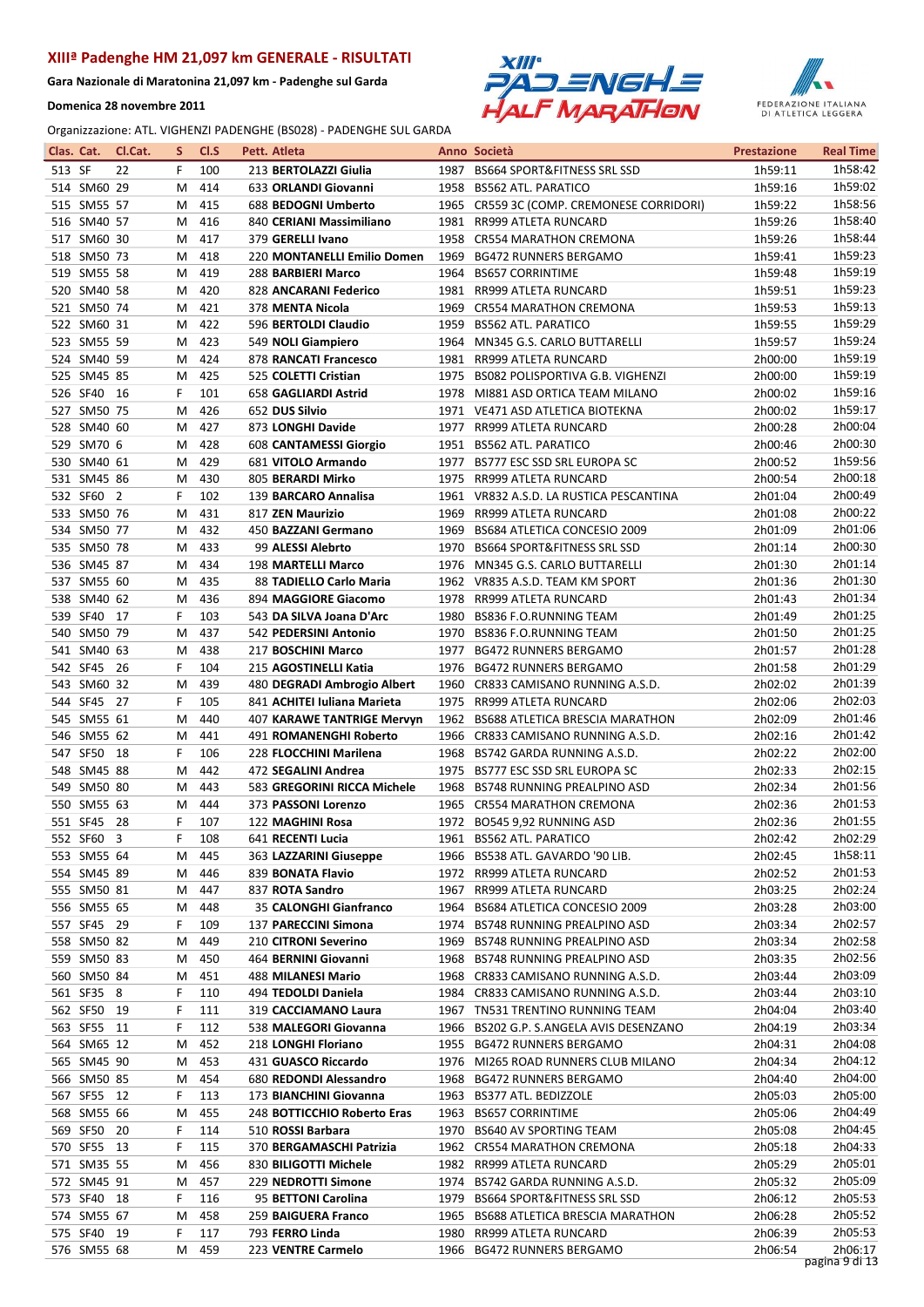Gara Nazionale di Maratonina 21,097 km - Padenghe sul Garda

Domenica 28 novembre 2011





| 1h58:42<br>513 SF<br>22<br>100<br>F.<br>213 BERTOLAZZI Giulia<br>1987 BS664 SPORT&FITNESS SRL SSD<br>1h59:11<br>514 SM60 29<br>1958 BS562 ATL. PARATICO<br>1h59:02<br>414<br>633 ORLANDI Giovanni<br>1h59:16<br>м<br>1h58:56<br>515 SM55 57<br>415<br>688 BEDOGNI Umberto<br>1965 CR559 3C (COMP. CREMONESE CORRIDORI)<br>1h59:22<br>М<br>1h58:40<br>516 SM40 57<br>416<br>840 CERIANI Massimiliano<br>1981<br>RR999 ATLETA RUNCARD<br>1h59:26<br>М<br>1h58:44<br>517 SM60 30<br>417<br>379 GERELLI Ivano<br>1958 CR554 MARATHON CREMONA<br>1h59:26<br>м<br>1h59:23<br>518 SM50 73<br>418<br>220 MONTANELLI Emilio Domen<br>1969<br><b>BG472 RUNNERS BERGAMO</b><br>1h59:41<br>М<br>1h59:19<br>519 SM55 58<br>419<br>1964 BS657 CORRINTIME<br>288 BARBIERI Marco<br>1h59:48<br>M<br>1h59:23<br>520 SM40 58<br>420<br>828 ANCARANI Federico<br>1981 RR999 ATLETA RUNCARD<br>1h59:51<br>M<br>1h59:13<br>521 SM50 74<br>421<br>378 MENTA Nicola<br>CR554 MARATHON CREMONA<br>М<br>1969<br>1h59:53<br>1h59:29<br>522 SM60 31<br>422<br>596 BERTOLDI Claudio<br>1959<br><b>BS562 ATL. PARATICO</b><br>1h59:55<br>M<br>1h59:24<br>523 SM55 59<br>423<br>549 NOLI Giampiero<br>1964 MN345 G.S. CARLO BUTTARELLI<br>1h59:57<br>м<br>1h59:19<br>524 SM40 59<br>424<br>878 RANCATI Francesco<br>1981 RR999 ATLETA RUNCARD<br>2h00:00<br>м<br>1h59:19<br>525 SM45 85<br>425<br>525 COLETTI Cristian<br>1975 BS082 POLISPORTIVA G.B. VIGHENZI<br>2h00:00<br>M<br>1h59:16<br>526 SF40 16<br>101<br>2h00:02<br>F<br>658 GAGLIARDI Astrid<br>1978 MI881 ASD ORTICA TEAM MILANO<br>1h59:17<br>527 SM50 75<br>426<br>652 DUS Silvio<br>1971 VE471 ASD ATLETICA BIOTEKNA<br>2h00:02<br>м<br>2h00:04<br>528 SM40 60<br>427<br>873 LONGHI Davide<br>1977<br>RR999 ATLETA RUNCARD<br>2h00:28<br>м<br>2h00:30<br>529 SM70 6<br>428<br><b>608 CANTAMESSI Giorgio</b><br>1951 BS562 ATL. PARATICO<br>2h00:46<br>М<br>1h59:56<br>530 SM40 61<br>429<br>681 VITOLO Armando<br>1977 BS777 ESC SSD SRL EUROPA SC<br>2h00:52<br>м<br>2h00:18<br>531 SM45 86<br>430<br>805 BERARDI Mirko<br>1975<br>RR999 ATLETA RUNCARD<br>2h00:54<br>м<br>2h00:49<br>532 SF60 2<br>F.<br>102<br>139 BARCARO Annalisa<br>1961 VR832 A.S.D. LA RUSTICA PESCANTINA<br>2h01:04<br>2h00:22<br>431<br>533 SM50 76<br>817 ZEN Maurizio<br>1969<br>RR999 ATLETA RUNCARD<br>2h01:08<br>м<br>2h01:06<br>534 SM50 77<br>432<br>1969<br>BS684 ATLETICA CONCESIO 2009<br>2h01:09<br>М<br>450 BAZZANI Germano<br>2h00:30<br>535 SM50 78<br>433<br>99 ALESSI Alebrto<br>1970<br><b>BS664 SPORT&amp;FITNESS SRL SSD</b><br>2h01:14<br>М<br>2h01:14<br>536 SM45 87<br>434<br><b>198 MARTELLI Marco</b><br>1976<br>MN345 G.S. CARLO BUTTARELLI<br>2h01:30<br>м<br>2h01:30<br>537 SM55 60<br>435<br>88 TADIELLO Carlo Maria<br>1962 VR835 A.S.D. TEAM KM SPORT<br>2h01:36<br>M<br>2h01:34<br>538 SM40 62<br>436<br>894 MAGGIORE Giacomo<br>1978 RR999 ATLETA RUNCARD<br>2h01:43<br>M<br>2h01:25<br>539 SF40 17<br>103<br>1980<br>2h01:49<br>F<br>543 DA SILVA Joana D'Arc<br>BS836 F.O.RUNNING TEAM<br>2h01:25<br>540 SM50 79<br>437<br>542 PEDERSINI Antonio<br>1970 BS836 F.O.RUNNING TEAM<br>2h01:50<br>М<br>2h01:28<br>541 SM40 63<br>438<br>217 BOSCHINI Marco<br>1977<br><b>BG472 RUNNERS BERGAMO</b><br>2h01:57<br>м<br>2h01:29<br>542 SF45 26<br>F<br>104<br>215 AGOSTINELLI Katia<br>BG472 RUNNERS BERGAMO<br>2h01:58<br>1976<br>2h01:39<br>543 SM60 32<br>439<br>480 DEGRADI Ambrogio Albert<br>CR833 CAMISANO RUNNING A.S.D.<br>2h02:02<br>м<br>1960<br>2h02:03<br>544 SF45 27<br>105<br>841 ACHITEI Iuliana Marieta<br>1975<br>F.<br>RR999 ATLETA RUNCARD<br>2h02:06<br>2h01:46<br>545 SM55 61<br>440<br>407 KARAWE TANTRIGE Mervyn<br>1962 BS688 ATLETICA BRESCIA MARATHON<br>2h02:09<br>м<br>2h01:42<br>546 SM55 62<br>441<br>CR833 CAMISANO RUNNING A.S.D.<br>2h02:16<br>М<br>491 ROMANENGHI Roberto<br>1966<br>2h02:00<br>547 SF50 18<br>F.<br>106<br>228 FLOCCHINI Marilena<br>1968<br>2h02:22<br>BS742 GARDA RUNNING A.S.D.<br>2h02:15<br>548 SM45 88<br>442<br>1975 BS777 ESC SSD SRL EUROPA SC<br>2h02:33<br>м<br>472 SEGALINI Andrea<br>2h01:56<br>549 SM50 80<br>443<br>583 GREGORINI RICCA Michele<br>1968<br><b>BS748 RUNNING PREALPINO ASD</b><br>2h02:34<br>м<br>2h01:53<br>550 SM55 63<br>444<br>1965 CR554 MARATHON CREMONA<br>2h02:36<br>м<br>373 PASSONI Lorenzo<br>2h01:55<br>551 SF45 28<br>F<br>107<br>1972 BO545 9,92 RUNNING ASD<br>2h02:36<br>122 MAGHINI Rosa<br>2h02:29<br>552 SF60 3<br>F 108<br>641 RECENTI Lucia<br>1961 BS562 ATL. PARATICO<br>2h02:42<br>1h58:11<br>2h02:45<br>553 SM55 64<br>445<br>363 LAZZARINI Giuseppe<br>1966 BS538 ATL. GAVARDO '90 LIB.<br>M<br>554 SM45 89<br>839 BONATA Flavio<br>2h02:52<br>2h01:53<br>446<br>1972 RR999 ATLETA RUNCARD<br>м<br>2h02:24<br>555 SM50 81<br>447<br>837 ROTA Sandro<br>1967 RR999 ATLETA RUNCARD<br>2h03:25<br>м<br>2h03:00<br>556 SM55 65<br>448<br>35 CALONGHI Gianfranco<br>1964 BS684 ATLETICA CONCESIO 2009<br>2h03:28<br>м<br>557 SF45 29<br>109<br>2h02:57<br>F.<br>137 PARECCINI Simona<br>1974 BS748 RUNNING PREALPINO ASD<br>2h03:34<br>2h02:58<br>558 SM50 82<br>449<br>210 CITRONI Severino<br>1969 BS748 RUNNING PREALPINO ASD<br>2h03:34<br>м<br>2h02:56<br>559 SM50 83<br>450<br>464 BERNINI Giovanni<br>1968 BS748 RUNNING PREALPINO ASD<br>2h03:35<br>м<br>2h03:09<br>560 SM50 84<br>451<br>1968 CR833 CAMISANO RUNNING A.S.D.<br>2h03:44<br>488 MILANESI Mario<br>M<br>2h03:10<br>561 SF35 8<br>F<br>494 TEDOLDI Daniela<br>1984 CR833 CAMISANO RUNNING A.S.D.<br>2h03:44<br>110<br>2h03:40<br>562 SF50 19<br>F<br>1967 TN531 TRENTINO RUNNING TEAM<br>2h04:04<br>111<br>319 CACCIAMANO Laura<br>2h03:34<br>563 SF55 11<br>112<br>F<br>538 MALEGORI Giovanna<br>1966 BS202 G.P. S.ANGELA AVIS DESENZANO<br>2h04:19<br>2h04:08<br>564 SM65 12<br>452<br>218 LONGHI Floriano<br>1955 BG472 RUNNERS BERGAMO<br>2h04:31<br>м<br>2h04:12<br>565 SM45 90<br>453<br>431 GUASCO Riccardo<br>1976 MI265 ROAD RUNNERS CLUB MILANO<br>2h04:34<br>м<br>2h04:00<br>566 SM50 85<br>680 REDONDI Alessandro<br>454<br>1968 BG472 RUNNERS BERGAMO<br>2h04:40<br>м<br>2h05:00<br>567 SF55 12<br>F<br>113<br>173 BIANCHINI Giovanna<br>1963 BS377 ATL. BEDIZZOLE<br>2h05:03<br>568 SM55 66<br>2h04:49<br>455<br>248 BOTTICCHIO Roberto Eras<br>1963 BS657 CORRINTIME<br>2h05:06<br>м<br>2h04:45<br>569 SF50 20<br>F<br>114<br>510 ROSSI Barbara<br>1970 BS640 AV SPORTING TEAM<br>2h05:08<br>2h04:33<br>570 SF55 13<br>115<br>F<br>370 BERGAMASCHI Patrizia<br>1962 CR554 MARATHON CREMONA<br>2h05:18<br>2h05:01<br>571 SM35 55<br>456<br>830 BILIGOTTI Michele<br>1982 RR999 ATLETA RUNCARD<br>2h05:29<br>м<br>2h05:09<br>572 SM45 91<br>457<br>2h05:32<br>229 NEDROTTI Simone<br>1974<br>BS742 GARDA RUNNING A.S.D.<br>м<br>2h05:53<br>573 SF40 18<br>116<br>95 BETTONI Carolina<br>1979 BS664 SPORT&FITNESS SRL SSD<br>2h06:12<br>F.<br>2h05:52<br>574 SM55 67<br>458<br>259 BAIGUERA Franco<br>1965 BS688 ATLETICA BRESCIA MARATHON<br>2h06:28<br>м<br>2h05:53<br>575 SF40 19<br>117<br>F<br>793 FERRO Linda<br>1980 RR999 ATLETA RUNCARD<br>2h06:39<br>2h06:17<br>576 SM55 68<br>459<br>2h06:54<br>Μ<br>223 VENTRE Carmelo<br>1966 BG472 RUNNERS BERGAMO<br>pagina 9 di 13 | Clas. Cat. | Cl.Cat. | s | CI.S | Pett. Atleta | Anno Società | <b>Prestazione</b> | <b>Real Time</b> |
|--------------------------------------------------------------------------------------------------------------------------------------------------------------------------------------------------------------------------------------------------------------------------------------------------------------------------------------------------------------------------------------------------------------------------------------------------------------------------------------------------------------------------------------------------------------------------------------------------------------------------------------------------------------------------------------------------------------------------------------------------------------------------------------------------------------------------------------------------------------------------------------------------------------------------------------------------------------------------------------------------------------------------------------------------------------------------------------------------------------------------------------------------------------------------------------------------------------------------------------------------------------------------------------------------------------------------------------------------------------------------------------------------------------------------------------------------------------------------------------------------------------------------------------------------------------------------------------------------------------------------------------------------------------------------------------------------------------------------------------------------------------------------------------------------------------------------------------------------------------------------------------------------------------------------------------------------------------------------------------------------------------------------------------------------------------------------------------------------------------------------------------------------------------------------------------------------------------------------------------------------------------------------------------------------------------------------------------------------------------------------------------------------------------------------------------------------------------------------------------------------------------------------------------------------------------------------------------------------------------------------------------------------------------------------------------------------------------------------------------------------------------------------------------------------------------------------------------------------------------------------------------------------------------------------------------------------------------------------------------------------------------------------------------------------------------------------------------------------------------------------------------------------------------------------------------------------------------------------------------------------------------------------------------------------------------------------------------------------------------------------------------------------------------------------------------------------------------------------------------------------------------------------------------------------------------------------------------------------------------------------------------------------------------------------------------------------------------------------------------------------------------------------------------------------------------------------------------------------------------------------------------------------------------------------------------------------------------------------------------------------------------------------------------------------------------------------------------------------------------------------------------------------------------------------------------------------------------------------------------------------------------------------------------------------------------------------------------------------------------------------------------------------------------------------------------------------------------------------------------------------------------------------------------------------------------------------------------------------------------------------------------------------------------------------------------------------------------------------------------------------------------------------------------------------------------------------------------------------------------------------------------------------------------------------------------------------------------------------------------------------------------------------------------------------------------------------------------------------------------------------------------------------------------------------------------------------------------------------------------------------------------------------------------------------------------------------------------------------------------------------------------------------------------------------------------------------------------------------------------------------------------------------------------------------------------------------------------------------------------------------------------------------------------------------------------------------------------------------------------------------------------------------------------------------------------------------------------------------------------------------------------------------------------------------------------------------------------------------------------------------------------------------------------------------------------------------------------------------------------------------------------------------------------------------------------------------------------------------------------------------------------------------------------------------------------------------------------------------------------------------------------------------------------------------------------------------------------------------------------------------------------------------------------------------------------------------------------------------------------------------------------------------------------------------------------------------------------------------------------------------------------------------------------------------------------------------------------------------------------------------------------------------------------------------------------------------------------------------------------------------------------------------------------------------------------------------------------------------------------------------------------------------------------------------------------------------------------------|------------|---------|---|------|--------------|--------------|--------------------|------------------|
|                                                                                                                                                                                                                                                                                                                                                                                                                                                                                                                                                                                                                                                                                                                                                                                                                                                                                                                                                                                                                                                                                                                                                                                                                                                                                                                                                                                                                                                                                                                                                                                                                                                                                                                                                                                                                                                                                                                                                                                                                                                                                                                                                                                                                                                                                                                                                                                                                                                                                                                                                                                                                                                                                                                                                                                                                                                                                                                                                                                                                                                                                                                                                                                                                                                                                                                                                                                                                                                                                                                                                                                                                                                                                                                                                                                                                                                                                                                                                                                                                                                                                                                                                                                                                                                                                                                                                                                                                                                                                                                                                                                                                                                                                                                                                                                                                                                                                                                                                                                                                                                                                                                                                                                                                                                                                                                                                                                                                                                                                                                                                                                                                                                                                                                                                                                                                                                                                                                                                                                                                                                                                                                                                                                                                                                                                                                                                                                                                                                                                                                                                                                                                                                                                                                                                                                                                                                                                                                                                                                                                                                                                                                                                                                                                    |            |         |   |      |              |              |                    |                  |
|                                                                                                                                                                                                                                                                                                                                                                                                                                                                                                                                                                                                                                                                                                                                                                                                                                                                                                                                                                                                                                                                                                                                                                                                                                                                                                                                                                                                                                                                                                                                                                                                                                                                                                                                                                                                                                                                                                                                                                                                                                                                                                                                                                                                                                                                                                                                                                                                                                                                                                                                                                                                                                                                                                                                                                                                                                                                                                                                                                                                                                                                                                                                                                                                                                                                                                                                                                                                                                                                                                                                                                                                                                                                                                                                                                                                                                                                                                                                                                                                                                                                                                                                                                                                                                                                                                                                                                                                                                                                                                                                                                                                                                                                                                                                                                                                                                                                                                                                                                                                                                                                                                                                                                                                                                                                                                                                                                                                                                                                                                                                                                                                                                                                                                                                                                                                                                                                                                                                                                                                                                                                                                                                                                                                                                                                                                                                                                                                                                                                                                                                                                                                                                                                                                                                                                                                                                                                                                                                                                                                                                                                                                                                                                                                                    |            |         |   |      |              |              |                    |                  |
|                                                                                                                                                                                                                                                                                                                                                                                                                                                                                                                                                                                                                                                                                                                                                                                                                                                                                                                                                                                                                                                                                                                                                                                                                                                                                                                                                                                                                                                                                                                                                                                                                                                                                                                                                                                                                                                                                                                                                                                                                                                                                                                                                                                                                                                                                                                                                                                                                                                                                                                                                                                                                                                                                                                                                                                                                                                                                                                                                                                                                                                                                                                                                                                                                                                                                                                                                                                                                                                                                                                                                                                                                                                                                                                                                                                                                                                                                                                                                                                                                                                                                                                                                                                                                                                                                                                                                                                                                                                                                                                                                                                                                                                                                                                                                                                                                                                                                                                                                                                                                                                                                                                                                                                                                                                                                                                                                                                                                                                                                                                                                                                                                                                                                                                                                                                                                                                                                                                                                                                                                                                                                                                                                                                                                                                                                                                                                                                                                                                                                                                                                                                                                                                                                                                                                                                                                                                                                                                                                                                                                                                                                                                                                                                                                    |            |         |   |      |              |              |                    |                  |
|                                                                                                                                                                                                                                                                                                                                                                                                                                                                                                                                                                                                                                                                                                                                                                                                                                                                                                                                                                                                                                                                                                                                                                                                                                                                                                                                                                                                                                                                                                                                                                                                                                                                                                                                                                                                                                                                                                                                                                                                                                                                                                                                                                                                                                                                                                                                                                                                                                                                                                                                                                                                                                                                                                                                                                                                                                                                                                                                                                                                                                                                                                                                                                                                                                                                                                                                                                                                                                                                                                                                                                                                                                                                                                                                                                                                                                                                                                                                                                                                                                                                                                                                                                                                                                                                                                                                                                                                                                                                                                                                                                                                                                                                                                                                                                                                                                                                                                                                                                                                                                                                                                                                                                                                                                                                                                                                                                                                                                                                                                                                                                                                                                                                                                                                                                                                                                                                                                                                                                                                                                                                                                                                                                                                                                                                                                                                                                                                                                                                                                                                                                                                                                                                                                                                                                                                                                                                                                                                                                                                                                                                                                                                                                                                                    |            |         |   |      |              |              |                    |                  |
|                                                                                                                                                                                                                                                                                                                                                                                                                                                                                                                                                                                                                                                                                                                                                                                                                                                                                                                                                                                                                                                                                                                                                                                                                                                                                                                                                                                                                                                                                                                                                                                                                                                                                                                                                                                                                                                                                                                                                                                                                                                                                                                                                                                                                                                                                                                                                                                                                                                                                                                                                                                                                                                                                                                                                                                                                                                                                                                                                                                                                                                                                                                                                                                                                                                                                                                                                                                                                                                                                                                                                                                                                                                                                                                                                                                                                                                                                                                                                                                                                                                                                                                                                                                                                                                                                                                                                                                                                                                                                                                                                                                                                                                                                                                                                                                                                                                                                                                                                                                                                                                                                                                                                                                                                                                                                                                                                                                                                                                                                                                                                                                                                                                                                                                                                                                                                                                                                                                                                                                                                                                                                                                                                                                                                                                                                                                                                                                                                                                                                                                                                                                                                                                                                                                                                                                                                                                                                                                                                                                                                                                                                                                                                                                                                    |            |         |   |      |              |              |                    |                  |
|                                                                                                                                                                                                                                                                                                                                                                                                                                                                                                                                                                                                                                                                                                                                                                                                                                                                                                                                                                                                                                                                                                                                                                                                                                                                                                                                                                                                                                                                                                                                                                                                                                                                                                                                                                                                                                                                                                                                                                                                                                                                                                                                                                                                                                                                                                                                                                                                                                                                                                                                                                                                                                                                                                                                                                                                                                                                                                                                                                                                                                                                                                                                                                                                                                                                                                                                                                                                                                                                                                                                                                                                                                                                                                                                                                                                                                                                                                                                                                                                                                                                                                                                                                                                                                                                                                                                                                                                                                                                                                                                                                                                                                                                                                                                                                                                                                                                                                                                                                                                                                                                                                                                                                                                                                                                                                                                                                                                                                                                                                                                                                                                                                                                                                                                                                                                                                                                                                                                                                                                                                                                                                                                                                                                                                                                                                                                                                                                                                                                                                                                                                                                                                                                                                                                                                                                                                                                                                                                                                                                                                                                                                                                                                                                                    |            |         |   |      |              |              |                    |                  |
|                                                                                                                                                                                                                                                                                                                                                                                                                                                                                                                                                                                                                                                                                                                                                                                                                                                                                                                                                                                                                                                                                                                                                                                                                                                                                                                                                                                                                                                                                                                                                                                                                                                                                                                                                                                                                                                                                                                                                                                                                                                                                                                                                                                                                                                                                                                                                                                                                                                                                                                                                                                                                                                                                                                                                                                                                                                                                                                                                                                                                                                                                                                                                                                                                                                                                                                                                                                                                                                                                                                                                                                                                                                                                                                                                                                                                                                                                                                                                                                                                                                                                                                                                                                                                                                                                                                                                                                                                                                                                                                                                                                                                                                                                                                                                                                                                                                                                                                                                                                                                                                                                                                                                                                                                                                                                                                                                                                                                                                                                                                                                                                                                                                                                                                                                                                                                                                                                                                                                                                                                                                                                                                                                                                                                                                                                                                                                                                                                                                                                                                                                                                                                                                                                                                                                                                                                                                                                                                                                                                                                                                                                                                                                                                                                    |            |         |   |      |              |              |                    |                  |
|                                                                                                                                                                                                                                                                                                                                                                                                                                                                                                                                                                                                                                                                                                                                                                                                                                                                                                                                                                                                                                                                                                                                                                                                                                                                                                                                                                                                                                                                                                                                                                                                                                                                                                                                                                                                                                                                                                                                                                                                                                                                                                                                                                                                                                                                                                                                                                                                                                                                                                                                                                                                                                                                                                                                                                                                                                                                                                                                                                                                                                                                                                                                                                                                                                                                                                                                                                                                                                                                                                                                                                                                                                                                                                                                                                                                                                                                                                                                                                                                                                                                                                                                                                                                                                                                                                                                                                                                                                                                                                                                                                                                                                                                                                                                                                                                                                                                                                                                                                                                                                                                                                                                                                                                                                                                                                                                                                                                                                                                                                                                                                                                                                                                                                                                                                                                                                                                                                                                                                                                                                                                                                                                                                                                                                                                                                                                                                                                                                                                                                                                                                                                                                                                                                                                                                                                                                                                                                                                                                                                                                                                                                                                                                                                                    |            |         |   |      |              |              |                    |                  |
|                                                                                                                                                                                                                                                                                                                                                                                                                                                                                                                                                                                                                                                                                                                                                                                                                                                                                                                                                                                                                                                                                                                                                                                                                                                                                                                                                                                                                                                                                                                                                                                                                                                                                                                                                                                                                                                                                                                                                                                                                                                                                                                                                                                                                                                                                                                                                                                                                                                                                                                                                                                                                                                                                                                                                                                                                                                                                                                                                                                                                                                                                                                                                                                                                                                                                                                                                                                                                                                                                                                                                                                                                                                                                                                                                                                                                                                                                                                                                                                                                                                                                                                                                                                                                                                                                                                                                                                                                                                                                                                                                                                                                                                                                                                                                                                                                                                                                                                                                                                                                                                                                                                                                                                                                                                                                                                                                                                                                                                                                                                                                                                                                                                                                                                                                                                                                                                                                                                                                                                                                                                                                                                                                                                                                                                                                                                                                                                                                                                                                                                                                                                                                                                                                                                                                                                                                                                                                                                                                                                                                                                                                                                                                                                                                    |            |         |   |      |              |              |                    |                  |
|                                                                                                                                                                                                                                                                                                                                                                                                                                                                                                                                                                                                                                                                                                                                                                                                                                                                                                                                                                                                                                                                                                                                                                                                                                                                                                                                                                                                                                                                                                                                                                                                                                                                                                                                                                                                                                                                                                                                                                                                                                                                                                                                                                                                                                                                                                                                                                                                                                                                                                                                                                                                                                                                                                                                                                                                                                                                                                                                                                                                                                                                                                                                                                                                                                                                                                                                                                                                                                                                                                                                                                                                                                                                                                                                                                                                                                                                                                                                                                                                                                                                                                                                                                                                                                                                                                                                                                                                                                                                                                                                                                                                                                                                                                                                                                                                                                                                                                                                                                                                                                                                                                                                                                                                                                                                                                                                                                                                                                                                                                                                                                                                                                                                                                                                                                                                                                                                                                                                                                                                                                                                                                                                                                                                                                                                                                                                                                                                                                                                                                                                                                                                                                                                                                                                                                                                                                                                                                                                                                                                                                                                                                                                                                                                                    |            |         |   |      |              |              |                    |                  |
|                                                                                                                                                                                                                                                                                                                                                                                                                                                                                                                                                                                                                                                                                                                                                                                                                                                                                                                                                                                                                                                                                                                                                                                                                                                                                                                                                                                                                                                                                                                                                                                                                                                                                                                                                                                                                                                                                                                                                                                                                                                                                                                                                                                                                                                                                                                                                                                                                                                                                                                                                                                                                                                                                                                                                                                                                                                                                                                                                                                                                                                                                                                                                                                                                                                                                                                                                                                                                                                                                                                                                                                                                                                                                                                                                                                                                                                                                                                                                                                                                                                                                                                                                                                                                                                                                                                                                                                                                                                                                                                                                                                                                                                                                                                                                                                                                                                                                                                                                                                                                                                                                                                                                                                                                                                                                                                                                                                                                                                                                                                                                                                                                                                                                                                                                                                                                                                                                                                                                                                                                                                                                                                                                                                                                                                                                                                                                                                                                                                                                                                                                                                                                                                                                                                                                                                                                                                                                                                                                                                                                                                                                                                                                                                                                    |            |         |   |      |              |              |                    |                  |
|                                                                                                                                                                                                                                                                                                                                                                                                                                                                                                                                                                                                                                                                                                                                                                                                                                                                                                                                                                                                                                                                                                                                                                                                                                                                                                                                                                                                                                                                                                                                                                                                                                                                                                                                                                                                                                                                                                                                                                                                                                                                                                                                                                                                                                                                                                                                                                                                                                                                                                                                                                                                                                                                                                                                                                                                                                                                                                                                                                                                                                                                                                                                                                                                                                                                                                                                                                                                                                                                                                                                                                                                                                                                                                                                                                                                                                                                                                                                                                                                                                                                                                                                                                                                                                                                                                                                                                                                                                                                                                                                                                                                                                                                                                                                                                                                                                                                                                                                                                                                                                                                                                                                                                                                                                                                                                                                                                                                                                                                                                                                                                                                                                                                                                                                                                                                                                                                                                                                                                                                                                                                                                                                                                                                                                                                                                                                                                                                                                                                                                                                                                                                                                                                                                                                                                                                                                                                                                                                                                                                                                                                                                                                                                                                                    |            |         |   |      |              |              |                    |                  |
|                                                                                                                                                                                                                                                                                                                                                                                                                                                                                                                                                                                                                                                                                                                                                                                                                                                                                                                                                                                                                                                                                                                                                                                                                                                                                                                                                                                                                                                                                                                                                                                                                                                                                                                                                                                                                                                                                                                                                                                                                                                                                                                                                                                                                                                                                                                                                                                                                                                                                                                                                                                                                                                                                                                                                                                                                                                                                                                                                                                                                                                                                                                                                                                                                                                                                                                                                                                                                                                                                                                                                                                                                                                                                                                                                                                                                                                                                                                                                                                                                                                                                                                                                                                                                                                                                                                                                                                                                                                                                                                                                                                                                                                                                                                                                                                                                                                                                                                                                                                                                                                                                                                                                                                                                                                                                                                                                                                                                                                                                                                                                                                                                                                                                                                                                                                                                                                                                                                                                                                                                                                                                                                                                                                                                                                                                                                                                                                                                                                                                                                                                                                                                                                                                                                                                                                                                                                                                                                                                                                                                                                                                                                                                                                                                    |            |         |   |      |              |              |                    |                  |
|                                                                                                                                                                                                                                                                                                                                                                                                                                                                                                                                                                                                                                                                                                                                                                                                                                                                                                                                                                                                                                                                                                                                                                                                                                                                                                                                                                                                                                                                                                                                                                                                                                                                                                                                                                                                                                                                                                                                                                                                                                                                                                                                                                                                                                                                                                                                                                                                                                                                                                                                                                                                                                                                                                                                                                                                                                                                                                                                                                                                                                                                                                                                                                                                                                                                                                                                                                                                                                                                                                                                                                                                                                                                                                                                                                                                                                                                                                                                                                                                                                                                                                                                                                                                                                                                                                                                                                                                                                                                                                                                                                                                                                                                                                                                                                                                                                                                                                                                                                                                                                                                                                                                                                                                                                                                                                                                                                                                                                                                                                                                                                                                                                                                                                                                                                                                                                                                                                                                                                                                                                                                                                                                                                                                                                                                                                                                                                                                                                                                                                                                                                                                                                                                                                                                                                                                                                                                                                                                                                                                                                                                                                                                                                                                                    |            |         |   |      |              |              |                    |                  |
|                                                                                                                                                                                                                                                                                                                                                                                                                                                                                                                                                                                                                                                                                                                                                                                                                                                                                                                                                                                                                                                                                                                                                                                                                                                                                                                                                                                                                                                                                                                                                                                                                                                                                                                                                                                                                                                                                                                                                                                                                                                                                                                                                                                                                                                                                                                                                                                                                                                                                                                                                                                                                                                                                                                                                                                                                                                                                                                                                                                                                                                                                                                                                                                                                                                                                                                                                                                                                                                                                                                                                                                                                                                                                                                                                                                                                                                                                                                                                                                                                                                                                                                                                                                                                                                                                                                                                                                                                                                                                                                                                                                                                                                                                                                                                                                                                                                                                                                                                                                                                                                                                                                                                                                                                                                                                                                                                                                                                                                                                                                                                                                                                                                                                                                                                                                                                                                                                                                                                                                                                                                                                                                                                                                                                                                                                                                                                                                                                                                                                                                                                                                                                                                                                                                                                                                                                                                                                                                                                                                                                                                                                                                                                                                                                    |            |         |   |      |              |              |                    |                  |
|                                                                                                                                                                                                                                                                                                                                                                                                                                                                                                                                                                                                                                                                                                                                                                                                                                                                                                                                                                                                                                                                                                                                                                                                                                                                                                                                                                                                                                                                                                                                                                                                                                                                                                                                                                                                                                                                                                                                                                                                                                                                                                                                                                                                                                                                                                                                                                                                                                                                                                                                                                                                                                                                                                                                                                                                                                                                                                                                                                                                                                                                                                                                                                                                                                                                                                                                                                                                                                                                                                                                                                                                                                                                                                                                                                                                                                                                                                                                                                                                                                                                                                                                                                                                                                                                                                                                                                                                                                                                                                                                                                                                                                                                                                                                                                                                                                                                                                                                                                                                                                                                                                                                                                                                                                                                                                                                                                                                                                                                                                                                                                                                                                                                                                                                                                                                                                                                                                                                                                                                                                                                                                                                                                                                                                                                                                                                                                                                                                                                                                                                                                                                                                                                                                                                                                                                                                                                                                                                                                                                                                                                                                                                                                                                                    |            |         |   |      |              |              |                    |                  |
|                                                                                                                                                                                                                                                                                                                                                                                                                                                                                                                                                                                                                                                                                                                                                                                                                                                                                                                                                                                                                                                                                                                                                                                                                                                                                                                                                                                                                                                                                                                                                                                                                                                                                                                                                                                                                                                                                                                                                                                                                                                                                                                                                                                                                                                                                                                                                                                                                                                                                                                                                                                                                                                                                                                                                                                                                                                                                                                                                                                                                                                                                                                                                                                                                                                                                                                                                                                                                                                                                                                                                                                                                                                                                                                                                                                                                                                                                                                                                                                                                                                                                                                                                                                                                                                                                                                                                                                                                                                                                                                                                                                                                                                                                                                                                                                                                                                                                                                                                                                                                                                                                                                                                                                                                                                                                                                                                                                                                                                                                                                                                                                                                                                                                                                                                                                                                                                                                                                                                                                                                                                                                                                                                                                                                                                                                                                                                                                                                                                                                                                                                                                                                                                                                                                                                                                                                                                                                                                                                                                                                                                                                                                                                                                                                    |            |         |   |      |              |              |                    |                  |
|                                                                                                                                                                                                                                                                                                                                                                                                                                                                                                                                                                                                                                                                                                                                                                                                                                                                                                                                                                                                                                                                                                                                                                                                                                                                                                                                                                                                                                                                                                                                                                                                                                                                                                                                                                                                                                                                                                                                                                                                                                                                                                                                                                                                                                                                                                                                                                                                                                                                                                                                                                                                                                                                                                                                                                                                                                                                                                                                                                                                                                                                                                                                                                                                                                                                                                                                                                                                                                                                                                                                                                                                                                                                                                                                                                                                                                                                                                                                                                                                                                                                                                                                                                                                                                                                                                                                                                                                                                                                                                                                                                                                                                                                                                                                                                                                                                                                                                                                                                                                                                                                                                                                                                                                                                                                                                                                                                                                                                                                                                                                                                                                                                                                                                                                                                                                                                                                                                                                                                                                                                                                                                                                                                                                                                                                                                                                                                                                                                                                                                                                                                                                                                                                                                                                                                                                                                                                                                                                                                                                                                                                                                                                                                                                                    |            |         |   |      |              |              |                    |                  |
|                                                                                                                                                                                                                                                                                                                                                                                                                                                                                                                                                                                                                                                                                                                                                                                                                                                                                                                                                                                                                                                                                                                                                                                                                                                                                                                                                                                                                                                                                                                                                                                                                                                                                                                                                                                                                                                                                                                                                                                                                                                                                                                                                                                                                                                                                                                                                                                                                                                                                                                                                                                                                                                                                                                                                                                                                                                                                                                                                                                                                                                                                                                                                                                                                                                                                                                                                                                                                                                                                                                                                                                                                                                                                                                                                                                                                                                                                                                                                                                                                                                                                                                                                                                                                                                                                                                                                                                                                                                                                                                                                                                                                                                                                                                                                                                                                                                                                                                                                                                                                                                                                                                                                                                                                                                                                                                                                                                                                                                                                                                                                                                                                                                                                                                                                                                                                                                                                                                                                                                                                                                                                                                                                                                                                                                                                                                                                                                                                                                                                                                                                                                                                                                                                                                                                                                                                                                                                                                                                                                                                                                                                                                                                                                                                    |            |         |   |      |              |              |                    |                  |
|                                                                                                                                                                                                                                                                                                                                                                                                                                                                                                                                                                                                                                                                                                                                                                                                                                                                                                                                                                                                                                                                                                                                                                                                                                                                                                                                                                                                                                                                                                                                                                                                                                                                                                                                                                                                                                                                                                                                                                                                                                                                                                                                                                                                                                                                                                                                                                                                                                                                                                                                                                                                                                                                                                                                                                                                                                                                                                                                                                                                                                                                                                                                                                                                                                                                                                                                                                                                                                                                                                                                                                                                                                                                                                                                                                                                                                                                                                                                                                                                                                                                                                                                                                                                                                                                                                                                                                                                                                                                                                                                                                                                                                                                                                                                                                                                                                                                                                                                                                                                                                                                                                                                                                                                                                                                                                                                                                                                                                                                                                                                                                                                                                                                                                                                                                                                                                                                                                                                                                                                                                                                                                                                                                                                                                                                                                                                                                                                                                                                                                                                                                                                                                                                                                                                                                                                                                                                                                                                                                                                                                                                                                                                                                                                                    |            |         |   |      |              |              |                    |                  |
|                                                                                                                                                                                                                                                                                                                                                                                                                                                                                                                                                                                                                                                                                                                                                                                                                                                                                                                                                                                                                                                                                                                                                                                                                                                                                                                                                                                                                                                                                                                                                                                                                                                                                                                                                                                                                                                                                                                                                                                                                                                                                                                                                                                                                                                                                                                                                                                                                                                                                                                                                                                                                                                                                                                                                                                                                                                                                                                                                                                                                                                                                                                                                                                                                                                                                                                                                                                                                                                                                                                                                                                                                                                                                                                                                                                                                                                                                                                                                                                                                                                                                                                                                                                                                                                                                                                                                                                                                                                                                                                                                                                                                                                                                                                                                                                                                                                                                                                                                                                                                                                                                                                                                                                                                                                                                                                                                                                                                                                                                                                                                                                                                                                                                                                                                                                                                                                                                                                                                                                                                                                                                                                                                                                                                                                                                                                                                                                                                                                                                                                                                                                                                                                                                                                                                                                                                                                                                                                                                                                                                                                                                                                                                                                                                    |            |         |   |      |              |              |                    |                  |
|                                                                                                                                                                                                                                                                                                                                                                                                                                                                                                                                                                                                                                                                                                                                                                                                                                                                                                                                                                                                                                                                                                                                                                                                                                                                                                                                                                                                                                                                                                                                                                                                                                                                                                                                                                                                                                                                                                                                                                                                                                                                                                                                                                                                                                                                                                                                                                                                                                                                                                                                                                                                                                                                                                                                                                                                                                                                                                                                                                                                                                                                                                                                                                                                                                                                                                                                                                                                                                                                                                                                                                                                                                                                                                                                                                                                                                                                                                                                                                                                                                                                                                                                                                                                                                                                                                                                                                                                                                                                                                                                                                                                                                                                                                                                                                                                                                                                                                                                                                                                                                                                                                                                                                                                                                                                                                                                                                                                                                                                                                                                                                                                                                                                                                                                                                                                                                                                                                                                                                                                                                                                                                                                                                                                                                                                                                                                                                                                                                                                                                                                                                                                                                                                                                                                                                                                                                                                                                                                                                                                                                                                                                                                                                                                                    |            |         |   |      |              |              |                    |                  |
|                                                                                                                                                                                                                                                                                                                                                                                                                                                                                                                                                                                                                                                                                                                                                                                                                                                                                                                                                                                                                                                                                                                                                                                                                                                                                                                                                                                                                                                                                                                                                                                                                                                                                                                                                                                                                                                                                                                                                                                                                                                                                                                                                                                                                                                                                                                                                                                                                                                                                                                                                                                                                                                                                                                                                                                                                                                                                                                                                                                                                                                                                                                                                                                                                                                                                                                                                                                                                                                                                                                                                                                                                                                                                                                                                                                                                                                                                                                                                                                                                                                                                                                                                                                                                                                                                                                                                                                                                                                                                                                                                                                                                                                                                                                                                                                                                                                                                                                                                                                                                                                                                                                                                                                                                                                                                                                                                                                                                                                                                                                                                                                                                                                                                                                                                                                                                                                                                                                                                                                                                                                                                                                                                                                                                                                                                                                                                                                                                                                                                                                                                                                                                                                                                                                                                                                                                                                                                                                                                                                                                                                                                                                                                                                                                    |            |         |   |      |              |              |                    |                  |
|                                                                                                                                                                                                                                                                                                                                                                                                                                                                                                                                                                                                                                                                                                                                                                                                                                                                                                                                                                                                                                                                                                                                                                                                                                                                                                                                                                                                                                                                                                                                                                                                                                                                                                                                                                                                                                                                                                                                                                                                                                                                                                                                                                                                                                                                                                                                                                                                                                                                                                                                                                                                                                                                                                                                                                                                                                                                                                                                                                                                                                                                                                                                                                                                                                                                                                                                                                                                                                                                                                                                                                                                                                                                                                                                                                                                                                                                                                                                                                                                                                                                                                                                                                                                                                                                                                                                                                                                                                                                                                                                                                                                                                                                                                                                                                                                                                                                                                                                                                                                                                                                                                                                                                                                                                                                                                                                                                                                                                                                                                                                                                                                                                                                                                                                                                                                                                                                                                                                                                                                                                                                                                                                                                                                                                                                                                                                                                                                                                                                                                                                                                                                                                                                                                                                                                                                                                                                                                                                                                                                                                                                                                                                                                                                                    |            |         |   |      |              |              |                    |                  |
|                                                                                                                                                                                                                                                                                                                                                                                                                                                                                                                                                                                                                                                                                                                                                                                                                                                                                                                                                                                                                                                                                                                                                                                                                                                                                                                                                                                                                                                                                                                                                                                                                                                                                                                                                                                                                                                                                                                                                                                                                                                                                                                                                                                                                                                                                                                                                                                                                                                                                                                                                                                                                                                                                                                                                                                                                                                                                                                                                                                                                                                                                                                                                                                                                                                                                                                                                                                                                                                                                                                                                                                                                                                                                                                                                                                                                                                                                                                                                                                                                                                                                                                                                                                                                                                                                                                                                                                                                                                                                                                                                                                                                                                                                                                                                                                                                                                                                                                                                                                                                                                                                                                                                                                                                                                                                                                                                                                                                                                                                                                                                                                                                                                                                                                                                                                                                                                                                                                                                                                                                                                                                                                                                                                                                                                                                                                                                                                                                                                                                                                                                                                                                                                                                                                                                                                                                                                                                                                                                                                                                                                                                                                                                                                                                    |            |         |   |      |              |              |                    |                  |
|                                                                                                                                                                                                                                                                                                                                                                                                                                                                                                                                                                                                                                                                                                                                                                                                                                                                                                                                                                                                                                                                                                                                                                                                                                                                                                                                                                                                                                                                                                                                                                                                                                                                                                                                                                                                                                                                                                                                                                                                                                                                                                                                                                                                                                                                                                                                                                                                                                                                                                                                                                                                                                                                                                                                                                                                                                                                                                                                                                                                                                                                                                                                                                                                                                                                                                                                                                                                                                                                                                                                                                                                                                                                                                                                                                                                                                                                                                                                                                                                                                                                                                                                                                                                                                                                                                                                                                                                                                                                                                                                                                                                                                                                                                                                                                                                                                                                                                                                                                                                                                                                                                                                                                                                                                                                                                                                                                                                                                                                                                                                                                                                                                                                                                                                                                                                                                                                                                                                                                                                                                                                                                                                                                                                                                                                                                                                                                                                                                                                                                                                                                                                                                                                                                                                                                                                                                                                                                                                                                                                                                                                                                                                                                                                                    |            |         |   |      |              |              |                    |                  |
|                                                                                                                                                                                                                                                                                                                                                                                                                                                                                                                                                                                                                                                                                                                                                                                                                                                                                                                                                                                                                                                                                                                                                                                                                                                                                                                                                                                                                                                                                                                                                                                                                                                                                                                                                                                                                                                                                                                                                                                                                                                                                                                                                                                                                                                                                                                                                                                                                                                                                                                                                                                                                                                                                                                                                                                                                                                                                                                                                                                                                                                                                                                                                                                                                                                                                                                                                                                                                                                                                                                                                                                                                                                                                                                                                                                                                                                                                                                                                                                                                                                                                                                                                                                                                                                                                                                                                                                                                                                                                                                                                                                                                                                                                                                                                                                                                                                                                                                                                                                                                                                                                                                                                                                                                                                                                                                                                                                                                                                                                                                                                                                                                                                                                                                                                                                                                                                                                                                                                                                                                                                                                                                                                                                                                                                                                                                                                                                                                                                                                                                                                                                                                                                                                                                                                                                                                                                                                                                                                                                                                                                                                                                                                                                                                    |            |         |   |      |              |              |                    |                  |
|                                                                                                                                                                                                                                                                                                                                                                                                                                                                                                                                                                                                                                                                                                                                                                                                                                                                                                                                                                                                                                                                                                                                                                                                                                                                                                                                                                                                                                                                                                                                                                                                                                                                                                                                                                                                                                                                                                                                                                                                                                                                                                                                                                                                                                                                                                                                                                                                                                                                                                                                                                                                                                                                                                                                                                                                                                                                                                                                                                                                                                                                                                                                                                                                                                                                                                                                                                                                                                                                                                                                                                                                                                                                                                                                                                                                                                                                                                                                                                                                                                                                                                                                                                                                                                                                                                                                                                                                                                                                                                                                                                                                                                                                                                                                                                                                                                                                                                                                                                                                                                                                                                                                                                                                                                                                                                                                                                                                                                                                                                                                                                                                                                                                                                                                                                                                                                                                                                                                                                                                                                                                                                                                                                                                                                                                                                                                                                                                                                                                                                                                                                                                                                                                                                                                                                                                                                                                                                                                                                                                                                                                                                                                                                                                                    |            |         |   |      |              |              |                    |                  |
|                                                                                                                                                                                                                                                                                                                                                                                                                                                                                                                                                                                                                                                                                                                                                                                                                                                                                                                                                                                                                                                                                                                                                                                                                                                                                                                                                                                                                                                                                                                                                                                                                                                                                                                                                                                                                                                                                                                                                                                                                                                                                                                                                                                                                                                                                                                                                                                                                                                                                                                                                                                                                                                                                                                                                                                                                                                                                                                                                                                                                                                                                                                                                                                                                                                                                                                                                                                                                                                                                                                                                                                                                                                                                                                                                                                                                                                                                                                                                                                                                                                                                                                                                                                                                                                                                                                                                                                                                                                                                                                                                                                                                                                                                                                                                                                                                                                                                                                                                                                                                                                                                                                                                                                                                                                                                                                                                                                                                                                                                                                                                                                                                                                                                                                                                                                                                                                                                                                                                                                                                                                                                                                                                                                                                                                                                                                                                                                                                                                                                                                                                                                                                                                                                                                                                                                                                                                                                                                                                                                                                                                                                                                                                                                                                    |            |         |   |      |              |              |                    |                  |
|                                                                                                                                                                                                                                                                                                                                                                                                                                                                                                                                                                                                                                                                                                                                                                                                                                                                                                                                                                                                                                                                                                                                                                                                                                                                                                                                                                                                                                                                                                                                                                                                                                                                                                                                                                                                                                                                                                                                                                                                                                                                                                                                                                                                                                                                                                                                                                                                                                                                                                                                                                                                                                                                                                                                                                                                                                                                                                                                                                                                                                                                                                                                                                                                                                                                                                                                                                                                                                                                                                                                                                                                                                                                                                                                                                                                                                                                                                                                                                                                                                                                                                                                                                                                                                                                                                                                                                                                                                                                                                                                                                                                                                                                                                                                                                                                                                                                                                                                                                                                                                                                                                                                                                                                                                                                                                                                                                                                                                                                                                                                                                                                                                                                                                                                                                                                                                                                                                                                                                                                                                                                                                                                                                                                                                                                                                                                                                                                                                                                                                                                                                                                                                                                                                                                                                                                                                                                                                                                                                                                                                                                                                                                                                                                                    |            |         |   |      |              |              |                    |                  |
|                                                                                                                                                                                                                                                                                                                                                                                                                                                                                                                                                                                                                                                                                                                                                                                                                                                                                                                                                                                                                                                                                                                                                                                                                                                                                                                                                                                                                                                                                                                                                                                                                                                                                                                                                                                                                                                                                                                                                                                                                                                                                                                                                                                                                                                                                                                                                                                                                                                                                                                                                                                                                                                                                                                                                                                                                                                                                                                                                                                                                                                                                                                                                                                                                                                                                                                                                                                                                                                                                                                                                                                                                                                                                                                                                                                                                                                                                                                                                                                                                                                                                                                                                                                                                                                                                                                                                                                                                                                                                                                                                                                                                                                                                                                                                                                                                                                                                                                                                                                                                                                                                                                                                                                                                                                                                                                                                                                                                                                                                                                                                                                                                                                                                                                                                                                                                                                                                                                                                                                                                                                                                                                                                                                                                                                                                                                                                                                                                                                                                                                                                                                                                                                                                                                                                                                                                                                                                                                                                                                                                                                                                                                                                                                                                    |            |         |   |      |              |              |                    |                  |
|                                                                                                                                                                                                                                                                                                                                                                                                                                                                                                                                                                                                                                                                                                                                                                                                                                                                                                                                                                                                                                                                                                                                                                                                                                                                                                                                                                                                                                                                                                                                                                                                                                                                                                                                                                                                                                                                                                                                                                                                                                                                                                                                                                                                                                                                                                                                                                                                                                                                                                                                                                                                                                                                                                                                                                                                                                                                                                                                                                                                                                                                                                                                                                                                                                                                                                                                                                                                                                                                                                                                                                                                                                                                                                                                                                                                                                                                                                                                                                                                                                                                                                                                                                                                                                                                                                                                                                                                                                                                                                                                                                                                                                                                                                                                                                                                                                                                                                                                                                                                                                                                                                                                                                                                                                                                                                                                                                                                                                                                                                                                                                                                                                                                                                                                                                                                                                                                                                                                                                                                                                                                                                                                                                                                                                                                                                                                                                                                                                                                                                                                                                                                                                                                                                                                                                                                                                                                                                                                                                                                                                                                                                                                                                                                                    |            |         |   |      |              |              |                    |                  |
|                                                                                                                                                                                                                                                                                                                                                                                                                                                                                                                                                                                                                                                                                                                                                                                                                                                                                                                                                                                                                                                                                                                                                                                                                                                                                                                                                                                                                                                                                                                                                                                                                                                                                                                                                                                                                                                                                                                                                                                                                                                                                                                                                                                                                                                                                                                                                                                                                                                                                                                                                                                                                                                                                                                                                                                                                                                                                                                                                                                                                                                                                                                                                                                                                                                                                                                                                                                                                                                                                                                                                                                                                                                                                                                                                                                                                                                                                                                                                                                                                                                                                                                                                                                                                                                                                                                                                                                                                                                                                                                                                                                                                                                                                                                                                                                                                                                                                                                                                                                                                                                                                                                                                                                                                                                                                                                                                                                                                                                                                                                                                                                                                                                                                                                                                                                                                                                                                                                                                                                                                                                                                                                                                                                                                                                                                                                                                                                                                                                                                                                                                                                                                                                                                                                                                                                                                                                                                                                                                                                                                                                                                                                                                                                                                    |            |         |   |      |              |              |                    |                  |
|                                                                                                                                                                                                                                                                                                                                                                                                                                                                                                                                                                                                                                                                                                                                                                                                                                                                                                                                                                                                                                                                                                                                                                                                                                                                                                                                                                                                                                                                                                                                                                                                                                                                                                                                                                                                                                                                                                                                                                                                                                                                                                                                                                                                                                                                                                                                                                                                                                                                                                                                                                                                                                                                                                                                                                                                                                                                                                                                                                                                                                                                                                                                                                                                                                                                                                                                                                                                                                                                                                                                                                                                                                                                                                                                                                                                                                                                                                                                                                                                                                                                                                                                                                                                                                                                                                                                                                                                                                                                                                                                                                                                                                                                                                                                                                                                                                                                                                                                                                                                                                                                                                                                                                                                                                                                                                                                                                                                                                                                                                                                                                                                                                                                                                                                                                                                                                                                                                                                                                                                                                                                                                                                                                                                                                                                                                                                                                                                                                                                                                                                                                                                                                                                                                                                                                                                                                                                                                                                                                                                                                                                                                                                                                                                                    |            |         |   |      |              |              |                    |                  |
|                                                                                                                                                                                                                                                                                                                                                                                                                                                                                                                                                                                                                                                                                                                                                                                                                                                                                                                                                                                                                                                                                                                                                                                                                                                                                                                                                                                                                                                                                                                                                                                                                                                                                                                                                                                                                                                                                                                                                                                                                                                                                                                                                                                                                                                                                                                                                                                                                                                                                                                                                                                                                                                                                                                                                                                                                                                                                                                                                                                                                                                                                                                                                                                                                                                                                                                                                                                                                                                                                                                                                                                                                                                                                                                                                                                                                                                                                                                                                                                                                                                                                                                                                                                                                                                                                                                                                                                                                                                                                                                                                                                                                                                                                                                                                                                                                                                                                                                                                                                                                                                                                                                                                                                                                                                                                                                                                                                                                                                                                                                                                                                                                                                                                                                                                                                                                                                                                                                                                                                                                                                                                                                                                                                                                                                                                                                                                                                                                                                                                                                                                                                                                                                                                                                                                                                                                                                                                                                                                                                                                                                                                                                                                                                                                    |            |         |   |      |              |              |                    |                  |
|                                                                                                                                                                                                                                                                                                                                                                                                                                                                                                                                                                                                                                                                                                                                                                                                                                                                                                                                                                                                                                                                                                                                                                                                                                                                                                                                                                                                                                                                                                                                                                                                                                                                                                                                                                                                                                                                                                                                                                                                                                                                                                                                                                                                                                                                                                                                                                                                                                                                                                                                                                                                                                                                                                                                                                                                                                                                                                                                                                                                                                                                                                                                                                                                                                                                                                                                                                                                                                                                                                                                                                                                                                                                                                                                                                                                                                                                                                                                                                                                                                                                                                                                                                                                                                                                                                                                                                                                                                                                                                                                                                                                                                                                                                                                                                                                                                                                                                                                                                                                                                                                                                                                                                                                                                                                                                                                                                                                                                                                                                                                                                                                                                                                                                                                                                                                                                                                                                                                                                                                                                                                                                                                                                                                                                                                                                                                                                                                                                                                                                                                                                                                                                                                                                                                                                                                                                                                                                                                                                                                                                                                                                                                                                                                                    |            |         |   |      |              |              |                    |                  |
|                                                                                                                                                                                                                                                                                                                                                                                                                                                                                                                                                                                                                                                                                                                                                                                                                                                                                                                                                                                                                                                                                                                                                                                                                                                                                                                                                                                                                                                                                                                                                                                                                                                                                                                                                                                                                                                                                                                                                                                                                                                                                                                                                                                                                                                                                                                                                                                                                                                                                                                                                                                                                                                                                                                                                                                                                                                                                                                                                                                                                                                                                                                                                                                                                                                                                                                                                                                                                                                                                                                                                                                                                                                                                                                                                                                                                                                                                                                                                                                                                                                                                                                                                                                                                                                                                                                                                                                                                                                                                                                                                                                                                                                                                                                                                                                                                                                                                                                                                                                                                                                                                                                                                                                                                                                                                                                                                                                                                                                                                                                                                                                                                                                                                                                                                                                                                                                                                                                                                                                                                                                                                                                                                                                                                                                                                                                                                                                                                                                                                                                                                                                                                                                                                                                                                                                                                                                                                                                                                                                                                                                                                                                                                                                                                    |            |         |   |      |              |              |                    |                  |
|                                                                                                                                                                                                                                                                                                                                                                                                                                                                                                                                                                                                                                                                                                                                                                                                                                                                                                                                                                                                                                                                                                                                                                                                                                                                                                                                                                                                                                                                                                                                                                                                                                                                                                                                                                                                                                                                                                                                                                                                                                                                                                                                                                                                                                                                                                                                                                                                                                                                                                                                                                                                                                                                                                                                                                                                                                                                                                                                                                                                                                                                                                                                                                                                                                                                                                                                                                                                                                                                                                                                                                                                                                                                                                                                                                                                                                                                                                                                                                                                                                                                                                                                                                                                                                                                                                                                                                                                                                                                                                                                                                                                                                                                                                                                                                                                                                                                                                                                                                                                                                                                                                                                                                                                                                                                                                                                                                                                                                                                                                                                                                                                                                                                                                                                                                                                                                                                                                                                                                                                                                                                                                                                                                                                                                                                                                                                                                                                                                                                                                                                                                                                                                                                                                                                                                                                                                                                                                                                                                                                                                                                                                                                                                                                                    |            |         |   |      |              |              |                    |                  |
|                                                                                                                                                                                                                                                                                                                                                                                                                                                                                                                                                                                                                                                                                                                                                                                                                                                                                                                                                                                                                                                                                                                                                                                                                                                                                                                                                                                                                                                                                                                                                                                                                                                                                                                                                                                                                                                                                                                                                                                                                                                                                                                                                                                                                                                                                                                                                                                                                                                                                                                                                                                                                                                                                                                                                                                                                                                                                                                                                                                                                                                                                                                                                                                                                                                                                                                                                                                                                                                                                                                                                                                                                                                                                                                                                                                                                                                                                                                                                                                                                                                                                                                                                                                                                                                                                                                                                                                                                                                                                                                                                                                                                                                                                                                                                                                                                                                                                                                                                                                                                                                                                                                                                                                                                                                                                                                                                                                                                                                                                                                                                                                                                                                                                                                                                                                                                                                                                                                                                                                                                                                                                                                                                                                                                                                                                                                                                                                                                                                                                                                                                                                                                                                                                                                                                                                                                                                                                                                                                                                                                                                                                                                                                                                                                    |            |         |   |      |              |              |                    |                  |
|                                                                                                                                                                                                                                                                                                                                                                                                                                                                                                                                                                                                                                                                                                                                                                                                                                                                                                                                                                                                                                                                                                                                                                                                                                                                                                                                                                                                                                                                                                                                                                                                                                                                                                                                                                                                                                                                                                                                                                                                                                                                                                                                                                                                                                                                                                                                                                                                                                                                                                                                                                                                                                                                                                                                                                                                                                                                                                                                                                                                                                                                                                                                                                                                                                                                                                                                                                                                                                                                                                                                                                                                                                                                                                                                                                                                                                                                                                                                                                                                                                                                                                                                                                                                                                                                                                                                                                                                                                                                                                                                                                                                                                                                                                                                                                                                                                                                                                                                                                                                                                                                                                                                                                                                                                                                                                                                                                                                                                                                                                                                                                                                                                                                                                                                                                                                                                                                                                                                                                                                                                                                                                                                                                                                                                                                                                                                                                                                                                                                                                                                                                                                                                                                                                                                                                                                                                                                                                                                                                                                                                                                                                                                                                                                                    |            |         |   |      |              |              |                    |                  |
|                                                                                                                                                                                                                                                                                                                                                                                                                                                                                                                                                                                                                                                                                                                                                                                                                                                                                                                                                                                                                                                                                                                                                                                                                                                                                                                                                                                                                                                                                                                                                                                                                                                                                                                                                                                                                                                                                                                                                                                                                                                                                                                                                                                                                                                                                                                                                                                                                                                                                                                                                                                                                                                                                                                                                                                                                                                                                                                                                                                                                                                                                                                                                                                                                                                                                                                                                                                                                                                                                                                                                                                                                                                                                                                                                                                                                                                                                                                                                                                                                                                                                                                                                                                                                                                                                                                                                                                                                                                                                                                                                                                                                                                                                                                                                                                                                                                                                                                                                                                                                                                                                                                                                                                                                                                                                                                                                                                                                                                                                                                                                                                                                                                                                                                                                                                                                                                                                                                                                                                                                                                                                                                                                                                                                                                                                                                                                                                                                                                                                                                                                                                                                                                                                                                                                                                                                                                                                                                                                                                                                                                                                                                                                                                                                    |            |         |   |      |              |              |                    |                  |
|                                                                                                                                                                                                                                                                                                                                                                                                                                                                                                                                                                                                                                                                                                                                                                                                                                                                                                                                                                                                                                                                                                                                                                                                                                                                                                                                                                                                                                                                                                                                                                                                                                                                                                                                                                                                                                                                                                                                                                                                                                                                                                                                                                                                                                                                                                                                                                                                                                                                                                                                                                                                                                                                                                                                                                                                                                                                                                                                                                                                                                                                                                                                                                                                                                                                                                                                                                                                                                                                                                                                                                                                                                                                                                                                                                                                                                                                                                                                                                                                                                                                                                                                                                                                                                                                                                                                                                                                                                                                                                                                                                                                                                                                                                                                                                                                                                                                                                                                                                                                                                                                                                                                                                                                                                                                                                                                                                                                                                                                                                                                                                                                                                                                                                                                                                                                                                                                                                                                                                                                                                                                                                                                                                                                                                                                                                                                                                                                                                                                                                                                                                                                                                                                                                                                                                                                                                                                                                                                                                                                                                                                                                                                                                                                                    |            |         |   |      |              |              |                    |                  |
|                                                                                                                                                                                                                                                                                                                                                                                                                                                                                                                                                                                                                                                                                                                                                                                                                                                                                                                                                                                                                                                                                                                                                                                                                                                                                                                                                                                                                                                                                                                                                                                                                                                                                                                                                                                                                                                                                                                                                                                                                                                                                                                                                                                                                                                                                                                                                                                                                                                                                                                                                                                                                                                                                                                                                                                                                                                                                                                                                                                                                                                                                                                                                                                                                                                                                                                                                                                                                                                                                                                                                                                                                                                                                                                                                                                                                                                                                                                                                                                                                                                                                                                                                                                                                                                                                                                                                                                                                                                                                                                                                                                                                                                                                                                                                                                                                                                                                                                                                                                                                                                                                                                                                                                                                                                                                                                                                                                                                                                                                                                                                                                                                                                                                                                                                                                                                                                                                                                                                                                                                                                                                                                                                                                                                                                                                                                                                                                                                                                                                                                                                                                                                                                                                                                                                                                                                                                                                                                                                                                                                                                                                                                                                                                                                    |            |         |   |      |              |              |                    |                  |
|                                                                                                                                                                                                                                                                                                                                                                                                                                                                                                                                                                                                                                                                                                                                                                                                                                                                                                                                                                                                                                                                                                                                                                                                                                                                                                                                                                                                                                                                                                                                                                                                                                                                                                                                                                                                                                                                                                                                                                                                                                                                                                                                                                                                                                                                                                                                                                                                                                                                                                                                                                                                                                                                                                                                                                                                                                                                                                                                                                                                                                                                                                                                                                                                                                                                                                                                                                                                                                                                                                                                                                                                                                                                                                                                                                                                                                                                                                                                                                                                                                                                                                                                                                                                                                                                                                                                                                                                                                                                                                                                                                                                                                                                                                                                                                                                                                                                                                                                                                                                                                                                                                                                                                                                                                                                                                                                                                                                                                                                                                                                                                                                                                                                                                                                                                                                                                                                                                                                                                                                                                                                                                                                                                                                                                                                                                                                                                                                                                                                                                                                                                                                                                                                                                                                                                                                                                                                                                                                                                                                                                                                                                                                                                                                                    |            |         |   |      |              |              |                    |                  |
|                                                                                                                                                                                                                                                                                                                                                                                                                                                                                                                                                                                                                                                                                                                                                                                                                                                                                                                                                                                                                                                                                                                                                                                                                                                                                                                                                                                                                                                                                                                                                                                                                                                                                                                                                                                                                                                                                                                                                                                                                                                                                                                                                                                                                                                                                                                                                                                                                                                                                                                                                                                                                                                                                                                                                                                                                                                                                                                                                                                                                                                                                                                                                                                                                                                                                                                                                                                                                                                                                                                                                                                                                                                                                                                                                                                                                                                                                                                                                                                                                                                                                                                                                                                                                                                                                                                                                                                                                                                                                                                                                                                                                                                                                                                                                                                                                                                                                                                                                                                                                                                                                                                                                                                                                                                                                                                                                                                                                                                                                                                                                                                                                                                                                                                                                                                                                                                                                                                                                                                                                                                                                                                                                                                                                                                                                                                                                                                                                                                                                                                                                                                                                                                                                                                                                                                                                                                                                                                                                                                                                                                                                                                                                                                                                    |            |         |   |      |              |              |                    |                  |
|                                                                                                                                                                                                                                                                                                                                                                                                                                                                                                                                                                                                                                                                                                                                                                                                                                                                                                                                                                                                                                                                                                                                                                                                                                                                                                                                                                                                                                                                                                                                                                                                                                                                                                                                                                                                                                                                                                                                                                                                                                                                                                                                                                                                                                                                                                                                                                                                                                                                                                                                                                                                                                                                                                                                                                                                                                                                                                                                                                                                                                                                                                                                                                                                                                                                                                                                                                                                                                                                                                                                                                                                                                                                                                                                                                                                                                                                                                                                                                                                                                                                                                                                                                                                                                                                                                                                                                                                                                                                                                                                                                                                                                                                                                                                                                                                                                                                                                                                                                                                                                                                                                                                                                                                                                                                                                                                                                                                                                                                                                                                                                                                                                                                                                                                                                                                                                                                                                                                                                                                                                                                                                                                                                                                                                                                                                                                                                                                                                                                                                                                                                                                                                                                                                                                                                                                                                                                                                                                                                                                                                                                                                                                                                                                                    |            |         |   |      |              |              |                    |                  |
|                                                                                                                                                                                                                                                                                                                                                                                                                                                                                                                                                                                                                                                                                                                                                                                                                                                                                                                                                                                                                                                                                                                                                                                                                                                                                                                                                                                                                                                                                                                                                                                                                                                                                                                                                                                                                                                                                                                                                                                                                                                                                                                                                                                                                                                                                                                                                                                                                                                                                                                                                                                                                                                                                                                                                                                                                                                                                                                                                                                                                                                                                                                                                                                                                                                                                                                                                                                                                                                                                                                                                                                                                                                                                                                                                                                                                                                                                                                                                                                                                                                                                                                                                                                                                                                                                                                                                                                                                                                                                                                                                                                                                                                                                                                                                                                                                                                                                                                                                                                                                                                                                                                                                                                                                                                                                                                                                                                                                                                                                                                                                                                                                                                                                                                                                                                                                                                                                                                                                                                                                                                                                                                                                                                                                                                                                                                                                                                                                                                                                                                                                                                                                                                                                                                                                                                                                                                                                                                                                                                                                                                                                                                                                                                                                    |            |         |   |      |              |              |                    |                  |
|                                                                                                                                                                                                                                                                                                                                                                                                                                                                                                                                                                                                                                                                                                                                                                                                                                                                                                                                                                                                                                                                                                                                                                                                                                                                                                                                                                                                                                                                                                                                                                                                                                                                                                                                                                                                                                                                                                                                                                                                                                                                                                                                                                                                                                                                                                                                                                                                                                                                                                                                                                                                                                                                                                                                                                                                                                                                                                                                                                                                                                                                                                                                                                                                                                                                                                                                                                                                                                                                                                                                                                                                                                                                                                                                                                                                                                                                                                                                                                                                                                                                                                                                                                                                                                                                                                                                                                                                                                                                                                                                                                                                                                                                                                                                                                                                                                                                                                                                                                                                                                                                                                                                                                                                                                                                                                                                                                                                                                                                                                                                                                                                                                                                                                                                                                                                                                                                                                                                                                                                                                                                                                                                                                                                                                                                                                                                                                                                                                                                                                                                                                                                                                                                                                                                                                                                                                                                                                                                                                                                                                                                                                                                                                                                                    |            |         |   |      |              |              |                    |                  |
|                                                                                                                                                                                                                                                                                                                                                                                                                                                                                                                                                                                                                                                                                                                                                                                                                                                                                                                                                                                                                                                                                                                                                                                                                                                                                                                                                                                                                                                                                                                                                                                                                                                                                                                                                                                                                                                                                                                                                                                                                                                                                                                                                                                                                                                                                                                                                                                                                                                                                                                                                                                                                                                                                                                                                                                                                                                                                                                                                                                                                                                                                                                                                                                                                                                                                                                                                                                                                                                                                                                                                                                                                                                                                                                                                                                                                                                                                                                                                                                                                                                                                                                                                                                                                                                                                                                                                                                                                                                                                                                                                                                                                                                                                                                                                                                                                                                                                                                                                                                                                                                                                                                                                                                                                                                                                                                                                                                                                                                                                                                                                                                                                                                                                                                                                                                                                                                                                                                                                                                                                                                                                                                                                                                                                                                                                                                                                                                                                                                                                                                                                                                                                                                                                                                                                                                                                                                                                                                                                                                                                                                                                                                                                                                                                    |            |         |   |      |              |              |                    |                  |
|                                                                                                                                                                                                                                                                                                                                                                                                                                                                                                                                                                                                                                                                                                                                                                                                                                                                                                                                                                                                                                                                                                                                                                                                                                                                                                                                                                                                                                                                                                                                                                                                                                                                                                                                                                                                                                                                                                                                                                                                                                                                                                                                                                                                                                                                                                                                                                                                                                                                                                                                                                                                                                                                                                                                                                                                                                                                                                                                                                                                                                                                                                                                                                                                                                                                                                                                                                                                                                                                                                                                                                                                                                                                                                                                                                                                                                                                                                                                                                                                                                                                                                                                                                                                                                                                                                                                                                                                                                                                                                                                                                                                                                                                                                                                                                                                                                                                                                                                                                                                                                                                                                                                                                                                                                                                                                                                                                                                                                                                                                                                                                                                                                                                                                                                                                                                                                                                                                                                                                                                                                                                                                                                                                                                                                                                                                                                                                                                                                                                                                                                                                                                                                                                                                                                                                                                                                                                                                                                                                                                                                                                                                                                                                                                                    |            |         |   |      |              |              |                    |                  |
|                                                                                                                                                                                                                                                                                                                                                                                                                                                                                                                                                                                                                                                                                                                                                                                                                                                                                                                                                                                                                                                                                                                                                                                                                                                                                                                                                                                                                                                                                                                                                                                                                                                                                                                                                                                                                                                                                                                                                                                                                                                                                                                                                                                                                                                                                                                                                                                                                                                                                                                                                                                                                                                                                                                                                                                                                                                                                                                                                                                                                                                                                                                                                                                                                                                                                                                                                                                                                                                                                                                                                                                                                                                                                                                                                                                                                                                                                                                                                                                                                                                                                                                                                                                                                                                                                                                                                                                                                                                                                                                                                                                                                                                                                                                                                                                                                                                                                                                                                                                                                                                                                                                                                                                                                                                                                                                                                                                                                                                                                                                                                                                                                                                                                                                                                                                                                                                                                                                                                                                                                                                                                                                                                                                                                                                                                                                                                                                                                                                                                                                                                                                                                                                                                                                                                                                                                                                                                                                                                                                                                                                                                                                                                                                                                    |            |         |   |      |              |              |                    |                  |
|                                                                                                                                                                                                                                                                                                                                                                                                                                                                                                                                                                                                                                                                                                                                                                                                                                                                                                                                                                                                                                                                                                                                                                                                                                                                                                                                                                                                                                                                                                                                                                                                                                                                                                                                                                                                                                                                                                                                                                                                                                                                                                                                                                                                                                                                                                                                                                                                                                                                                                                                                                                                                                                                                                                                                                                                                                                                                                                                                                                                                                                                                                                                                                                                                                                                                                                                                                                                                                                                                                                                                                                                                                                                                                                                                                                                                                                                                                                                                                                                                                                                                                                                                                                                                                                                                                                                                                                                                                                                                                                                                                                                                                                                                                                                                                                                                                                                                                                                                                                                                                                                                                                                                                                                                                                                                                                                                                                                                                                                                                                                                                                                                                                                                                                                                                                                                                                                                                                                                                                                                                                                                                                                                                                                                                                                                                                                                                                                                                                                                                                                                                                                                                                                                                                                                                                                                                                                                                                                                                                                                                                                                                                                                                                                                    |            |         |   |      |              |              |                    |                  |
|                                                                                                                                                                                                                                                                                                                                                                                                                                                                                                                                                                                                                                                                                                                                                                                                                                                                                                                                                                                                                                                                                                                                                                                                                                                                                                                                                                                                                                                                                                                                                                                                                                                                                                                                                                                                                                                                                                                                                                                                                                                                                                                                                                                                                                                                                                                                                                                                                                                                                                                                                                                                                                                                                                                                                                                                                                                                                                                                                                                                                                                                                                                                                                                                                                                                                                                                                                                                                                                                                                                                                                                                                                                                                                                                                                                                                                                                                                                                                                                                                                                                                                                                                                                                                                                                                                                                                                                                                                                                                                                                                                                                                                                                                                                                                                                                                                                                                                                                                                                                                                                                                                                                                                                                                                                                                                                                                                                                                                                                                                                                                                                                                                                                                                                                                                                                                                                                                                                                                                                                                                                                                                                                                                                                                                                                                                                                                                                                                                                                                                                                                                                                                                                                                                                                                                                                                                                                                                                                                                                                                                                                                                                                                                                                                    |            |         |   |      |              |              |                    |                  |
|                                                                                                                                                                                                                                                                                                                                                                                                                                                                                                                                                                                                                                                                                                                                                                                                                                                                                                                                                                                                                                                                                                                                                                                                                                                                                                                                                                                                                                                                                                                                                                                                                                                                                                                                                                                                                                                                                                                                                                                                                                                                                                                                                                                                                                                                                                                                                                                                                                                                                                                                                                                                                                                                                                                                                                                                                                                                                                                                                                                                                                                                                                                                                                                                                                                                                                                                                                                                                                                                                                                                                                                                                                                                                                                                                                                                                                                                                                                                                                                                                                                                                                                                                                                                                                                                                                                                                                                                                                                                                                                                                                                                                                                                                                                                                                                                                                                                                                                                                                                                                                                                                                                                                                                                                                                                                                                                                                                                                                                                                                                                                                                                                                                                                                                                                                                                                                                                                                                                                                                                                                                                                                                                                                                                                                                                                                                                                                                                                                                                                                                                                                                                                                                                                                                                                                                                                                                                                                                                                                                                                                                                                                                                                                                                                    |            |         |   |      |              |              |                    |                  |
|                                                                                                                                                                                                                                                                                                                                                                                                                                                                                                                                                                                                                                                                                                                                                                                                                                                                                                                                                                                                                                                                                                                                                                                                                                                                                                                                                                                                                                                                                                                                                                                                                                                                                                                                                                                                                                                                                                                                                                                                                                                                                                                                                                                                                                                                                                                                                                                                                                                                                                                                                                                                                                                                                                                                                                                                                                                                                                                                                                                                                                                                                                                                                                                                                                                                                                                                                                                                                                                                                                                                                                                                                                                                                                                                                                                                                                                                                                                                                                                                                                                                                                                                                                                                                                                                                                                                                                                                                                                                                                                                                                                                                                                                                                                                                                                                                                                                                                                                                                                                                                                                                                                                                                                                                                                                                                                                                                                                                                                                                                                                                                                                                                                                                                                                                                                                                                                                                                                                                                                                                                                                                                                                                                                                                                                                                                                                                                                                                                                                                                                                                                                                                                                                                                                                                                                                                                                                                                                                                                                                                                                                                                                                                                                                                    |            |         |   |      |              |              |                    |                  |
|                                                                                                                                                                                                                                                                                                                                                                                                                                                                                                                                                                                                                                                                                                                                                                                                                                                                                                                                                                                                                                                                                                                                                                                                                                                                                                                                                                                                                                                                                                                                                                                                                                                                                                                                                                                                                                                                                                                                                                                                                                                                                                                                                                                                                                                                                                                                                                                                                                                                                                                                                                                                                                                                                                                                                                                                                                                                                                                                                                                                                                                                                                                                                                                                                                                                                                                                                                                                                                                                                                                                                                                                                                                                                                                                                                                                                                                                                                                                                                                                                                                                                                                                                                                                                                                                                                                                                                                                                                                                                                                                                                                                                                                                                                                                                                                                                                                                                                                                                                                                                                                                                                                                                                                                                                                                                                                                                                                                                                                                                                                                                                                                                                                                                                                                                                                                                                                                                                                                                                                                                                                                                                                                                                                                                                                                                                                                                                                                                                                                                                                                                                                                                                                                                                                                                                                                                                                                                                                                                                                                                                                                                                                                                                                                                    |            |         |   |      |              |              |                    |                  |
|                                                                                                                                                                                                                                                                                                                                                                                                                                                                                                                                                                                                                                                                                                                                                                                                                                                                                                                                                                                                                                                                                                                                                                                                                                                                                                                                                                                                                                                                                                                                                                                                                                                                                                                                                                                                                                                                                                                                                                                                                                                                                                                                                                                                                                                                                                                                                                                                                                                                                                                                                                                                                                                                                                                                                                                                                                                                                                                                                                                                                                                                                                                                                                                                                                                                                                                                                                                                                                                                                                                                                                                                                                                                                                                                                                                                                                                                                                                                                                                                                                                                                                                                                                                                                                                                                                                                                                                                                                                                                                                                                                                                                                                                                                                                                                                                                                                                                                                                                                                                                                                                                                                                                                                                                                                                                                                                                                                                                                                                                                                                                                                                                                                                                                                                                                                                                                                                                                                                                                                                                                                                                                                                                                                                                                                                                                                                                                                                                                                                                                                                                                                                                                                                                                                                                                                                                                                                                                                                                                                                                                                                                                                                                                                                                    |            |         |   |      |              |              |                    |                  |
|                                                                                                                                                                                                                                                                                                                                                                                                                                                                                                                                                                                                                                                                                                                                                                                                                                                                                                                                                                                                                                                                                                                                                                                                                                                                                                                                                                                                                                                                                                                                                                                                                                                                                                                                                                                                                                                                                                                                                                                                                                                                                                                                                                                                                                                                                                                                                                                                                                                                                                                                                                                                                                                                                                                                                                                                                                                                                                                                                                                                                                                                                                                                                                                                                                                                                                                                                                                                                                                                                                                                                                                                                                                                                                                                                                                                                                                                                                                                                                                                                                                                                                                                                                                                                                                                                                                                                                                                                                                                                                                                                                                                                                                                                                                                                                                                                                                                                                                                                                                                                                                                                                                                                                                                                                                                                                                                                                                                                                                                                                                                                                                                                                                                                                                                                                                                                                                                                                                                                                                                                                                                                                                                                                                                                                                                                                                                                                                                                                                                                                                                                                                                                                                                                                                                                                                                                                                                                                                                                                                                                                                                                                                                                                                                                    |            |         |   |      |              |              |                    |                  |
|                                                                                                                                                                                                                                                                                                                                                                                                                                                                                                                                                                                                                                                                                                                                                                                                                                                                                                                                                                                                                                                                                                                                                                                                                                                                                                                                                                                                                                                                                                                                                                                                                                                                                                                                                                                                                                                                                                                                                                                                                                                                                                                                                                                                                                                                                                                                                                                                                                                                                                                                                                                                                                                                                                                                                                                                                                                                                                                                                                                                                                                                                                                                                                                                                                                                                                                                                                                                                                                                                                                                                                                                                                                                                                                                                                                                                                                                                                                                                                                                                                                                                                                                                                                                                                                                                                                                                                                                                                                                                                                                                                                                                                                                                                                                                                                                                                                                                                                                                                                                                                                                                                                                                                                                                                                                                                                                                                                                                                                                                                                                                                                                                                                                                                                                                                                                                                                                                                                                                                                                                                                                                                                                                                                                                                                                                                                                                                                                                                                                                                                                                                                                                                                                                                                                                                                                                                                                                                                                                                                                                                                                                                                                                                                                                    |            |         |   |      |              |              |                    |                  |
|                                                                                                                                                                                                                                                                                                                                                                                                                                                                                                                                                                                                                                                                                                                                                                                                                                                                                                                                                                                                                                                                                                                                                                                                                                                                                                                                                                                                                                                                                                                                                                                                                                                                                                                                                                                                                                                                                                                                                                                                                                                                                                                                                                                                                                                                                                                                                                                                                                                                                                                                                                                                                                                                                                                                                                                                                                                                                                                                                                                                                                                                                                                                                                                                                                                                                                                                                                                                                                                                                                                                                                                                                                                                                                                                                                                                                                                                                                                                                                                                                                                                                                                                                                                                                                                                                                                                                                                                                                                                                                                                                                                                                                                                                                                                                                                                                                                                                                                                                                                                                                                                                                                                                                                                                                                                                                                                                                                                                                                                                                                                                                                                                                                                                                                                                                                                                                                                                                                                                                                                                                                                                                                                                                                                                                                                                                                                                                                                                                                                                                                                                                                                                                                                                                                                                                                                                                                                                                                                                                                                                                                                                                                                                                                                                    |            |         |   |      |              |              |                    |                  |
|                                                                                                                                                                                                                                                                                                                                                                                                                                                                                                                                                                                                                                                                                                                                                                                                                                                                                                                                                                                                                                                                                                                                                                                                                                                                                                                                                                                                                                                                                                                                                                                                                                                                                                                                                                                                                                                                                                                                                                                                                                                                                                                                                                                                                                                                                                                                                                                                                                                                                                                                                                                                                                                                                                                                                                                                                                                                                                                                                                                                                                                                                                                                                                                                                                                                                                                                                                                                                                                                                                                                                                                                                                                                                                                                                                                                                                                                                                                                                                                                                                                                                                                                                                                                                                                                                                                                                                                                                                                                                                                                                                                                                                                                                                                                                                                                                                                                                                                                                                                                                                                                                                                                                                                                                                                                                                                                                                                                                                                                                                                                                                                                                                                                                                                                                                                                                                                                                                                                                                                                                                                                                                                                                                                                                                                                                                                                                                                                                                                                                                                                                                                                                                                                                                                                                                                                                                                                                                                                                                                                                                                                                                                                                                                                                    |            |         |   |      |              |              |                    |                  |
|                                                                                                                                                                                                                                                                                                                                                                                                                                                                                                                                                                                                                                                                                                                                                                                                                                                                                                                                                                                                                                                                                                                                                                                                                                                                                                                                                                                                                                                                                                                                                                                                                                                                                                                                                                                                                                                                                                                                                                                                                                                                                                                                                                                                                                                                                                                                                                                                                                                                                                                                                                                                                                                                                                                                                                                                                                                                                                                                                                                                                                                                                                                                                                                                                                                                                                                                                                                                                                                                                                                                                                                                                                                                                                                                                                                                                                                                                                                                                                                                                                                                                                                                                                                                                                                                                                                                                                                                                                                                                                                                                                                                                                                                                                                                                                                                                                                                                                                                                                                                                                                                                                                                                                                                                                                                                                                                                                                                                                                                                                                                                                                                                                                                                                                                                                                                                                                                                                                                                                                                                                                                                                                                                                                                                                                                                                                                                                                                                                                                                                                                                                                                                                                                                                                                                                                                                                                                                                                                                                                                                                                                                                                                                                                                                    |            |         |   |      |              |              |                    |                  |
|                                                                                                                                                                                                                                                                                                                                                                                                                                                                                                                                                                                                                                                                                                                                                                                                                                                                                                                                                                                                                                                                                                                                                                                                                                                                                                                                                                                                                                                                                                                                                                                                                                                                                                                                                                                                                                                                                                                                                                                                                                                                                                                                                                                                                                                                                                                                                                                                                                                                                                                                                                                                                                                                                                                                                                                                                                                                                                                                                                                                                                                                                                                                                                                                                                                                                                                                                                                                                                                                                                                                                                                                                                                                                                                                                                                                                                                                                                                                                                                                                                                                                                                                                                                                                                                                                                                                                                                                                                                                                                                                                                                                                                                                                                                                                                                                                                                                                                                                                                                                                                                                                                                                                                                                                                                                                                                                                                                                                                                                                                                                                                                                                                                                                                                                                                                                                                                                                                                                                                                                                                                                                                                                                                                                                                                                                                                                                                                                                                                                                                                                                                                                                                                                                                                                                                                                                                                                                                                                                                                                                                                                                                                                                                                                                    |            |         |   |      |              |              |                    |                  |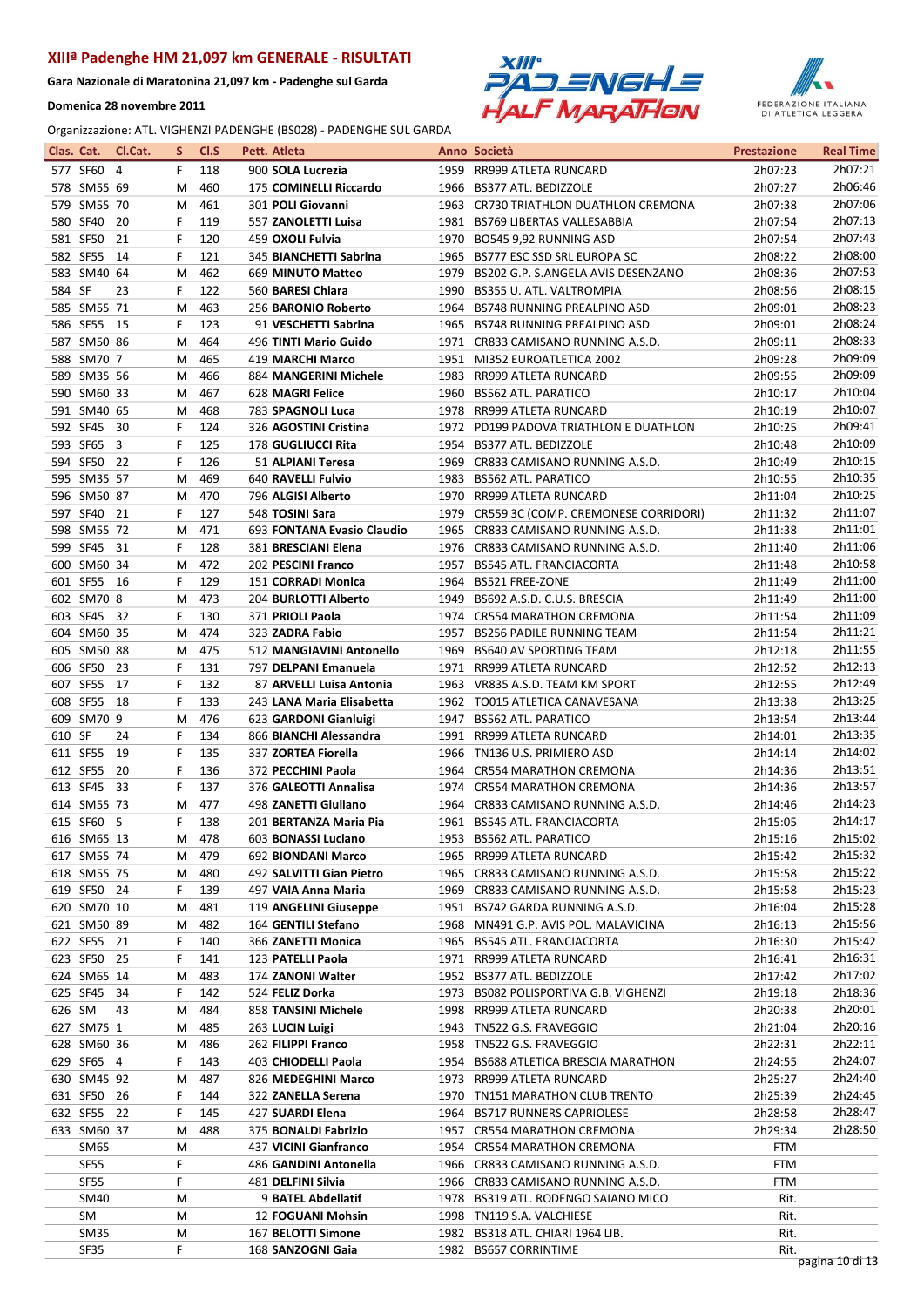Gara Nazionale di Maratonina 21,097 km - Padenghe sul Garda

Domenica 28 novembre 2011





|        | Clas. Cat.                 | Cl.Cat. | S.     | Cl.S       | Pett. Atleta                                  |      | Anno Società                                                      | <b>Prestazione</b> | <b>Real Time</b>   |
|--------|----------------------------|---------|--------|------------|-----------------------------------------------|------|-------------------------------------------------------------------|--------------------|--------------------|
|        | 577 SF60 4                 |         | F.     | 118        | 900 SOLA Lucrezia                             |      | 1959 RR999 ATLETA RUNCARD                                         | 2h07:23            | 2h07:21            |
|        | 578 SM55 69                |         | м      | 460        | 175 COMINELLI Riccardo                        |      | 1966 BS377 ATL, BEDIZZOLE                                         | 2h07:27            | 2h06:46            |
|        | 579 SM55 70                |         | М      | 461        | 301 POLI Giovanni                             |      | 1963 CR730 TRIATHLON DUATHLON CREMONA                             | 2h07:38            | 2h07:06            |
|        | 580 SF40                   | - 20    | F      | 119        | 557 ZANOLETTI Luisa                           | 1981 | <b>BS769 LIBERTAS VALLESABBIA</b>                                 | 2h07:54            | 2h07:13            |
|        | 581 SF50 21                |         | F      | 120        | 459 OXOLI Fulvia                              |      | 1970 BO545 9,92 RUNNING ASD                                       | 2h07:54            | 2h07:43            |
|        | 582 SF55 14                |         | F      | 121        | 345 BIANCHETTI Sabrina                        | 1965 | BS777 ESC SSD SRL EUROPA SC                                       | 2h08:22            | 2h08:00            |
|        | 583 SM40 64                |         | м      | 462        | 669 MINUTO Matteo                             | 1979 | BS202 G.P. S.ANGELA AVIS DESENZANO                                | 2h08:36            | 2h07:53            |
| 584 SF |                            | 23      | F      | 122        | 560 BARESI Chiara                             |      | 1990 BS355 U. ATL. VALTROMPIA                                     | 2h08:56            | 2h08:15            |
|        | 585 SM55 71                |         | М      | 463        | 256 BARONIO Roberto                           |      | 1964 BS748 RUNNING PREALPINO ASD                                  | 2h09:01            | 2h08:23            |
|        | 586 SF55 15                |         | F      | 123        | 91 VESCHETTI Sabrina                          | 1965 | BS748 RUNNING PREALPINO ASD                                       | 2h09:01            | 2h08:24            |
|        | 587 SM50 86                |         | м      | 464        | 496 TINTI Mario Guido                         |      | 1971 CR833 CAMISANO RUNNING A.S.D.                                | 2h09:11            | 2h08:33            |
|        | 588 SM70 7                 |         | м      | 465        | <b>419 MARCHI Marco</b>                       |      | 1951 MI352 EUROATLETICA 2002                                      | 2h09:28            | 2h09:09            |
|        | 589 SM35 56                |         | M      | 466<br>467 | 884 MANGERINI Michele                         |      | 1983 RR999 ATLETA RUNCARD<br>1960 BS562 ATL. PARATICO             | 2h09:55            | 2h09:09<br>2h10:04 |
|        | 590 SM60 33<br>591 SM40 65 |         | M<br>м | 468        | 628 MAGRI Felice<br>783 SPAGNOLI Luca         |      | 1978 RR999 ATLETA RUNCARD                                         | 2h10:17<br>2h10:19 | 2h10:07            |
|        | 592 SF45 30                |         | F      | 124        | 326 AGOSTINI Cristina                         |      | 1972 PD199 PADOVA TRIATHLON E DUATHLON                            | 2h10:25            | 2h09:41            |
|        | 593 SF65 3                 |         | F      | 125        | <b>178 GUGLIUCCI Rita</b>                     | 1954 | <b>BS377 ATL. BEDIZZOLE</b>                                       | 2h10:48            | 2h10:09            |
|        | 594 SF50 22                |         | F      | 126        | 51 ALPIANI Teresa                             |      | 1969 CR833 CAMISANO RUNNING A.S.D.                                | 2h10:49            | 2h10:15            |
|        | 595 SM35 57                |         | м      | 469        | 640 RAVELLI Fulvio                            | 1983 | <b>BS562 ATL. PARATICO</b>                                        | 2h10:55            | 2h10:35            |
|        | 596 SM50 87                |         | M      | 470        | 796 ALGISI Alberto                            |      | 1970 RR999 ATLETA RUNCARD                                         | 2h11:04            | 2h10:25            |
|        | 597 SF40 21                |         | F      | 127        | 548 TOSINI Sara                               |      | 1979 CR559 3C (COMP. CREMONESE CORRIDORI)                         | 2h11:32            | 2h11:07            |
|        | 598 SM55 72                |         | м      | 471        | 693 FONTANA Evasio Claudio                    | 1965 | CR833 CAMISANO RUNNING A.S.D.                                     | 2h11:38            | 2h11:01            |
|        | 599 SF45 31                |         | F.     | 128        | 381 BRESCIANI Elena                           |      | 1976 CR833 CAMISANO RUNNING A.S.D.                                | 2h11:40            | 2h11:06            |
|        | 600 SM60 34                |         | м      | 472        | 202 PESCINI Franco                            | 1957 | <b>BS545 ATL. FRANCIACORTA</b>                                    | 2h11:48            | 2h10:58            |
|        | 601 SF55 16                |         | F.     | 129        | 151 CORRADI Monica                            |      | 1964 BS521 FREE-ZONE                                              | 2h11:49            | 2h11:00            |
|        | 602 SM70 8                 |         | M      | 473        | 204 BURLOTTI Alberto                          | 1949 | BS692 A.S.D. C.U.S. BRESCIA                                       | 2h11:49            | 2h11:00            |
|        | 603 SF45 32                |         | F      | 130        | 371 PRIOLI Paola                              |      | 1974 CR554 MARATHON CREMONA                                       | 2h11:54            | 2h11:09            |
|        | 604 SM60 35                |         | М      | 474        | 323 ZADRA Fabio                               |      | 1957 BS256 PADILE RUNNING TEAM                                    | 2h11:54            | 2h11:21            |
|        | 605 SM50 88                |         | M      | 475        | 512 MANGIAVINI Antonello                      | 1969 | <b>BS640 AV SPORTING TEAM</b>                                     | 2h12:18            | 2h11:55            |
|        | 606 SF50 23                |         | F      | 131        | 797 DELPANI Emanuela                          |      | 1971 RR999 ATLETA RUNCARD                                         | 2h12:52            | 2h12:13            |
|        | 607 SF55 17                |         | F      | 132        | 87 ARVELLI Luisa Antonia                      |      | 1963 VR835 A.S.D. TEAM KM SPORT                                   | 2h12:55            | 2h12:49            |
|        | 608 SF55 18                |         | F      | 133        | 243 LANA Maria Elisabetta                     |      | 1962 TO015 ATLETICA CANAVESANA                                    | 2h13:38            | 2h13:25            |
|        | 609 SM70 9                 |         | м      | 476        | 623 GARDONI Gianluigi                         |      | 1947 BS562 ATL. PARATICO                                          | 2h13:54            | 2h13:44<br>2h13:35 |
| 610 SF |                            | 24      | F<br>F | 134        | 866 BIANCHI Alessandra<br>337 ZORTEA Fiorella |      | 1991 RR999 ATLETA RUNCARD                                         | 2h14:01            | 2h14:02            |
|        | 611 SF55<br>612 SF55 20    | 19      | F      | 135<br>136 | 372 PECCHINI Paola                            |      | 1966 TN136 U.S. PRIMIERO ASD<br>1964 CR554 MARATHON CREMONA       | 2h14:14<br>2h14:36 | 2h13:51            |
|        | 613 SF45 33                |         | F      | 137        | 376 GALEOTTI Annalisa                         |      | 1974 CR554 MARATHON CREMONA                                       | 2h14:36            | 2h13:57            |
|        | 614 SM55 73                |         | м      | 477        | 498 ZANETTI Giuliano                          |      | 1964 CR833 CAMISANO RUNNING A.S.D.                                | 2h14:46            | 2h14:23            |
|        | 615 SF60 5                 |         | F      | 138        | 201 BERTANZA Maria Pia                        |      | 1961 BS545 ATL. FRANCIACORTA                                      | 2h15:05            | 2h14:17            |
|        | 616 SM65 13                |         |        | M 478      | 603 BONASSI Luciano                           |      | 1953 BS562 ATL. PARATICO                                          | 2h15:16            | 2h15:02            |
|        | 617 SM55 74                |         | M      | 479        | 692 BIONDANI Marco                            |      | 1965 RR999 ATLETA RUNCARD                                         | 2h15:42            | 2h15:32            |
|        | 618 SM55 75                |         | M      | 480        | 492 SALVITTI Gian Pietro                      |      | 1965 CR833 CAMISANO RUNNING A.S.D.                                | 2h15:58            | 2h15:22            |
|        | 619 SF50 24                |         | F      | 139        | 497 VAIA Anna Maria                           |      | 1969 CR833 CAMISANO RUNNING A.S.D.                                | 2h15:58            | 2h15:23            |
|        | 620 SM70 10                |         | м      | 481        | 119 ANGELINI Giuseppe                         |      | 1951 BS742 GARDA RUNNING A.S.D.                                   | 2h16:04            | 2h15:28            |
|        | 621 SM50 89                |         | M      | 482        | 164 GENTILI Stefano                           |      | 1968 MN491 G.P. AVIS POL. MALAVICINA                              | 2h16:13            | 2h15:56            |
|        | 622 SF55 21                |         | F      | 140        | 366 ZANETTI Monica                            |      | 1965 BS545 ATL. FRANCIACORTA                                      | 2h16:30            | 2h15:42            |
|        | 623 SF50 25                |         | F      | 141        | 123 PATELLI Paola                             |      | 1971 RR999 ATLETA RUNCARD                                         | 2h16:41            | 2h16:31            |
|        | 624 SM65 14                |         | м      | 483        | 174 ZANONI Walter                             |      | 1952 BS377 ATL. BEDIZZOLE                                         | 2h17:42            | 2h17:02            |
|        | 625 SF45 34                |         | F      | 142        | 524 FELIZ Dorka                               |      | 1973 BS082 POLISPORTIVA G.B. VIGHENZI                             | 2h19:18            | 2h18:36            |
| 626 SM |                            | 43      | м      | 484        | 858 TANSINI Michele                           |      | 1998 RR999 ATLETA RUNCARD                                         | 2h20:38            | 2h20:01            |
|        | 627 SM75 1                 |         | м      | 485        | 263 LUCIN Luigi                               |      | 1943 TN522 G.S. FRAVEGGIO                                         | 2h21:04            | 2h20:16<br>2h22:11 |
|        | 628 SM60 36<br>629 SF65 4  |         | м<br>F | 486<br>143 | 262 FILIPPI Franco<br>403 CHIODELLI Paola     |      | 1958 TN522 G.S. FRAVEGGIO<br>1954 BS688 ATLETICA BRESCIA MARATHON | 2h22:31            | 2h24:07            |
|        | 630 SM45 92                |         | м      | 487        | 826 MEDEGHINI Marco                           |      | 1973 RR999 ATLETA RUNCARD                                         | 2h24:55<br>2h25:27 | 2h24:40            |
|        | 631 SF50 26                |         | F.     | 144        | 322 ZANELLA Serena                            |      | 1970 TN151 MARATHON CLUB TRENTO                                   | 2h25:39            | 2h24:45            |
|        | 632 SF55 22                |         | F      | 145        | 427 SUARDI Elena                              |      | 1964 BS717 RUNNERS CAPRIOLESE                                     | 2h28:58            | 2h28:47            |
|        | 633 SM60 37                |         | M      | 488        | 375 BONALDI Fabrizio                          |      | 1957 CR554 MARATHON CREMONA                                       | 2h29:34            | 2h28:50            |
|        | SM65                       |         | M      |            | 437 VICINI Gianfranco                         |      | 1954 CR554 MARATHON CREMONA                                       | FTM                |                    |
|        | SF55                       |         | F      |            | 486 GANDINI Antonella                         |      | 1966 CR833 CAMISANO RUNNING A.S.D.                                | FTM                |                    |
|        | SF55                       |         | F      |            | 481 DELFINI Silvia                            |      | 1966 CR833 CAMISANO RUNNING A.S.D.                                | FTM                |                    |
|        | SM40                       |         | M      |            | 9 BATEL Abdellatif                            |      | 1978 BS319 ATL. RODENGO SAIANO MICO                               | Rit.               |                    |
|        | SM                         |         | M      |            | 12 FOGUANI Mohsin                             |      | 1998 TN119 S.A. VALCHIESE                                         | Rit.               |                    |
|        | SM35                       |         | M      |            | 167 BELOTTI Simone                            |      | 1982 BS318 ATL. CHIARI 1964 LIB.                                  | Rit.               |                    |
|        | SF35                       |         | F      |            | 168 SANZOGNI Gaia                             |      | 1982 BS657 CORRINTIME                                             | Rit.               | pagina 10 di 13    |
|        |                            |         |        |            |                                               |      |                                                                   |                    |                    |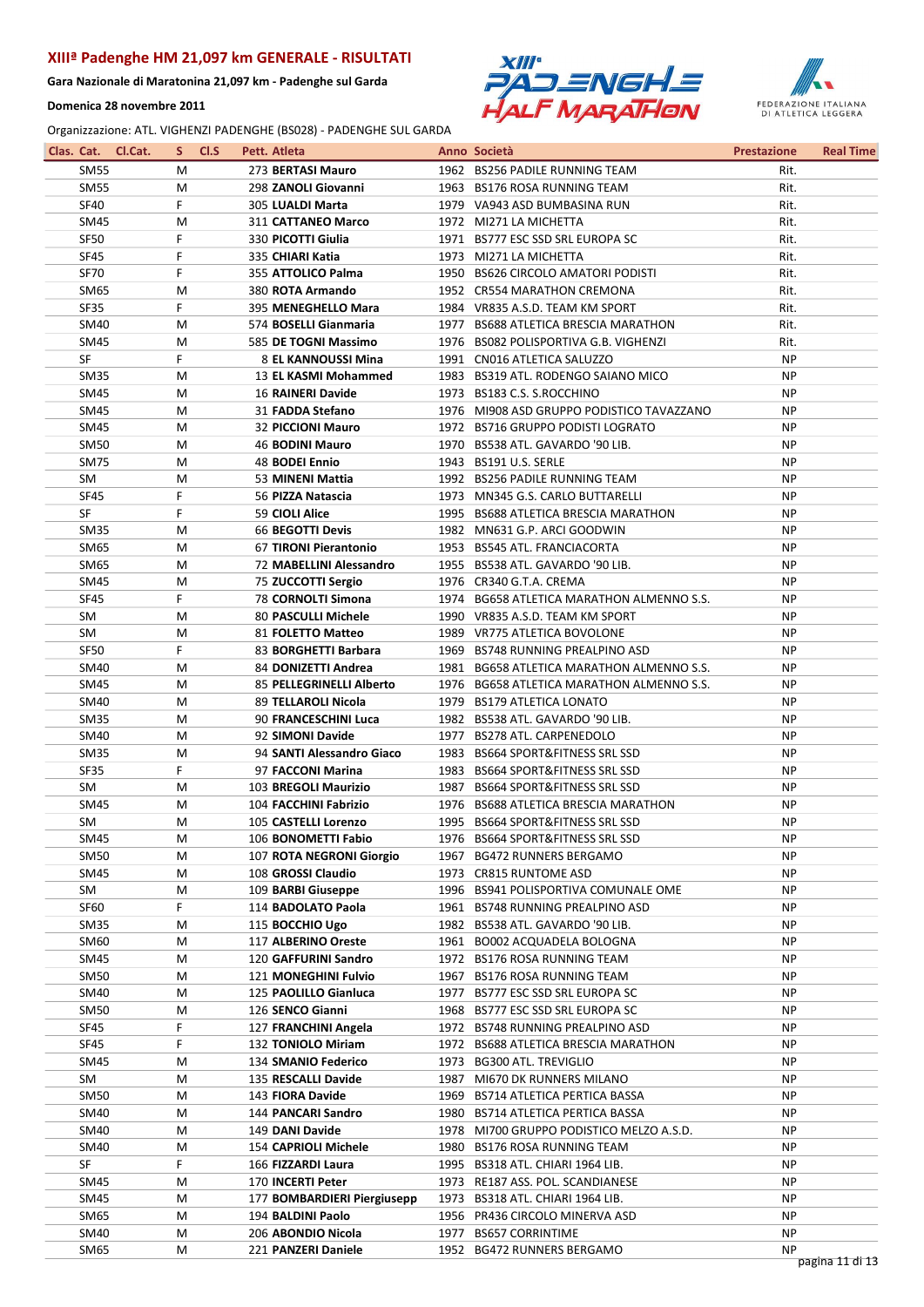Gara Nazionale di Maratonina 21,097 km - Padenghe sul Garda

Domenica 28 novembre 2011





|                  | Clas. Cat. Cl.Cat. | S. | CI.S | Pett. Atleta                |      | Anno Società                              | <b>Prestazione</b> | <b>Real Time</b> |
|------------------|--------------------|----|------|-----------------------------|------|-------------------------------------------|--------------------|------------------|
| <b>SM55</b>      |                    | M  |      | 273 BERTASI Mauro           |      | 1962 BS256 PADILE RUNNING TEAM            | Rit.               |                  |
| <b>SM55</b>      |                    | M  |      | 298 ZANOLI Giovanni         |      | 1963 BS176 ROSA RUNNING TEAM              | Rit.               |                  |
| <b>SF40</b>      | F                  |    |      | 305 LUALDI Marta            |      | 1979 VA943 ASD BUMBASINA RUN              | Rit.               |                  |
| SM45             |                    | M  |      | 311 CATTANEO Marco          |      | 1972 MI271 LA MICHETTA                    | Rit.               |                  |
| <b>SF50</b>      | F.                 |    |      | 330 PICOTTI Giulia          |      | 1971 BS777 ESC SSD SRL EUROPA SC          | Rit.               |                  |
| SF45             | F                  |    |      | 335 CHIARI Katia            |      | 1973 MI271 LA MICHETTA                    | Rit.               |                  |
| <b>SF70</b>      | F                  |    |      | 355 ATTOLICO Palma          |      | 1950 BS626 CIRCOLO AMATORI PODISTI        | Rit.               |                  |
| <b>SM65</b>      |                    | M  |      | 380 ROTA Armando            |      | 1952 CR554 MARATHON CREMONA               | Rit.               |                  |
| <b>SF35</b>      | F                  |    |      | 395 MENEGHELLO Mara         |      | 1984 VR835 A.S.D. TEAM KM SPORT           | Rit.               |                  |
| SM40             |                    | M  |      | 574 BOSELLI Gianmaria       |      | 1977 BS688 ATLETICA BRESCIA MARATHON      | Rit.               |                  |
| <b>SM45</b>      |                    | M  |      | 585 DE TOGNI Massimo        |      | 1976 BS082 POLISPORTIVA G.B. VIGHENZI     | Rit.               |                  |
| SF               | F                  |    |      | 8 EL KANNOUSSI Mina         |      | 1991 CN016 ATLETICA SALUZZO               | NP.                |                  |
| SM <sub>35</sub> |                    | M  |      | 13 EL KASMI Mohammed        |      | 1983 BS319 ATL. RODENGO SAIANO MICO       | NP                 |                  |
| <b>SM45</b>      |                    | M  |      | <b>16 RAINERI Davide</b>    |      | 1973 BS183 C.S. S.ROCCHINO                | <b>NP</b>          |                  |
|                  |                    |    |      |                             |      |                                           |                    |                  |
| SM45             |                    | M  |      | 31 FADDA Stefano            |      | 1976 MI908 ASD GRUPPO PODISTICO TAVAZZANO | <b>NP</b>          |                  |
| <b>SM45</b>      |                    | M  |      | <b>32 PICCIONI Mauro</b>    |      | 1972 BS716 GRUPPO PODISTI LOGRATO         | <b>NP</b>          |                  |
| <b>SM50</b>      |                    | M  |      | 46 BODINI Mauro             |      | 1970 BS538 ATL. GAVARDO '90 LIB.          | NP                 |                  |
| SM75             |                    | M  |      | 48 BODEI Ennio              |      | 1943 BS191 U.S. SERLE                     | NP.                |                  |
| SM               |                    | M  |      | 53 MINENI Mattia            |      | 1992 BS256 PADILE RUNNING TEAM            | NP.                |                  |
| <b>SF45</b>      | F                  |    |      | 56 PIZZA Natascia           |      | 1973 MN345 G.S. CARLO BUTTARELLI          | <b>NP</b>          |                  |
| SF               | F                  |    |      | 59 CIOLI Alice              |      | 1995 BS688 ATLETICA BRESCIA MARATHON      | <b>NP</b>          |                  |
| <b>SM35</b>      |                    | M  |      | 66 BEGOTTI Devis            |      | 1982 MN631 G.P. ARCI GOODWIN              | NP                 |                  |
| <b>SM65</b>      |                    | M  |      | 67 TIRONI Pierantonio       |      | 1953 BS545 ATL, FRANCIACORTA              | NP                 |                  |
| SM65             |                    | M  |      | 72 MABELLINI Alessandro     |      | 1955 BS538 ATL. GAVARDO '90 LIB.          | <b>NP</b>          |                  |
| <b>SM45</b>      |                    | M  |      | 75 ZUCCOTTI Sergio          |      | 1976 CR340 G.T.A. CREMA                   | NP                 |                  |
| <b>SF45</b>      | F.                 |    |      | 78 CORNOLTI Simona          |      | 1974 BG658 ATLETICA MARATHON ALMENNO S.S. | <b>NP</b>          |                  |
| SM               |                    | M  |      | 80 PASCULLI Michele         |      | 1990 VR835 A.S.D. TEAM KM SPORT           | <b>NP</b>          |                  |
| SM               |                    | M  |      | 81 FOLETTO Matteo           |      | 1989 VR775 ATLETICA BOVOLONE              | <b>NP</b>          |                  |
| <b>SF50</b>      | F.                 |    |      | 83 BORGHETTI Barbara        |      | 1969 BS748 RUNNING PREALPINO ASD          | NP                 |                  |
| SM40             |                    | M  |      | 84 DONIZETTI Andrea         |      | 1981 BG658 ATLETICA MARATHON ALMENNO S.S. | <b>NP</b>          |                  |
| SM45             |                    | M  |      | 85 PELLEGRINELLI Alberto    |      | 1976 BG658 ATLETICA MARATHON ALMENNO S.S. | NP.                |                  |
| SM40             |                    | M  |      | 89 TELLAROLI Nicola         |      | 1979 BS179 ATLETICA LONATO                | NP                 |                  |
| <b>SM35</b>      |                    | M  |      | 90 FRANCESCHINI Luca        |      | 1982 BS538 ATL. GAVARDO '90 LIB.          | <b>NP</b>          |                  |
| SM40             |                    | M  |      | 92 SIMONI Davide            |      | 1977 BS278 ATL. CARPENEDOLO               | NP                 |                  |
| <b>SM35</b>      |                    | М  |      | 94 SANTI Alessandro Giaco   |      | 1983 BS664 SPORT&FITNESS SRL SSD          | <b>NP</b>          |                  |
| <b>SF35</b>      | F.                 |    |      | 97 FACCONI Marina           |      | 1983 BS664 SPORT&FITNESS SRL SSD          | <b>NP</b>          |                  |
| SM               |                    | M  |      | 103 BREGOLI Maurizio        |      | 1987 BS664 SPORT&FITNESS SRL SSD          | NP.                |                  |
| SM45             |                    | М  |      | 104 FACCHINI Fabrizio       |      | 1976 BS688 ATLETICA BRESCIA MARATHON      | NP.                |                  |
| <b>SM</b>        |                    | M  |      | 105 CASTELLI Lorenzo        |      | 1995 BS664 SPORT&FITNESS SRL SSD          | <b>NP</b>          |                  |
| <b>SM45</b>      |                    | M  |      | 106 BONOMETTI Fabio         |      | 1976 BS664 SPORT&FITNESS SRL SSD          | <b>NP</b>          |                  |
| <b>SM50</b>      |                    | M  |      | 107 ROTA NEGRONI Giorgio    |      | 1967 BG472 RUNNERS BERGAMO                | <b>NP</b>          |                  |
|                  |                    |    |      |                             |      |                                           | NP.                |                  |
| SM45             |                    | M  |      | 108 GROSSI Claudio          |      | 1973 CR815 RUNTOME ASD                    |                    |                  |
| SM               |                    | M  |      | 109 BARBI Giuseppe          |      | 1996 BS941 POLISPORTIVA COMUNALE OME      | NP                 |                  |
| <b>SF60</b>      | F.                 |    |      | 114 BADOLATO Paola          |      | 1961 BS748 RUNNING PREALPINO ASD          | NP.                |                  |
| <b>SM35</b>      |                    | M  |      | 115 BOCCHIO Ugo             |      | 1982 BS538 ATL. GAVARDO '90 LIB.          | NP                 |                  |
| <b>SM60</b>      |                    | M  |      | 117 ALBERINO Oreste         |      | 1961 BO002 ACQUADELA BOLOGNA              | <b>NP</b>          |                  |
| <b>SM45</b>      |                    | M  |      | 120 GAFFURINI Sandro        |      | 1972 BS176 ROSA RUNNING TEAM              | NP                 |                  |
| SM50             |                    | M  |      | <b>121 MONEGHINI Fulvio</b> |      | 1967 BS176 ROSA RUNNING TEAM              | NP                 |                  |
| SM40             |                    | M  |      | 125 PAOLILLO Gianluca       |      | 1977 BS777 ESC SSD SRL EUROPA SC          | NP.                |                  |
| SM50             |                    | M  |      | 126 SENCO Gianni            |      | 1968 BS777 ESC SSD SRL EUROPA SC          | NP.                |                  |
| SF45             | F                  |    |      | 127 FRANCHINI Angela        |      | 1972 BS748 RUNNING PREALPINO ASD          | ΝP                 |                  |
| <b>SF45</b>      | F                  |    |      | 132 TONIOLO Miriam          |      | 1972 BS688 ATLETICA BRESCIA MARATHON      | <b>NP</b>          |                  |
| SM45             |                    | M  |      | 134 SMANIO Federico         |      | 1973 BG300 ATL. TREVIGLIO                 | <b>NP</b>          |                  |
| SM               |                    | M  |      | 135 RESCALLI Davide         |      | 1987 MI670 DK RUNNERS MILANO              | NP                 |                  |
| SM50             |                    | M  |      | 143 FIORA Davide            |      | 1969 BS714 ATLETICA PERTICA BASSA         | NP.                |                  |
| SM40             |                    | M  |      | 144 PANCARI Sandro          |      | 1980 BS714 ATLETICA PERTICA BASSA         | ΝP                 |                  |
| SM40             |                    | M  |      | 149 DANI Davide             |      | 1978 MI700 GRUPPO PODISTICO MELZO A.S.D.  | NP.                |                  |
| SM40             |                    | M  |      | 154 CAPRIOLI Michele        |      | 1980 BS176 ROSA RUNNING TEAM              | <b>NP</b>          |                  |
| SF               | F                  |    |      | 166 FIZZARDI Laura          | 1995 | BS318 ATL. CHIARI 1964 LIB.               | NP                 |                  |
| <b>SM45</b>      |                    | M  |      | 170 INCERTI Peter           |      | 1973 RE187 ASS. POL. SCANDIANESE          | NP                 |                  |
| SM45             |                    | M  |      | 177 BOMBARDIERI Piergiusepp |      | 1973 BS318 ATL. CHIARI 1964 LIB.          | NP.                |                  |
| SM65             |                    | M  |      | 194 BALDINI Paolo           |      | 1956 PR436 CIRCOLO MINERVA ASD            | NP.                |                  |
| SM40             |                    | M  |      | 206 ABONDIO Nicola          |      | 1977 BS657 CORRINTIME                     | NP                 |                  |
| <b>SM65</b>      |                    | M  |      | 221 PANZERI Daniele         |      | 1952 BG472 RUNNERS BERGAMO                | <b>NP</b>          |                  |
|                  |                    |    |      |                             |      |                                           |                    | pagina 11 di 13  |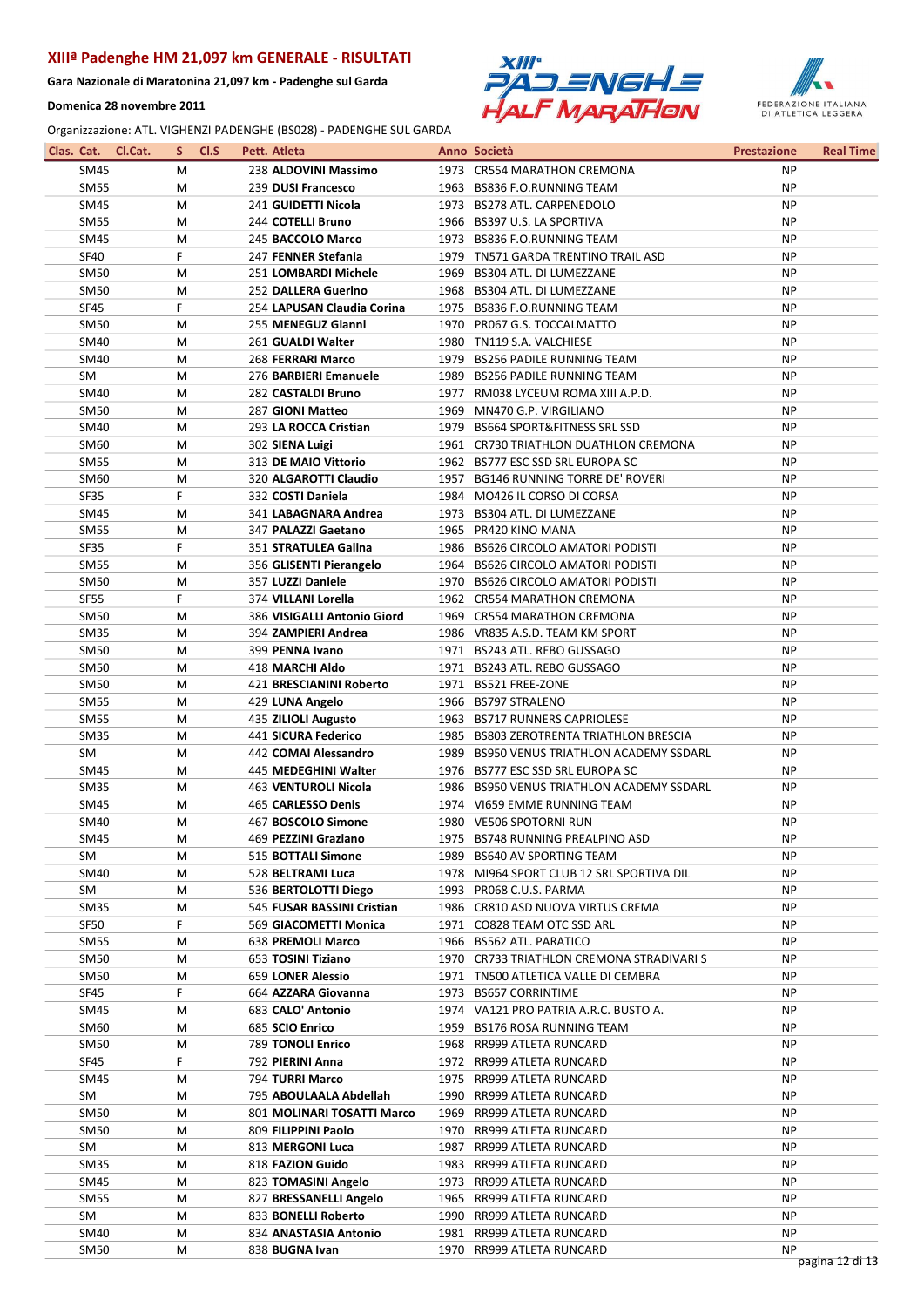Gara Nazionale di Maratonina 21,097 km - Padenghe sul Garda

Domenica 28 novembre 2011





|                  | Clas. Cat. Cl.Cat. | S. | CI.S | Pett. Atleta                | Anno Società                              | <b>Prestazione</b> | <b>Real Time</b> |
|------------------|--------------------|----|------|-----------------------------|-------------------------------------------|--------------------|------------------|
| SM45             |                    | М  |      | 238 ALDOVINI Massimo        | 1973 CR554 MARATHON CREMONA               | <b>NP</b>          |                  |
| <b>SM55</b>      |                    | M  |      | 239 DUSI Francesco          | 1963 BS836 F.O.RUNNING TEAM               | <b>NP</b>          |                  |
| SM45             |                    | M  |      | 241 GUIDETTI Nicola         | 1973 BS278 ATL. CARPENEDOLO               | <b>NP</b>          |                  |
| <b>SM55</b>      |                    | M  |      | 244 COTELLI Bruno           | 1966 BS397 U.S. LA SPORTIVA               | <b>NP</b>          |                  |
| SM45             |                    | M  |      | 245 BACCOLO Marco           | 1973 BS836 F.O.RUNNING TEAM               | <b>NP</b>          |                  |
| <b>SF40</b>      |                    | F  |      | 247 FENNER Stefania         | 1979 TN571 GARDA TRENTINO TRAIL ASD       | <b>NP</b>          |                  |
| <b>SM50</b>      |                    | M  |      | 251 LOMBARDI Michele        | 1969 BS304 ATL. DI LUMEZZANE              | <b>NP</b>          |                  |
| <b>SM50</b>      |                    | M  |      | 252 DALLERA Guerino         | 1968 BS304 ATL. DI LUMEZZANE              | <b>NP</b>          |                  |
| <b>SF45</b>      |                    | F  |      | 254 LAPUSAN Claudia Corina  | 1975 BS836 F.O.RUNNING TEAM               | <b>NP</b>          |                  |
| <b>SM50</b>      |                    | M  |      | 255 MENEGUZ Gianni          | 1970 PR067 G.S. TOCCALMATTO               | <b>NP</b>          |                  |
| SM40             |                    | M  |      | 261 GUALDI Walter           | 1980 TN119 S.A. VALCHIESE                 | <b>NP</b>          |                  |
| SM40             |                    | M  |      | 268 FERRARI Marco           | 1979 BS256 PADILE RUNNING TEAM            | <b>NP</b>          |                  |
| SM               |                    | M  |      | 276 BARBIERI Emanuele       | 1989 BS256 PADILE RUNNING TEAM            | <b>NP</b>          |                  |
| SM40             |                    | M  |      | 282 CASTALDI Bruno          | 1977 RM038 LYCEUM ROMA XIII A.P.D.        | <b>NP</b>          |                  |
| SM <sub>50</sub> |                    | M  |      | 287 GIONI Matteo            | 1969 MN470 G.P. VIRGILIANO                | <b>NP</b>          |                  |
| SM40             |                    | M  |      | 293 LA ROCCA Cristian       | 1979 BS664 SPORT&FITNESS SRL SSD          | <b>NP</b>          |                  |
| SM60             |                    | м  |      | 302 SIENA Luigi             | 1961 CR730 TRIATHLON DUATHLON CREMONA     | <b>NP</b>          |                  |
| SM55             |                    | M  |      | 313 DE MAIO Vittorio        | 1962 BS777 ESC SSD SRL EUROPA SC          | <b>NP</b>          |                  |
| SM60             |                    | M  |      | 320 ALGAROTTI Claudio       | 1957 BG146 RUNNING TORRE DE' ROVERI       | <b>NP</b>          |                  |
| SF35             |                    | F  |      | 332 COSTI Daniela           | 1984 MO426 IL CORSO DI CORSA              | <b>NP</b>          |                  |
| SM45             |                    | M  |      | 341 LABAGNARA Andrea        | 1973 BS304 ATL, DI LUMEZZANE              | <b>NP</b>          |                  |
| <b>SM55</b>      |                    | M  |      | 347 PALAZZI Gaetano         | 1965 PR420 KINO MANA                      | <b>NP</b>          |                  |
| <b>SF35</b>      |                    | F  |      | 351 STRATULEA Galina        | 1986 BS626 CIRCOLO AMATORI PODISTI        | <b>NP</b>          |                  |
| <b>SM55</b>      |                    | M  |      | 356 GLISENTI Pierangelo     | 1964 BS626 CIRCOLO AMATORI PODISTI        | <b>NP</b>          |                  |
| <b>SM50</b>      |                    | M  |      | 357 LUZZI Daniele           | 1970 BS626 CIRCOLO AMATORI PODISTI        | <b>NP</b>          |                  |
| <b>SF55</b>      |                    | F  |      | 374 VILLANI Lorella         | 1962 CR554 MARATHON CREMONA               | <b>NP</b>          |                  |
| <b>SM50</b>      |                    | M  |      | 386 VISIGALLI Antonio Giord | 1969 CR554 MARATHON CREMONA               | <b>NP</b>          |                  |
| <b>SM35</b>      |                    | M  |      | 394 ZAMPIERI Andrea         | 1986 VR835 A.S.D. TEAM KM SPORT           | <b>NP</b>          |                  |
| <b>SM50</b>      |                    | M  |      | 399 PENNA Ivano             | 1971 BS243 ATL. REBO GUSSAGO              | <b>NP</b>          |                  |
| <b>SM50</b>      |                    | M  |      | 418 MARCHI Aldo             | 1971 BS243 ATL. REBO GUSSAGO              | <b>NP</b>          |                  |
| SM50             |                    | M  |      | 421 BRESCIANINI Roberto     | 1971 BS521 FREE-ZONE                      | <b>NP</b>          |                  |
| <b>SM55</b>      |                    | M  |      | 429 LUNA Angelo             | 1966 BS797 STRALENO                       | <b>NP</b>          |                  |
| <b>SM55</b>      |                    | M  |      | 435 ZILIOLI Augusto         | 1963 BS717 RUNNERS CAPRIOLESE             | <b>NP</b>          |                  |
| <b>SM35</b>      |                    | M  |      | 441 SICURA Federico         | 1985 BS803 ZEROTRENTA TRIATHLON BRESCIA   | <b>NP</b>          |                  |
|                  |                    |    |      |                             | 1989 BS950 VENUS TRIATHLON ACADEMY SSDARL |                    |                  |
| SM               |                    | M  |      | 442 COMAI Alessandro        | 1976 BS777 ESC SSD SRL EUROPA SC          | <b>NP</b>          |                  |
| SM45             |                    | M  |      | 445 MEDEGHINI Walter        |                                           | <b>NP</b>          |                  |
| SM35             |                    | M  |      | 463 VENTUROLI Nicola        | 1986 BS950 VENUS TRIATHLON ACADEMY SSDARL | <b>NP</b>          |                  |
| SM45             |                    | M  |      | 465 CARLESSO Denis          | 1974 VI659 EMME RUNNING TEAM              | <b>NP</b>          |                  |
| SM40             |                    | M  |      | 467 BOSCOLO Simone          | 1980 VE506 SPOTORNI RUN                   | <b>NP</b>          |                  |
| <b>SM45</b>      |                    | M  |      | 469 PEZZINI Graziano        | 1975 BS748 RUNNING PREALPINO ASD          | <b>NP</b>          |                  |
| SM               |                    | М  |      | 515 BOTTALI Simone          | 1989 BS640 AV SPORTING TEAM               | <b>NP</b>          |                  |
| SM40             |                    | М  |      | 528 BELTRAMI Luca           | 1978 MI964 SPORT CLUB 12 SRL SPORTIVA DIL | <b>NP</b>          |                  |
| SM               |                    | M  |      | 536 BERTOLOTTI Diego        | 1993 PR068 C.U.S. PARMA                   | <b>NP</b>          |                  |
| SM35             |                    | M  |      | 545 FUSAR BASSINI Cristian  | 1986 CR810 ASD NUOVA VIRTUS CREMA         | NP                 |                  |
| SF50             |                    | F  |      | 569 GIACOMETTI Monica       | 1971 CO828 TEAM OTC SSD ARL               | NP                 |                  |
| <b>SM55</b>      |                    | M  |      | 638 PREMOLI Marco           | 1966 BS562 ATL. PARATICO                  | <b>NP</b>          |                  |
| <b>SM50</b>      |                    | M  |      | 653 TOSINI Tiziano          | 1970 CR733 TRIATHLON CREMONA STRADIVARI S | <b>NP</b>          |                  |
| SM50             |                    | М  |      | <b>659 LONER Alessio</b>    | 1971 TN500 ATLETICA VALLE DI CEMBRA       | <b>NP</b>          |                  |
| SF45             |                    | F  |      | 664 AZZARA Giovanna         | 1973 BS657 CORRINTIME                     | <b>NP</b>          |                  |
| SM45             |                    | M  |      | 683 CALO' Antonio           | 1974 VA121 PRO PATRIA A.R.C. BUSTO A.     | NP.                |                  |
| SM60             |                    | М  |      | 685 SCIO Enrico             | 1959 BS176 ROSA RUNNING TEAM              | <b>NP</b>          |                  |
| <b>SM50</b>      |                    | M  |      | 789 TONOLI Enrico           | 1968 RR999 ATLETA RUNCARD                 | <b>NP</b>          |                  |
| SF45             |                    | F  |      | 792 PIERINI Anna            | 1972 RR999 ATLETA RUNCARD                 | <b>NP</b>          |                  |
| SM45             |                    | М  |      | 794 TURRI Marco             | 1975 RR999 ATLETA RUNCARD                 | <b>NP</b>          |                  |
| SM               |                    | M  |      | 795 ABOULAALA Abdellah      | 1990 RR999 ATLETA RUNCARD                 | <b>NP</b>          |                  |
| SM50             |                    | M  |      | 801 MOLINARI TOSATTI Marco  | 1969 RR999 ATLETA RUNCARD                 | NP.                |                  |
| SM50             |                    | M  |      | 809 FILIPPINI Paolo         | 1970 RR999 ATLETA RUNCARD                 | NP.                |                  |
| SM               |                    | M  |      | 813 MERGONI Luca            | 1987 RR999 ATLETA RUNCARD                 | <b>NP</b>          |                  |
| SM <sub>35</sub> |                    | M  |      | 818 FAZION Guido            | 1983 RR999 ATLETA RUNCARD                 | <b>NP</b>          |                  |
| SM45             |                    | M  |      | 823 TOMASINI Angelo         | 1973 RR999 ATLETA RUNCARD                 | NP                 |                  |
| SM55             |                    | М  |      | 827 BRESSANELLI Angelo      | 1965 RR999 ATLETA RUNCARD                 | <b>NP</b>          |                  |
| SM               |                    | M  |      | 833 BONELLI Roberto         | 1990 RR999 ATLETA RUNCARD                 | <b>NP</b>          |                  |
| SM40             |                    | M  |      | 834 ANASTASIA Antonio       | 1981 RR999 ATLETA RUNCARD                 | NP.                |                  |
| <b>SM50</b>      |                    | M  |      | 838 BUGNA Ivan              | 1970 RR999 ATLETA RUNCARD                 | <b>NP</b>          |                  |